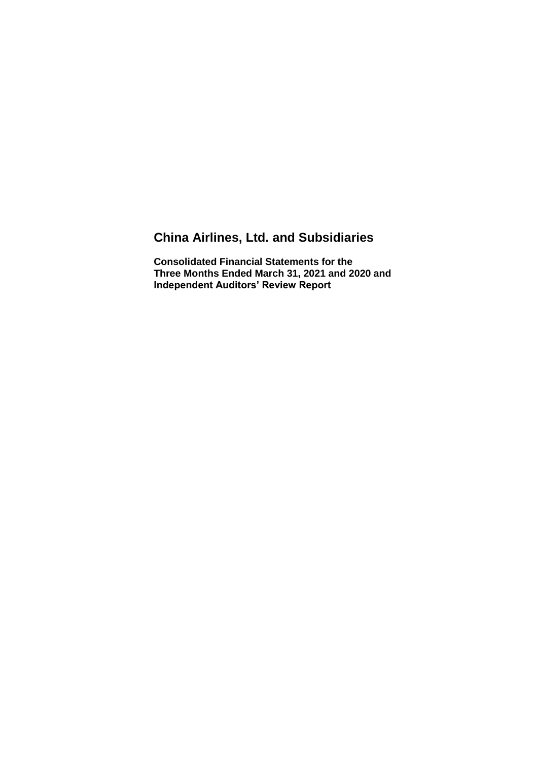# **China Airlines, Ltd. and Subsidiaries**

**Consolidated Financial Statements for the Three Months Ended March 31, 2021 and 2020 and Independent Auditors' Review Report**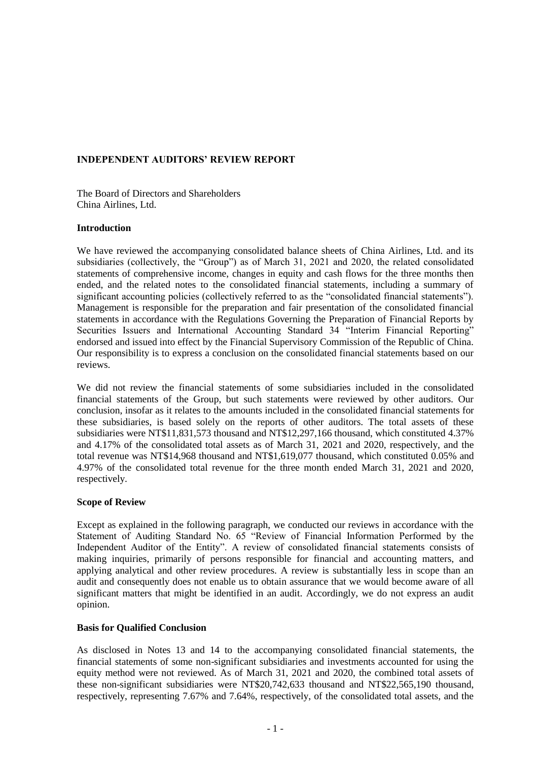### **INDEPENDENT AUDITORS' REVIEW REPORT**

The Board of Directors and Shareholders China Airlines, Ltd.

#### **Introduction**

We have reviewed the accompanying consolidated balance sheets of China Airlines, Ltd. and its subsidiaries (collectively, the "Group") as of March 31, 2021 and 2020, the related consolidated statements of comprehensive income, changes in equity and cash flows for the three months then ended, and the related notes to the consolidated financial statements, including a summary of significant accounting policies (collectively referred to as the "consolidated financial statements"). Management is responsible for the preparation and fair presentation of the consolidated financial statements in accordance with the Regulations Governing the Preparation of Financial Reports by Securities Issuers and International Accounting Standard 34 "Interim Financial Reporting" endorsed and issued into effect by the Financial Supervisory Commission of the Republic of China. Our responsibility is to express a conclusion on the consolidated financial statements based on our reviews.

We did not review the financial statements of some subsidiaries included in the consolidated financial statements of the Group, but such statements were reviewed by other auditors. Our conclusion, insofar as it relates to the amounts included in the consolidated financial statements for these subsidiaries, is based solely on the reports of other auditors. The total assets of these subsidiaries were NT\$11,831,573 thousand and NT\$12,297,166 thousand, which constituted 4.37% and 4.17% of the consolidated total assets as of March 31, 2021 and 2020, respectively, and the total revenue was NT\$14,968 thousand and NT\$1,619,077 thousand, which constituted 0.05% and 4.97% of the consolidated total revenue for the three month ended March 31, 2021 and 2020, respectively.

#### **Scope of Review**

Except as explained in the following paragraph, we conducted our reviews in accordance with the Statement of Auditing Standard No. 65 "Review of Financial Information Performed by the Independent Auditor of the Entity". A review of consolidated financial statements consists of making inquiries, primarily of persons responsible for financial and accounting matters, and applying analytical and other review procedures. A review is substantially less in scope than an audit and consequently does not enable us to obtain assurance that we would become aware of all significant matters that might be identified in an audit. Accordingly, we do not express an audit opinion.

#### **Basis for Qualified Conclusion**

As disclosed in Notes 13 and 14 to the accompanying consolidated financial statements, the financial statements of some non-significant subsidiaries and investments accounted for using the equity method were not reviewed. As of March 31, 2021 and 2020, the combined total assets of these non-significant subsidiaries were NT\$20,742,633 thousand and NT\$22,565,190 thousand, respectively, representing 7.67% and 7.64%, respectively, of the consolidated total assets, and the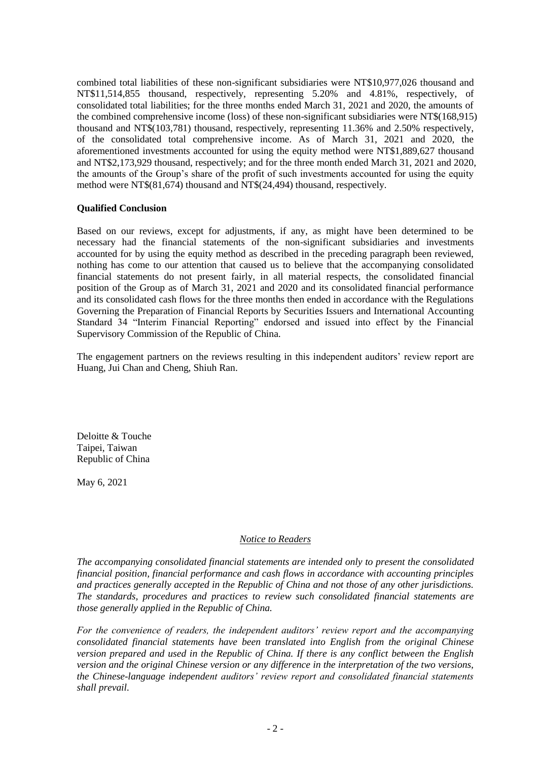combined total liabilities of these non-significant subsidiaries were NT\$10,977,026 thousand and NT\$11,514,855 thousand, respectively, representing 5.20% and 4.81%, respectively, of consolidated total liabilities; for the three months ended March 31, 2021 and 2020, the amounts of the combined comprehensive income (loss) of these non-significant subsidiaries were NT\$(168,915) thousand and NT\$(103,781) thousand, respectively, representing 11.36% and 2.50% respectively, of the consolidated total comprehensive income. As of March 31, 2021 and 2020, the aforementioned investments accounted for using the equity method were NT\$1,889,627 thousand and NT\$2,173,929 thousand, respectively; and for the three month ended March 31, 2021 and 2020, the amounts of the Group's share of the profit of such investments accounted for using the equity method were NT\$(81,674) thousand and NT\$(24,494) thousand, respectively.

#### **Qualified Conclusion**

Based on our reviews, except for adjustments, if any, as might have been determined to be necessary had the financial statements of the non-significant subsidiaries and investments accounted for by using the equity method as described in the preceding paragraph been reviewed, nothing has come to our attention that caused us to believe that the accompanying consolidated financial statements do not present fairly, in all material respects, the consolidated financial position of the Group as of March 31, 2021 and 2020 and its consolidated financial performance and its consolidated cash flows for the three months then ended in accordance with the Regulations Governing the Preparation of Financial Reports by Securities Issuers and International Accounting Standard 34 "Interim Financial Reporting" endorsed and issued into effect by the Financial Supervisory Commission of the Republic of China.

The engagement partners on the reviews resulting in this independent auditors' review report are Huang, Jui Chan and Cheng, Shiuh Ran.

Deloitte & Touche Taipei, Taiwan Republic of China

May 6, 2021

#### *Notice to Readers*

*The accompanying consolidated financial statements are intended only to present the consolidated financial position, financial performance and cash flows in accordance with accounting principles and practices generally accepted in the Republic of China and not those of any other jurisdictions. The standards, procedures and practices to review such consolidated financial statements are those generally applied in the Republic of China.*

*For the convenience of readers, the independent auditors' review report and the accompanying consolidated financial statements have been translated into English from the original Chinese version prepared and used in the Republic of China. If there is any conflict between the English version and the original Chinese version or any difference in the interpretation of the two versions, the Chinese-language independent auditors' review report and consolidated financial statements shall prevail.*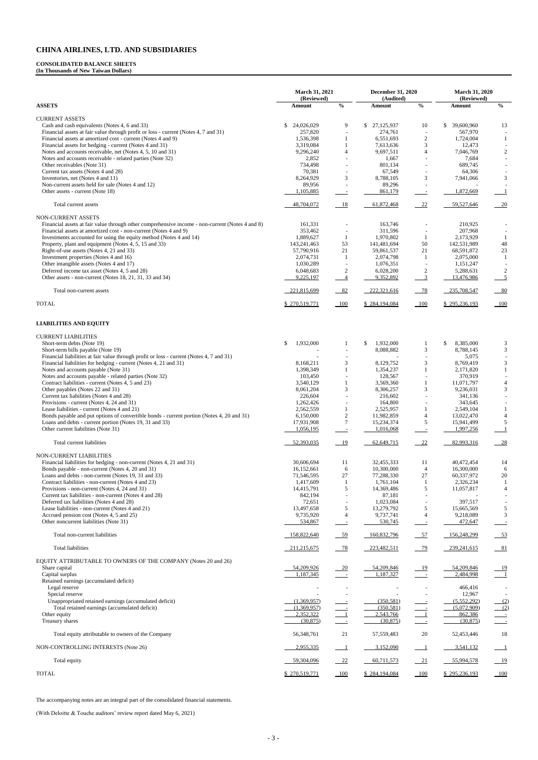#### **CONSOLIDATED BALANCE SHEETS**

**(In Thousands of New Taiwan Dollars)**

|                                                                                                                                                     | <b>March 31, 2021</b><br>(Reviewed) |                                | <b>December 31, 2020</b><br>(Audited) |                                            | <b>March 31, 2020</b><br>(Reviewed) |                                           |
|-----------------------------------------------------------------------------------------------------------------------------------------------------|-------------------------------------|--------------------------------|---------------------------------------|--------------------------------------------|-------------------------------------|-------------------------------------------|
| <b>ASSETS</b>                                                                                                                                       | Amount                              | $\frac{0}{0}$                  | Amount                                | $\frac{0}{0}$                              | Amount                              | $\mathbf{0}_{\mathbf{0}}^{\prime}$        |
| <b>CURRENT ASSETS</b>                                                                                                                               |                                     |                                |                                       |                                            |                                     |                                           |
| Cash and cash equivalents (Notes 4, 6 and 33)                                                                                                       | 24,026,029<br>\$                    | 9                              | \$<br>27,125,937                      | 10                                         | \$<br>39,600,960                    | 13                                        |
| Financial assets at fair value through profit or loss - current (Notes 4, 7 and 31)<br>Financial assets at amortized cost - current (Notes 4 and 9) | 257,820<br>1,536,398                | 1                              | 274,761<br>6,551,693                  | $\overline{\phantom{a}}$<br>$\mathbf{2}$   | 567,970<br>1,724,004                | -1                                        |
| Financial assets for hedging - current (Notes 4 and 31)                                                                                             | 3,319,084                           | $\mathbf{1}$                   | 7,613,636                             | 3                                          | 12,473                              |                                           |
| Notes and accounts receivable, net (Notes 4, 5, 10 and 31)                                                                                          | 9,296,240                           | $\overline{4}$                 | 9,697,511                             | $\overline{4}$                             | 7,046,769                           | $\overline{2}$                            |
| Notes and accounts receivable - related parties (Note 32)<br>Other receivables (Note 31)                                                            | 2,852<br>734,498                    | $\blacksquare$                 | 1,667<br>801,134                      | $\sim$                                     | 7,684<br>689,745                    |                                           |
| Current tax assets (Notes 4 and 28)                                                                                                                 | 70,381                              |                                | 67,549                                |                                            | 64,306                              |                                           |
| Inventories, net (Notes 4 and 11)                                                                                                                   | 8,264,929                           | 3                              | 8,788,105                             | 3                                          | 7,941,066                           | 3                                         |
| Non-current assets held for sale (Notes 4 and 12)<br>Other assets - current (Note 18)                                                               | 89,956<br>1,105,885                 | $\equiv$                       | 89,296<br>861,179                     | $\overline{\phantom{a}}$                   | 1,872,669                           | -1                                        |
| Total current assets                                                                                                                                | 48,704,072                          | 18                             | 61,872,468                            | 22                                         | 59,527,646                          | 20                                        |
| <b>NON-CURRENT ASSETS</b>                                                                                                                           |                                     |                                |                                       |                                            |                                     |                                           |
| Financial assets at fair value through other comprehensive income - non-current (Notes 4 and 8)                                                     | 161,331                             |                                | 163,746                               |                                            | 210,925                             |                                           |
| Financial assets at amortized cost - non-current (Notes 4 and 9)<br>Investments accounted for using the equity method (Notes 4 and 14)              | 353,462<br>1,889,627                | $\overline{\phantom{a}}$<br>-1 | 311,596<br>1,970,802                  | $\overline{\phantom{a}}$<br>$\mathbf{1}$   | 207,968<br>2,173,929                | -1                                        |
| Property, plant and equipment (Notes 4, 5, 15 and 33)                                                                                               | 143,241,463                         | 53                             | 141,481,694                           | 50                                         | 142,531,989                         | 48                                        |
| Right-of-use assets (Notes 4, 21 and 33)                                                                                                            | 57,790,916                          | 21                             | 59,861,537                            | 21                                         | 68,591,872                          | 23                                        |
| Investment properties (Notes 4 and 16)<br>Other intangible assets (Notes 4 and 17)                                                                  | 2,074,731<br>1,030,289              | -1                             | 2,074,798                             | 1                                          | 2,075,000                           | -1                                        |
| Deferred income tax asset (Notes 4, 5 and 28)                                                                                                       | 6,048,683                           | $\overline{\phantom{a}}$<br>2  | 1,076,351<br>6,028,200                | $\overline{\phantom{a}}$<br>$\overline{c}$ | 1,151,247<br>5,288,631              | 2                                         |
| Other assets - non-current (Notes 18, 21, 31, 33 and 34)                                                                                            | 9,225,197                           | $\overline{4}$                 | 9,352,892                             | $\overline{3}$                             | 13,476,986                          | $\overline{5}$                            |
| Total non-current assets                                                                                                                            | 221,815,699                         | $-82$                          | 222,321,616                           | $-78$                                      | 235,708,547                         | $-80$                                     |
| <b>TOTAL</b>                                                                                                                                        | \$270,519,771                       | $-100$                         | \$284,194,084                         | $-100$                                     | \$295,236,193                       |                                           |
| <b>LIABILITIES AND EQUITY</b>                                                                                                                       |                                     |                                |                                       |                                            |                                     |                                           |
| <b>CURRENT LIABILITIES</b>                                                                                                                          |                                     |                                |                                       |                                            |                                     |                                           |
| Short-term debts (Note 19)                                                                                                                          | \$<br>1,932,000                     | 1                              | \$<br>1,932,000                       | 1                                          | \$<br>8,385,000                     | 3                                         |
| Short-term bills payable (Note 19)                                                                                                                  |                                     |                                | 8,088,882                             | 3                                          | 8,788,145                           | $\mathfrak{Z}$                            |
| Financial liabilities at fair value through profit or loss - current (Notes 4, 7 and 31)                                                            |                                     |                                |                                       |                                            | 5,075                               | $\overline{\phantom{a}}$                  |
| Financial liabilities for hedging - current (Notes 4, 21 and 31)<br>Notes and accounts payable (Note 31)                                            | 8,168,211<br>1,398,349              | 3<br>$\mathbf{1}$              | 8,129,752<br>1,354,237                | 3<br>$\mathbf{1}$                          | 8,769,419<br>2,171,820              | $\mathfrak{Z}$<br>$\mathbf{1}$            |
| Notes and accounts payable - related parties (Note 32)                                                                                              | 103,450                             |                                | 128,567                               |                                            | 370,919                             |                                           |
| Contract liabilities - current (Notes 4, 5 and 23)                                                                                                  | 3,540,129                           |                                | 3,569,360                             | 1                                          | 11,071,797                          | $\overline{4}$                            |
| Other payables (Notes 22 and 31)                                                                                                                    | 8,061,204                           | 3                              | 8,306,257                             | 3                                          | 9,236,031                           | 3                                         |
| Current tax liabilities (Notes 4 and 28)<br>Provisions - current (Notes 4, 24 and 31)                                                               | 226,604<br>1,262,426                |                                | 216,602<br>164,800                    |                                            | 341,136<br>343,645                  |                                           |
| Lease liabilities - current (Notes 4 and 21)                                                                                                        | 2,562,559                           | $\mathbf{1}$                   | 2,525,957                             | 1                                          | 2,549,104                           | 1                                         |
| Bonds payable and put options of convertible bonds - current portion (Notes 4, 20 and 31)                                                           | 6,150,000                           | $\sqrt{2}$                     | 11,982,859                            | $\overline{4}$                             | 13,022,470                          | $\overline{4}$                            |
| Loans and debts - current portion (Notes 19, 31 and 33)                                                                                             | 17,931,908                          | $\overline{7}$                 | 15,234,374                            | 5                                          | 15,941,499                          | 5                                         |
| Other current liabilities (Note 31)                                                                                                                 | 1,056,195                           | $\equiv$                       | 1,016,068                             |                                            | 1,997,256                           |                                           |
| Total current liabilities                                                                                                                           | 52,393,035                          | 19                             | 62,649,715                            | 22                                         | 82,993,316                          | 28                                        |
| NON-CURRENT LIABILITIES<br>Financial liabilities for hedging - non-current (Notes 4, 21 and 31)                                                     | 30,606,694                          | 11                             | 32,455,333                            | 11                                         | 40,472,454                          | 14                                        |
| Bonds payable - non-current (Notes 4, 20 and 31)                                                                                                    | 16,152,661                          | $\sqrt{6}$                     | 10,300,000                            | $\overline{4}$                             | 16,300,000                          | 6                                         |
| Loans and debts - non-current (Notes 19, 31 and 33)                                                                                                 | 71,546,595                          | 27                             | 77,288,330                            | 27                                         | 60,337,972                          | 20                                        |
| Contract liabilities - non-current (Notes 4 and 23)<br>Provisions - non-current (Notes 4, 24 and 31)                                                | 1,417,609<br>14,415,791             | -1<br>5                        | 1,761,104<br>14,369,486               | $\mathbf{1}$<br>$\sqrt{5}$                 | 2,326,234<br>11,057,817             | $\mathbf{1}$<br>$\overline{4}$            |
| Current tax liabilities - non-current (Notes 4 and 28)                                                                                              | 842,194                             |                                | 87,181                                |                                            |                                     |                                           |
| Deferred tax liabilities (Notes 4 and 28)                                                                                                           | 72,651                              |                                | 1,023,084                             |                                            | 397,517                             |                                           |
| Lease liabilities - non-current (Notes 4 and 21)                                                                                                    | 13,497,658                          | 5                              | 13,279,792                            | 5                                          | 15,665,569                          | 5                                         |
| Accrued pension cost (Notes 4, 5 and 25)<br>Other noncurrent liabilities (Note 31)                                                                  | 9,735,920<br>534,867                | $\overline{4}$                 | 9,737,741<br>530,745                  | $\overline{4}$                             | 9,218,089<br>472,647                | $\mathfrak{Z}$                            |
| Total non-current liabilities                                                                                                                       | 158,822,640                         | $-59$                          | 160,832,796                           | $-57$                                      | 156,248,299                         | 53                                        |
| <b>Total liabilities</b>                                                                                                                            | 211,215,675                         | $-78$                          | 223,482,511                           | $-79$                                      | 239,241,615                         | 81                                        |
| EQUITY ATTRIBUTABLE TO OWNERS OF THE COMPANY (Notes 20 and 26)                                                                                      |                                     |                                |                                       |                                            |                                     |                                           |
| Share capital                                                                                                                                       | 54,209,926                          | $\overline{20}$                | 54,209,846                            | <u>19</u>                                  | 54,209,846                          | $\frac{19}{1}$                            |
| Capital surplus<br>Retained earnings (accumulated deficit)                                                                                          | 1,187,345                           | $\overline{\phantom{0}}$       | 1,187,327                             | $\sim 10^{-1}$                             | 2,484,998                           |                                           |
| Legal reserve                                                                                                                                       |                                     |                                |                                       |                                            | 466,416                             |                                           |
| Special reserve                                                                                                                                     |                                     |                                |                                       |                                            | 12,967                              |                                           |
| Unappropriated retained earnings (accumulated deficit)                                                                                              | (1,369,957)                         |                                | (350, 581)                            |                                            | (5,552,292)                         | (2)                                       |
| Total retained earnings (accumulated deficit)<br>Other equity                                                                                       | (1,369,957)<br>2,352,322            | $^{-1}$                        | (350, 581)<br>2,543,766               | $\overline{1}$                             | (5,072,909)<br>862,386              | (2)                                       |
| Treasury shares                                                                                                                                     | (30, 875)                           | $\sim 10$                      | (30,875)                              |                                            | (30, 875)                           | $\equiv$                                  |
| Total equity attributable to owners of the Company                                                                                                  | 56,348,761                          | 21                             | 57, 559, 483                          | 20                                         | 52,453,446                          | 18                                        |
| NON-CONTROLLING INTERESTS (Note 26)                                                                                                                 | 2,955,335                           |                                | 3,152,090                             |                                            | 3,541,132                           | $\perp$                                   |
| Total equity                                                                                                                                        | 59,304,096                          | $\frac{22}{2}$                 | 60,711,573                            | 21                                         | 55,994,578                          | <u>19</u>                                 |
| <b>TOTAL</b>                                                                                                                                        | \$ 270,519,771                      | 100                            | \$284,194,084                         | 100                                        | \$295,236,193                       | $\underline{\underline{\hspace{1cm}}100}$ |

The accompanying notes are an integral part of the consolidated financial statements.

(With Deloitte & Touche auditors' review report dated May 6, 2021)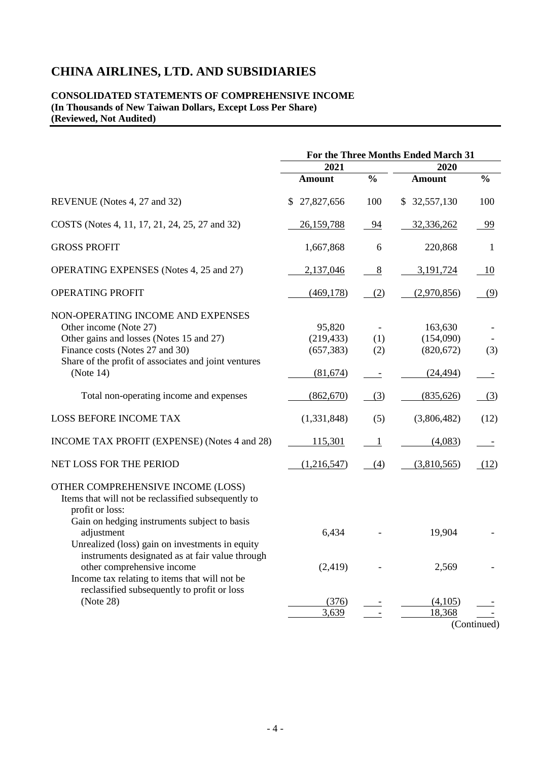#### **CONSOLIDATED STATEMENTS OF COMPREHENSIVE INCOME (In Thousands of New Taiwan Dollars, Except Loss Per Share) (Reviewed, Not Audited)**

|                                                                                                                                                                                                                                                                                                                                                                | For the Three Months Ended March 31            |               |                                                 |               |
|----------------------------------------------------------------------------------------------------------------------------------------------------------------------------------------------------------------------------------------------------------------------------------------------------------------------------------------------------------------|------------------------------------------------|---------------|-------------------------------------------------|---------------|
|                                                                                                                                                                                                                                                                                                                                                                | 2021                                           |               | 2020                                            |               |
|                                                                                                                                                                                                                                                                                                                                                                | <b>Amount</b>                                  | $\frac{0}{0}$ | <b>Amount</b>                                   | $\frac{0}{0}$ |
| REVENUE (Notes 4, 27 and 32)                                                                                                                                                                                                                                                                                                                                   | 27,827,656<br>\$                               | 100           | \$32,557,130                                    | 100           |
| COSTS (Notes 4, 11, 17, 21, 24, 25, 27 and 32)                                                                                                                                                                                                                                                                                                                 | 26,159,788                                     | 94            | 32,336,262                                      | 99            |
| <b>GROSS PROFIT</b>                                                                                                                                                                                                                                                                                                                                            | 1,667,868                                      | 6             | 220,868                                         | 1             |
| <b>OPERATING EXPENSES</b> (Notes 4, 25 and 27)                                                                                                                                                                                                                                                                                                                 | 2,137,046                                      | 8             | 3,191,724                                       | 10            |
| OPERATING PROFIT                                                                                                                                                                                                                                                                                                                                               | (469, 178)                                     | (2)           | (2,970,856)                                     | (9)           |
| NON-OPERATING INCOME AND EXPENSES<br>Other income (Note 27)<br>Other gains and losses (Notes 15 and 27)<br>Finance costs (Notes 27 and 30)<br>Share of the profit of associates and joint ventures<br>(Note 14)                                                                                                                                                | 95,820<br>(219, 433)<br>(657, 383)<br>(81,674) | (1)<br>(2)    | 163,630<br>(154,090)<br>(820, 672)<br>(24, 494) | (3)           |
| Total non-operating income and expenses                                                                                                                                                                                                                                                                                                                        | (862,670)                                      | (3)           | (835, 626)                                      | (3)           |
| <b>LOSS BEFORE INCOME TAX</b>                                                                                                                                                                                                                                                                                                                                  | (1,331,848)                                    | (5)           | (3,806,482)                                     | (12)          |
| INCOME TAX PROFIT (EXPENSE) (Notes 4 and 28)                                                                                                                                                                                                                                                                                                                   | 115,301                                        | 1             | (4,083)                                         |               |
| NET LOSS FOR THE PERIOD                                                                                                                                                                                                                                                                                                                                        | (1,216,547)                                    | (4)           | (3,810,565)                                     | (12)          |
| OTHER COMPREHENSIVE INCOME (LOSS)<br>Items that will not be reclassified subsequently to<br>profit or loss:<br>Gain on hedging instruments subject to basis<br>adjustment<br>Unrealized (loss) gain on investments in equity<br>instruments designated as at fair value through<br>other comprehensive income<br>Income tax relating to items that will not be | 6,434<br>(2, 419)                              |               | 19,904<br>2,569                                 |               |
| reclassified subsequently to profit or loss<br>(Note 28)                                                                                                                                                                                                                                                                                                       | (376)<br>3,639                                 |               | (4,105)<br>18,368                               | (Continued)   |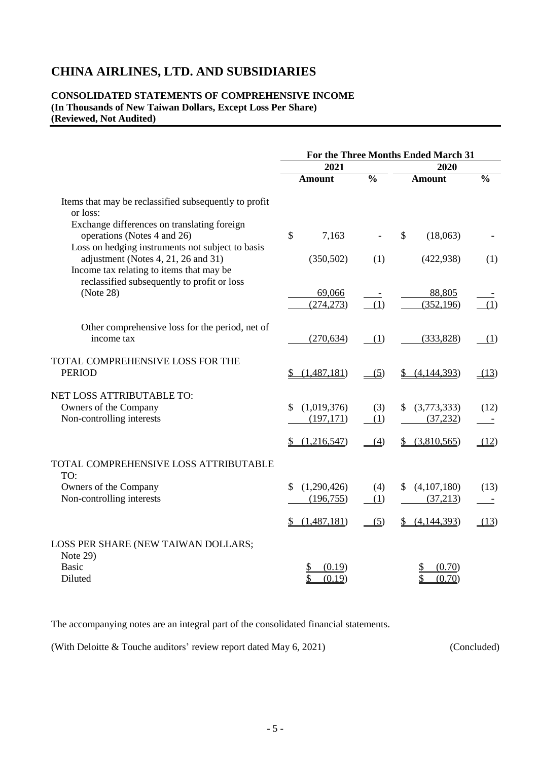### **CONSOLIDATED STATEMENTS OF COMPREHENSIVE INCOME (In Thousands of New Taiwan Dollars, Except Loss Per Share) (Reviewed, Not Audited)**

|                                                                                                                                     | For the Three Months Ended March 31 |               |                           |               |
|-------------------------------------------------------------------------------------------------------------------------------------|-------------------------------------|---------------|---------------------------|---------------|
|                                                                                                                                     | 2021                                |               | 2020                      |               |
|                                                                                                                                     | <b>Amount</b>                       | $\frac{0}{0}$ | <b>Amount</b>             | $\frac{0}{0}$ |
| Items that may be reclassified subsequently to profit<br>or loss:                                                                   |                                     |               |                           |               |
| Exchange differences on translating foreign<br>operations (Notes 4 and 26)                                                          | \$<br>7,163                         |               | $\mathcal{S}$<br>(18,063) |               |
| Loss on hedging instruments not subject to basis<br>adjustment (Notes 4, 21, 26 and 31)<br>Income tax relating to items that may be | (350, 502)                          | (1)           | (422, 938)                | (1)           |
| reclassified subsequently to profit or loss<br>(Note 28)                                                                            | 69,066<br>(274, 273)                | (1)           | 88,805<br>(352, 196)      | (1)           |
| Other comprehensive loss for the period, net of<br>income tax                                                                       | (270, 634)                          | (1)           | (333, 828)                | (1)           |
| TOTAL COMPREHENSIVE LOSS FOR THE<br><b>PERIOD</b>                                                                                   | (1,487,181)                         | (5)           | (4,144,393)               | (13)          |
| NET LOSS ATTRIBUTABLE TO:<br>Owners of the Company<br>Non-controlling interests                                                     | \$<br>(1,019,376)<br>(197, 171)     | (3)<br>(1)    | (3,773,333)<br>(37, 232)  | (12)          |
|                                                                                                                                     | (1,216,547)                         | (4)           | (3,810,565)<br>\$         | (12)          |
| TOTAL COMPREHENSIVE LOSS ATTRIBUTABLE<br>TO:                                                                                        |                                     |               |                           |               |
| Owners of the Company                                                                                                               | \$<br>(1,290,426)                   | (4)           | (4,107,180)<br>\$         | (13)          |
| Non-controlling interests                                                                                                           | (196, 755)                          | (1)           | (37,213)                  |               |
|                                                                                                                                     | (1,487,181)                         | (5)           | (4,144,393)<br>\$         | (13)          |
| LOSS PER SHARE (NEW TAIWAN DOLLARS;<br>Note 29)                                                                                     |                                     |               |                           |               |
| <b>Basic</b>                                                                                                                        | (0.19)                              |               | (0.70)                    |               |
| Diluted                                                                                                                             | \$<br>(0.19)                        |               | (0.70)                    |               |

The accompanying notes are an integral part of the consolidated financial statements.

(With Deloitte & Touche auditors' review report dated May 6, 2021) (Concluded)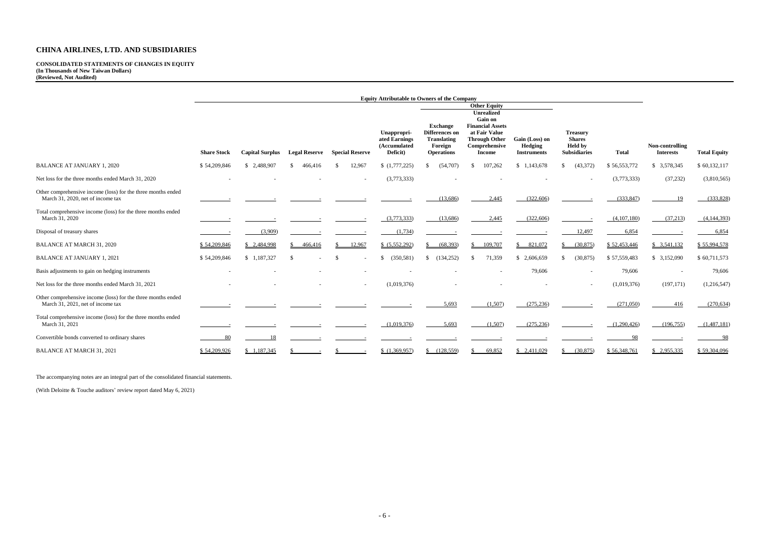**CONSOLIDATED STATEMENTS OF CHANGES IN EQUITY (In Thousands of New Taiwan Dollars) (Reviewed, Not Audited)**

|                                                                                                   | <b>Equity Attributable to Owners of the Company</b> |                        |                      |                        |                                                          |                                                                                         |                                                                                                                                                                  |                                                        |                                                                           |              |                                     |                     |
|---------------------------------------------------------------------------------------------------|-----------------------------------------------------|------------------------|----------------------|------------------------|----------------------------------------------------------|-----------------------------------------------------------------------------------------|------------------------------------------------------------------------------------------------------------------------------------------------------------------|--------------------------------------------------------|---------------------------------------------------------------------------|--------------|-------------------------------------|---------------------|
|                                                                                                   | <b>Share Stock</b>                                  | <b>Capital Surplus</b> | <b>Legal Reserve</b> | <b>Special Reserve</b> | Unappropri-<br>ated Earnings<br>(Accumulated<br>Deficit) | <b>Exchange</b><br>Differences on<br><b>Translating</b><br>Foreign<br><b>Operations</b> | <b>Other Equity</b><br><b>Unrealized</b><br><b>Gain on</b><br><b>Financial Assets</b><br>at Fair Value<br><b>Through Other</b><br>Comprehensive<br><b>Income</b> | Gain (Loss) on<br><b>Hedging</b><br><b>Instruments</b> | <b>Treasury</b><br><b>Shares</b><br><b>Held</b> by<br><b>Subsidiaries</b> | <b>Total</b> | Non-controlling<br><b>Interests</b> | <b>Total Equity</b> |
| <b>BALANCE AT JANUARY 1, 2020</b>                                                                 | \$54,209,846                                        | \$2,488,907            | 466,416<br>S.        | 12,967                 | (1,777,225)                                              | (54,707)                                                                                | 107,262<br>-8                                                                                                                                                    | \$1,143,678                                            | (43,372)                                                                  | \$56,553,772 | \$ 3,578,345                        | \$60,132,117        |
| Net loss for the three months ended March 31, 2020                                                |                                                     |                        |                      |                        | (3,773,333)                                              |                                                                                         |                                                                                                                                                                  |                                                        |                                                                           | (3,773,333)  | (37,232)                            | (3,810,565)         |
| Other comprehensive income (loss) for the three months ended<br>March 31, 2020, net of income tax |                                                     |                        |                      |                        |                                                          | (13,686)                                                                                | 2,445                                                                                                                                                            | (322,606)                                              |                                                                           | (333, 847)   | 19                                  | (333,828)           |
| Total comprehensive income (loss) for the three months ended<br>March 31, 2020                    |                                                     |                        |                      |                        | (3,773,333)                                              | (13,686)                                                                                | 2,445                                                                                                                                                            | (322,606)                                              |                                                                           | (4,107,180)  | (37,213)                            | (4,144,393)         |
| Disposal of treasury shares                                                                       |                                                     | (3,909)                |                      |                        | (1,734)                                                  |                                                                                         |                                                                                                                                                                  |                                                        | 12,497                                                                    | 6,854        |                                     | 6,854               |
| <b>BALANCE AT MARCH 31, 2020</b>                                                                  | \$54,209,846                                        | \$2,484,998            | 466,416              | 12,967                 | \$ (5,552,292)                                           | (68, 393)                                                                               | 109,707<br>-S                                                                                                                                                    | \$821,072                                              | (30,875)                                                                  | \$52,453,446 | \$3,541,132                         | \$55,994,578        |
| <b>BALANCE AT JANUARY 1, 2021</b>                                                                 | \$54,209,846                                        | \$1,187,327            | $\mathcal{S}$        |                        | (350, 581)                                               | (134, 252)<br>$\mathbb{S}$                                                              | 71,359<br>-\$                                                                                                                                                    | \$2,606,659                                            | (30, 875)                                                                 | \$57,559,483 | \$3,152,090                         | \$60,711,573        |
| Basis adjustments to gain on hedging instruments                                                  |                                                     |                        |                      |                        |                                                          |                                                                                         |                                                                                                                                                                  | 79,606                                                 |                                                                           | 79,606       |                                     | 79,606              |
| Net loss for the three months ended March 31, 2021                                                |                                                     |                        |                      |                        | (1,019,376)                                              |                                                                                         |                                                                                                                                                                  |                                                        |                                                                           | (1,019,376)  | (197, 171)                          | (1,216,547)         |
| Other comprehensive income (loss) for the three months ended<br>March 31, 2021, net of income tax |                                                     |                        |                      |                        |                                                          | 5,693                                                                                   | (1,507)                                                                                                                                                          | (275, 236)                                             |                                                                           | (271,050)    | 416                                 | (270, 634)          |
| Total comprehensive income (loss) for the three months ended<br>March 31, 2021                    |                                                     |                        |                      |                        | (1,019,376)                                              | 5,693                                                                                   | (1,507)                                                                                                                                                          | (275, 236)                                             |                                                                           | (1,290,426)  | (196, 755)                          | (1,487,181)         |
| Convertible bonds converted to ordinary shares                                                    | -80                                                 |                        |                      |                        |                                                          |                                                                                         |                                                                                                                                                                  |                                                        |                                                                           |              |                                     | 98                  |
| <b>BALANCE AT MARCH 31, 2021</b>                                                                  | \$54,209,926                                        | \$1,187,345            |                      |                        | (1,369,957)                                              | \$ (128,559)                                                                            | 69,852                                                                                                                                                           | \$2,411,029                                            | (30,875)                                                                  | \$56,348,761 | \$2,955,335                         | \$59,304,096        |

The accompanying notes are an integral part of the consolidated financial statements.

(With Deloitte & Touche auditors' review report dated May 6, 2021)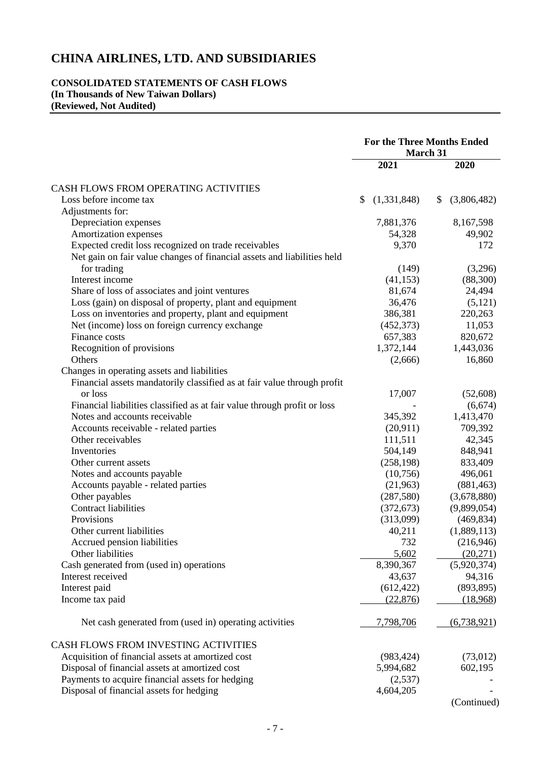## **CONSOLIDATED STATEMENTS OF CASH FLOWS (In Thousands of New Taiwan Dollars) (Reviewed, Not Audited)**

|                                                                          | <b>For the Three Months Ended</b> |                   |  |
|--------------------------------------------------------------------------|-----------------------------------|-------------------|--|
|                                                                          | March 31                          |                   |  |
|                                                                          | 2021                              | 2020              |  |
| CASH FLOWS FROM OPERATING ACTIVITIES                                     |                                   |                   |  |
| Loss before income tax                                                   | (1,331,848)<br>\$                 | (3,806,482)<br>\$ |  |
| Adjustments for:                                                         |                                   |                   |  |
| Depreciation expenses                                                    | 7,881,376                         | 8,167,598         |  |
| Amortization expenses                                                    | 54,328                            | 49,902            |  |
| Expected credit loss recognized on trade receivables                     | 9,370                             | 172               |  |
| Net gain on fair value changes of financial assets and liabilities held  |                                   |                   |  |
| for trading                                                              | (149)                             | (3,296)           |  |
| Interest income                                                          | (41, 153)                         | (88,300)          |  |
| Share of loss of associates and joint ventures                           | 81,674                            | 24,494            |  |
| Loss (gain) on disposal of property, plant and equipment                 | 36,476                            | (5,121)           |  |
| Loss on inventories and property, plant and equipment                    | 386,381                           | 220,263           |  |
| Net (income) loss on foreign currency exchange                           | (452, 373)                        | 11,053            |  |
| Finance costs                                                            | 657,383                           | 820,672           |  |
| Recognition of provisions                                                | 1,372,144                         | 1,443,036         |  |
| Others                                                                   | (2,666)                           | 16,860            |  |
| Changes in operating assets and liabilities                              |                                   |                   |  |
| Financial assets mandatorily classified as at fair value through profit  |                                   |                   |  |
| or loss                                                                  | 17,007                            | (52,608)          |  |
| Financial liabilities classified as at fair value through profit or loss |                                   | (6,674)           |  |
| Notes and accounts receivable                                            | 345,392                           | 1,413,470         |  |
| Accounts receivable - related parties                                    | (20,911)                          | 709,392           |  |
| Other receivables                                                        | 111,511                           | 42,345            |  |
| Inventories                                                              | 504,149                           | 848,941           |  |
| Other current assets                                                     | (258, 198)                        | 833,409           |  |
| Notes and accounts payable                                               | (10,756)                          | 496,061           |  |
| Accounts payable - related parties                                       | (21,963)                          | (881, 463)        |  |
| Other payables                                                           | (287, 580)                        | (3,678,880)       |  |
| <b>Contract liabilities</b>                                              | (372, 673)                        | (9,899,054)       |  |
| Provisions                                                               | (313,099)                         | (469, 834)        |  |
| Other current liabilities                                                | 40,211                            | (1,889,113)       |  |
| Accrued pension liabilities                                              | 732                               | (216,946)         |  |
| Other liabilities                                                        | 5,602                             | (20,271)          |  |
| Cash generated from (used in) operations                                 | 8,390,367                         | (5,920,374)       |  |
| Interest received                                                        | 43,637                            | 94,316            |  |
| Interest paid                                                            | (612, 422)                        | (893, 895)        |  |
| Income tax paid                                                          | (22, 876)                         | (18,968)          |  |
| Net cash generated from (used in) operating activities                   | 7,798,706                         | (6, 738, 921)     |  |
|                                                                          |                                   |                   |  |
| CASH FLOWS FROM INVESTING ACTIVITIES                                     |                                   |                   |  |
| Acquisition of financial assets at amortized cost                        | (983, 424)                        | (73,012)          |  |
| Disposal of financial assets at amortized cost                           | 5,994,682                         | 602,195           |  |
| Payments to acquire financial assets for hedging                         | (2,537)                           |                   |  |
| Disposal of financial assets for hedging                                 | 4,604,205                         |                   |  |
|                                                                          |                                   | (Continued)       |  |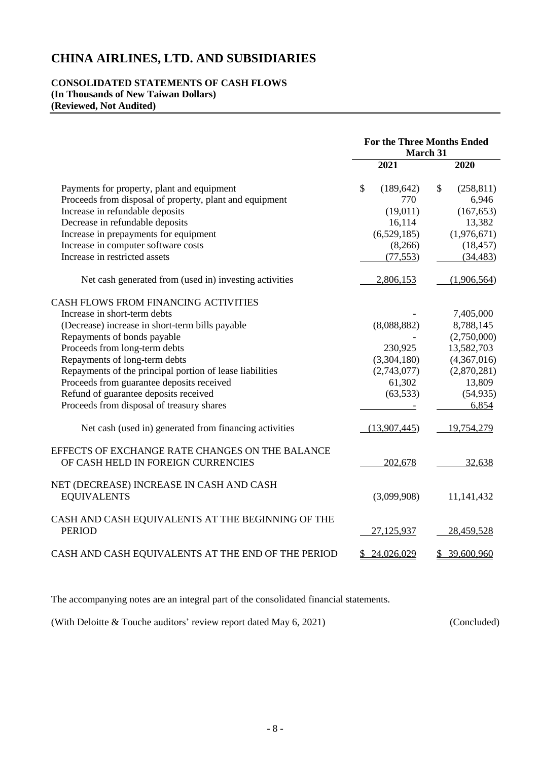### **CONSOLIDATED STATEMENTS OF CASH FLOWS (In Thousands of New Taiwan Dollars) (Reviewed, Not Audited)**

|                                                          | <b>For the Three Months Ended</b><br>March 31 |              |    |             |
|----------------------------------------------------------|-----------------------------------------------|--------------|----|-------------|
|                                                          |                                               | 2021         |    | 2020        |
| Payments for property, plant and equipment               | \$                                            | (189, 642)   | \$ | (258, 811)  |
| Proceeds from disposal of property, plant and equipment  |                                               | 770          |    | 6,946       |
| Increase in refundable deposits                          |                                               | (19,011)     |    | (167, 653)  |
| Decrease in refundable deposits                          |                                               | 16,114       |    | 13,382      |
| Increase in prepayments for equipment                    |                                               | (6,529,185)  |    | (1,976,671) |
| Increase in computer software costs                      |                                               | (8,266)      |    | (18, 457)   |
| Increase in restricted assets                            |                                               | (77, 553)    |    | (34, 483)   |
| Net cash generated from (used in) investing activities   |                                               | 2,806,153    |    | (1,906,564) |
| CASH FLOWS FROM FINANCING ACTIVITIES                     |                                               |              |    |             |
| Increase in short-term debts                             |                                               |              |    | 7,405,000   |
| (Decrease) increase in short-term bills payable          |                                               | (8,088,882)  |    | 8,788,145   |
| Repayments of bonds payable                              |                                               |              |    | (2,750,000) |
| Proceeds from long-term debts                            |                                               | 230,925      |    | 13,582,703  |
| Repayments of long-term debts                            |                                               | (3,304,180)  |    | (4,367,016) |
| Repayments of the principal portion of lease liabilities |                                               | (2,743,077)  |    | (2,870,281) |
| Proceeds from guarantee deposits received                |                                               | 61,302       |    | 13,809      |
| Refund of guarantee deposits received                    |                                               | (63, 533)    |    | (54, 935)   |
| Proceeds from disposal of treasury shares                |                                               |              |    | 6,854       |
| Net cash (used in) generated from financing activities   |                                               | (13,907,445) |    | 19,754,279  |
| EFFECTS OF EXCHANGE RATE CHANGES ON THE BALANCE          |                                               |              |    |             |
| OF CASH HELD IN FOREIGN CURRENCIES                       |                                               | 202,678      |    | 32,638      |
| NET (DECREASE) INCREASE IN CASH AND CASH                 |                                               |              |    |             |
| <b>EQUIVALENTS</b>                                       |                                               | (3,099,908)  |    | 11,141,432  |
| CASH AND CASH EQUIVALENTS AT THE BEGINNING OF THE        |                                               |              |    |             |
| <b>PERIOD</b>                                            |                                               | 27,125,937   |    | 28,459,528  |
| CASH AND CASH EQUIVALENTS AT THE END OF THE PERIOD       |                                               | \$24,026,029 | \$ | 39,600,960  |

The accompanying notes are an integral part of the consolidated financial statements.

(With Deloitte & Touche auditors' review report dated May 6, 2021) (Concluded)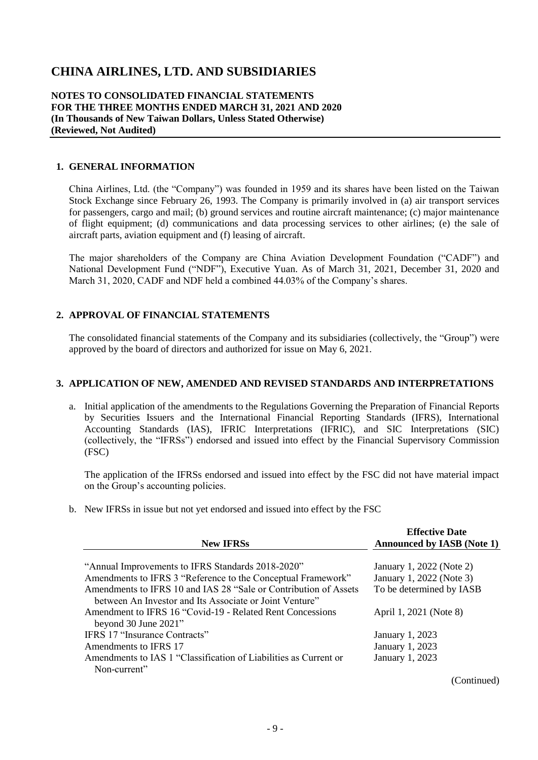#### **NOTES TO CONSOLIDATED FINANCIAL STATEMENTS FOR THE THREE MONTHS ENDED MARCH 31, 2021 AND 2020 (In Thousands of New Taiwan Dollars, Unless Stated Otherwise) (Reviewed, Not Audited)**

#### **1. GENERAL INFORMATION**

China Airlines, Ltd. (the "Company") was founded in 1959 and its shares have been listed on the Taiwan Stock Exchange since February 26, 1993. The Company is primarily involved in (a) air transport services for passengers, cargo and mail; (b) ground services and routine aircraft maintenance; (c) major maintenance of flight equipment; (d) communications and data processing services to other airlines; (e) the sale of aircraft parts, aviation equipment and (f) leasing of aircraft.

The major shareholders of the Company are China Aviation Development Foundation ("CADF") and National Development Fund ("NDF"), Executive Yuan. As of March 31, 2021, December 31, 2020 and March 31, 2020, CADF and NDF held a combined 44.03% of the Company's shares.

### **2. APPROVAL OF FINANCIAL STATEMENTS**

The consolidated financial statements of the Company and its subsidiaries (collectively, the "Group") were approved by the board of directors and authorized for issue on May 6, 2021.

#### **3. APPLICATION OF NEW, AMENDED AND REVISED STANDARDS AND INTERPRETATIONS**

a. Initial application of the amendments to the Regulations Governing the Preparation of Financial Reports by Securities Issuers and the International Financial Reporting Standards (IFRS), International Accounting Standards (IAS), IFRIC Interpretations (IFRIC), and SIC Interpretations (SIC) (collectively, the "IFRSs") endorsed and issued into effect by the Financial Supervisory Commission (FSC)

The application of the IFRSs endorsed and issued into effect by the FSC did not have material impact on the Group's accounting policies.

b. New IFRSs in issue but not yet endorsed and issued into effect by the FSC

| <b>New IFRSs</b>                                                 | <b>Effective Date</b><br><b>Announced by IASB (Note 1)</b> |
|------------------------------------------------------------------|------------------------------------------------------------|
|                                                                  |                                                            |
| "Annual Improvements to IFRS Standards 2018-2020"                | January 1, 2022 (Note 2)                                   |
| Amendments to IFRS 3 "Reference to the Conceptual Framework"     | January 1, 2022 (Note 3)                                   |
| Amendments to IFRS 10 and IAS 28 "Sale or Contribution of Assets | To be determined by IASB                                   |
| between An Investor and Its Associate or Joint Venture"          |                                                            |
| Amendment to IFRS 16 "Covid-19 - Related Rent Concessions"       | April 1, 2021 (Note 8)                                     |
| beyond 30 June 2021"                                             |                                                            |
| <b>IFRS 17 "Insurance Contracts"</b>                             | <b>January 1, 2023</b>                                     |
| Amendments to IFRS 17                                            | January 1, 2023                                            |
| Amendments to IAS 1 "Classification of Liabilities as Current or | January 1, 2023                                            |
| Non-current"                                                     |                                                            |
|                                                                  | (Continued)                                                |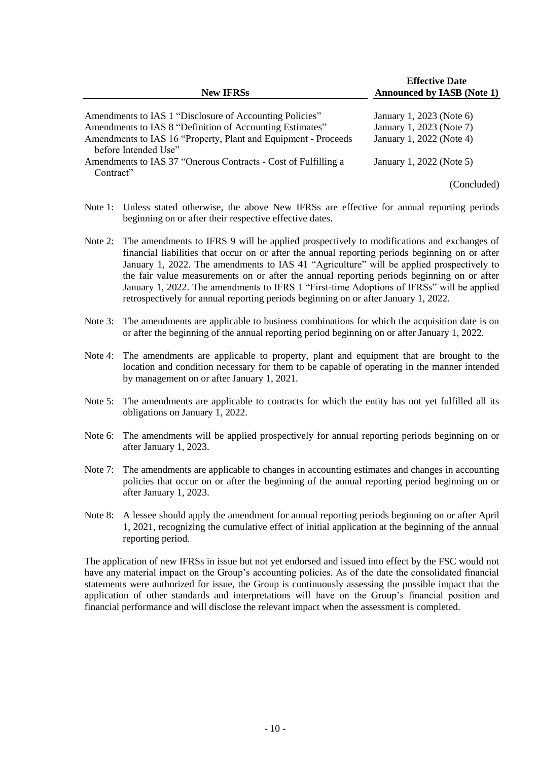| <b>New IFRSs</b>                                               | <b>Effective Date</b><br><b>Announced by IASB (Note 1)</b> |
|----------------------------------------------------------------|------------------------------------------------------------|
| Amendments to IAS 1 "Disclosure of Accounting Policies"        | January 1, 2023 (Note 6)                                   |
| Amendments to IAS 8 "Definition of Accounting Estimates"       | January 1, 2023 (Note 7)                                   |
| Amendments to IAS 16 "Property, Plant and Equipment - Proceeds | January 1, 2022 (Note 4)                                   |
| before Intended Use"                                           |                                                            |
| Amendments to IAS 37 "Onerous Contracts - Cost of Fulfilling a | January 1, 2022 (Note 5)                                   |
| Contract"                                                      |                                                            |

(Concluded)

- Note 1: Unless stated otherwise, the above New IFRSs are effective for annual reporting periods beginning on or after their respective effective dates.
- Note 2: The amendments to IFRS 9 will be applied prospectively to modifications and exchanges of financial liabilities that occur on or after the annual reporting periods beginning on or after January 1, 2022. The amendments to IAS 41 "Agriculture" will be applied prospectively to the fair value measurements on or after the annual reporting periods beginning on or after January 1, 2022. The amendments to IFRS 1 "First-time Adoptions of IFRSs" will be applied retrospectively for annual reporting periods beginning on or after January 1, 2022.
- Note 3: The amendments are applicable to business combinations for which the acquisition date is on or after the beginning of the annual reporting period beginning on or after January 1, 2022.
- Note 4: The amendments are applicable to property, plant and equipment that are brought to the location and condition necessary for them to be capable of operating in the manner intended by management on or after January 1, 2021.
- Note 5: The amendments are applicable to contracts for which the entity has not yet fulfilled all its obligations on January 1, 2022.
- Note 6: The amendments will be applied prospectively for annual reporting periods beginning on or after January 1, 2023.
- Note 7: The amendments are applicable to changes in accounting estimates and changes in accounting policies that occur on or after the beginning of the annual reporting period beginning on or after January 1, 2023.
- Note 8: A lessee should apply the amendment for annual reporting periods beginning on or after April 1, 2021, recognizing the cumulative effect of initial application at the beginning of the annual reporting period.

The application of new IFRSs in issue but not yet endorsed and issued into effect by the FSC would not have any material impact on the Group's accounting policies. As of the date the consolidated financial statements were authorized for issue, the Group is continuously assessing the possible impact that the application of other standards and interpretations will have on the Group's financial position and financial performance and will disclose the relevant impact when the assessment is completed.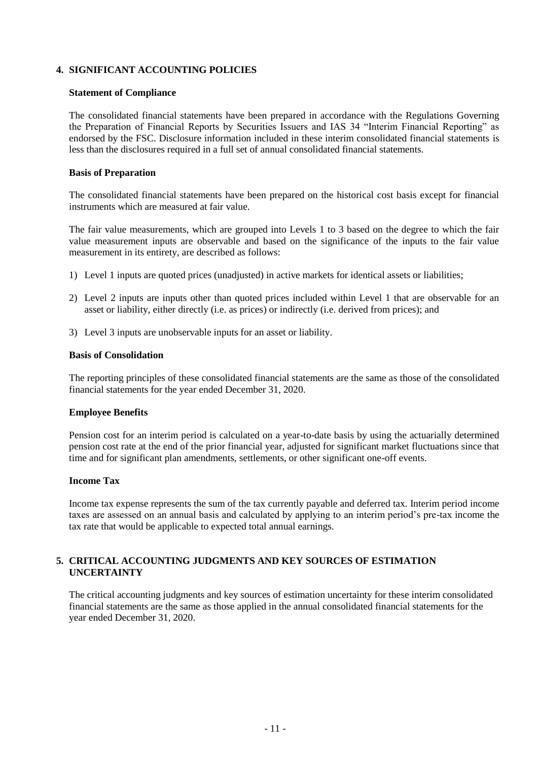## **4. SIGNIFICANT ACCOUNTING POLICIES**

#### **Statement of Compliance**

The consolidated financial statements have been prepared in accordance with the Regulations Governing the Preparation of Financial Reports by Securities Issuers and IAS 34 "Interim Financial Reporting" as endorsed by the FSC. Disclosure information included in these interim consolidated financial statements is less than the disclosures required in a full set of annual consolidated financial statements.

#### **Basis of Preparation**

The consolidated financial statements have been prepared on the historical cost basis except for financial instruments which are measured at fair value.

The fair value measurements, which are grouped into Levels 1 to 3 based on the degree to which the fair value measurement inputs are observable and based on the significance of the inputs to the fair value measurement in its entirety, are described as follows:

- 1) Level 1 inputs are quoted prices (unadjusted) in active markets for identical assets or liabilities;
- 2) Level 2 inputs are inputs other than quoted prices included within Level 1 that are observable for an asset or liability, either directly (i.e. as prices) or indirectly (i.e. derived from prices); and
- 3) Level 3 inputs are unobservable inputs for an asset or liability.

#### **Basis of Consolidation**

The reporting principles of these consolidated financial statements are the same as those of the consolidated financial statements for the year ended December 31, 2020.

#### **Employee Benefits**

Pension cost for an interim period is calculated on a year-to-date basis by using the actuarially determined pension cost rate at the end of the prior financial year, adjusted for significant market fluctuations since that time and for significant plan amendments, settlements, or other significant one-off events.

#### **Income Tax**

Income tax expense represents the sum of the tax currently payable and deferred tax. Interim period income taxes are assessed on an annual basis and calculated by applying to an interim period's pre-tax income the tax rate that would be applicable to expected total annual earnings.

## **5. CRITICAL ACCOUNTING JUDGMENTS AND KEY SOURCES OF ESTIMATION UNCERTAINTY**

The critical accounting judgments and key sources of estimation uncertainty for these interim consolidated financial statements are the same as those applied in the annual consolidated financial statements for the year ended December 31, 2020.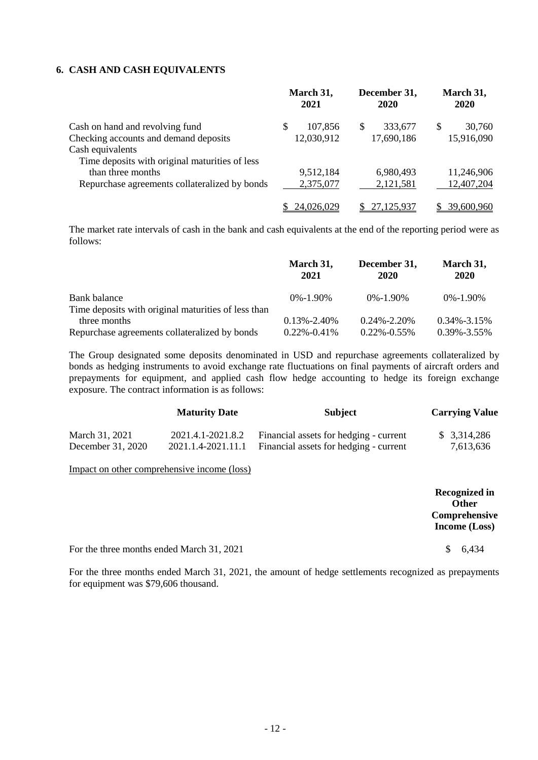### **6. CASH AND CASH EQUIVALENTS**

|                                                | March 31,<br>2021 | December 31,<br>2020 | March 31,<br>2020 |
|------------------------------------------------|-------------------|----------------------|-------------------|
| Cash on hand and revolving fund                | 107,856<br>S      | 333,677<br>\$.       | 30,760<br>S       |
| Checking accounts and demand deposits          | 12,030,912        | 17,690,186           | 15,916,090        |
| Cash equivalents                               |                   |                      |                   |
| Time deposits with original maturities of less |                   |                      |                   |
| than three months                              | 9,512,184         | 6,980,493            | 11,246,906        |
| Repurchase agreements collateralized by bonds  | 2,375,077         | 2,121,581            | 12,407,204        |
|                                                | 24,026,029        | 27,125,937           | 39,600,960        |

The market rate intervals of cash in the bank and cash equivalents at the end of the reporting period were as follows:

|                                                                     | March 31,<br>2021 | December 31,<br>2020 | March 31,<br>2020 |
|---------------------------------------------------------------------|-------------------|----------------------|-------------------|
| Bank balance<br>Time deposits with original maturities of less than | $0\% - 1.90\%$    | $0\% - 1.90\%$       | $0\% - 1.90\%$    |
| three months                                                        | $0.13\% - 2.40\%$ | $0.24\% - 2.20\%$    | $0.34\% - 3.15\%$ |
| Repurchase agreements collateralized by bonds                       | $0.22\% - 0.41\%$ | $0.22\% -0.55\%$     | $0.39\% -3.55\%$  |

The Group designated some deposits denominated in USD and repurchase agreements collateralized by bonds as hedging instruments to avoid exchange rate fluctuations on final payments of aircraft orders and prepayments for equipment, and applied cash flow hedge accounting to hedge its foreign exchange exposure. The contract information is as follows:

|                   | <b>Maturity Date</b> | <b>Subject</b>                         | <b>Carrying Value</b> |
|-------------------|----------------------|----------------------------------------|-----------------------|
| March 31, 2021    | 2021.4.1-2021.8.2    | Financial assets for hedging - current | \$3,314,286           |
| December 31, 2020 | 2021.1.4-2021.11.1   | Financial assets for hedging - current | 7,613,636             |

Impact on other comprehensive income (loss)

|                                           | <b>Recognized in</b><br><b>Other</b> |
|-------------------------------------------|--------------------------------------|
|                                           | Comprehensive<br>Income $(Loss)$     |
| For the three months ended March 31, 2021 | 6.434                                |

For the three months ended March 31, 2021, the amount of hedge settlements recognized as prepayments for equipment was \$79,606 thousand.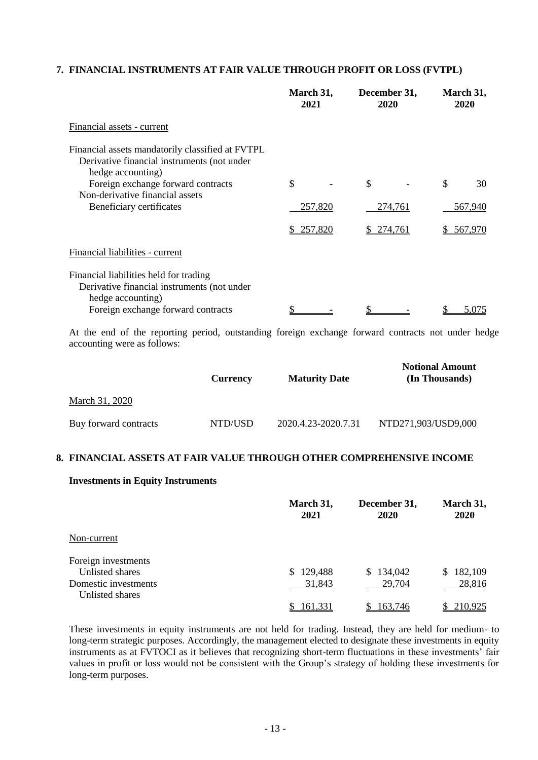## **7. FINANCIAL INSTRUMENTS AT FAIR VALUE THROUGH PROFIT OR LOSS (FVTPL)**

|                                                                                                                      | March 31,<br>2021 | December 31,<br>2020 | March 31,<br>2020 |
|----------------------------------------------------------------------------------------------------------------------|-------------------|----------------------|-------------------|
| Financial assets - current                                                                                           |                   |                      |                   |
| Financial assets mandatorily classified at FVTPL<br>Derivative financial instruments (not under<br>hedge accounting) |                   |                      |                   |
| Foreign exchange forward contracts                                                                                   | \$                | \$                   | \$<br>30          |
| Non-derivative financial assets<br>Beneficiary certificates                                                          | 257,820           | 274,761              | 567,940           |
|                                                                                                                      | \$257,820         | \$ 274,761           | \$ 567,970        |
| Financial liabilities - current                                                                                      |                   |                      |                   |
| Financial liabilities held for trading<br>Derivative financial instruments (not under<br>hedge accounting)           |                   |                      |                   |
| Foreign exchange forward contracts                                                                                   |                   |                      | 5,075             |
| At the and of the reporting period, outgrading foreign exchange forward contracts not under hed                      |                   |                      |                   |

At the end of the reporting period, outstanding foreign exchange forward contracts not under hedge accounting were as follows:

|                       | <b>Currency</b> | <b>Maturity Date</b> | <b>Notional Amount</b><br>(In Thousands) |
|-----------------------|-----------------|----------------------|------------------------------------------|
| March 31, 2020        |                 |                      |                                          |
| Buy forward contracts | NTD/USD         | 2020.4.23-2020.7.31  | NTD271,903/USD9,000                      |

#### **8. FINANCIAL ASSETS AT FAIR VALUE THROUGH OTHER COMPREHENSIVE INCOME**

#### **Investments in Equity Instruments**

|                      | March 31,<br>2021 | December 31,<br>2020 | March 31,<br>2020 |
|----------------------|-------------------|----------------------|-------------------|
| Non-current          |                   |                      |                   |
| Foreign investments  |                   |                      |                   |
| Unlisted shares      | 129,488<br>\$.    | \$134,042            | 182,109<br>S.     |
| Domestic investments | 31,843            | 29,704               | 28,816            |
| Unlisted shares      |                   |                      |                   |
|                      | 161.331           | 163.746              | 210.925           |

These investments in equity instruments are not held for trading. Instead, they are held for medium- to long-term strategic purposes. Accordingly, the management elected to designate these investments in equity instruments as at FVTOCI as it believes that recognizing short-term fluctuations in these investments' fair values in profit or loss would not be consistent with the Group's strategy of holding these investments for long-term purposes.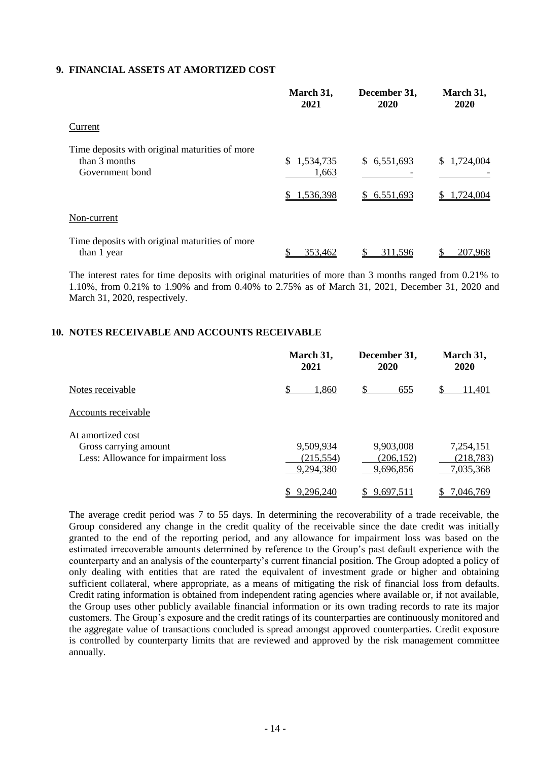### **9. FINANCIAL ASSETS AT AMORTIZED COST**

|                                                                                    | March 31,<br>2021                 | December 31,<br>2020       | March 31,<br>2020       |
|------------------------------------------------------------------------------------|-----------------------------------|----------------------------|-------------------------|
| Current                                                                            |                                   |                            |                         |
| Time deposits with original maturities of more<br>than 3 months<br>Government bond | \$1,534,735<br>1,663<br>1,536,398 | \$6,551,693<br>\$6,551,693 | \$1,724,004<br>,724,004 |
| Non-current                                                                        |                                   |                            |                         |
| Time deposits with original maturities of more<br>than 1 year                      | 353,462                           | 311,596                    | 207,968                 |

The interest rates for time deposits with original maturities of more than 3 months ranged from 0.21% to 1.10%, from 0.21% to 1.90% and from 0.40% to 2.75% as of March 31, 2021, December 31, 2020 and March 31, 2020, respectively.

#### **10. NOTES RECEIVABLE AND ACCOUNTS RECEIVABLE**

|                                     | March 31,  | December 31, | March 31,  |
|-------------------------------------|------------|--------------|------------|
|                                     | 2021       | 2020         | 2020       |
| Notes receivable                    | \$         | \$           | S          |
|                                     | 1,860      | 655          | 11,401     |
| Accounts receivable                 |            |              |            |
| At amortized cost                   | 9,509,934  | 9,903,008    | 7,254,151  |
| Gross carrying amount               | (215, 554) | (206, 152)   | (218, 783) |
| Less: Allowance for impairment loss | 9,294,380  | 9,696,856    | 7,035,368  |
|                                     | 9,296,240  | 9,697,511    | 7,046,769  |

The average credit period was 7 to 55 days. In determining the recoverability of a trade receivable, the Group considered any change in the credit quality of the receivable since the date credit was initially granted to the end of the reporting period, and any allowance for impairment loss was based on the estimated irrecoverable amounts determined by reference to the Group's past default experience with the counterparty and an analysis of the counterparty's current financial position. The Group adopted a policy of only dealing with entities that are rated the equivalent of investment grade or higher and obtaining sufficient collateral, where appropriate, as a means of mitigating the risk of financial loss from defaults. Credit rating information is obtained from independent rating agencies where available or, if not available, the Group uses other publicly available financial information or its own trading records to rate its major customers. The Group's exposure and the credit ratings of its counterparties are continuously monitored and the aggregate value of transactions concluded is spread amongst approved counterparties. Credit exposure is controlled by counterparty limits that are reviewed and approved by the risk management committee annually.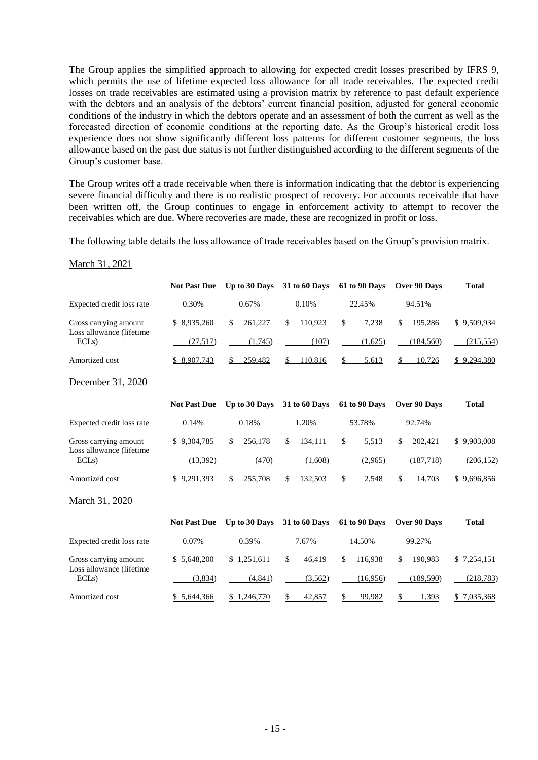The Group applies the simplified approach to allowing for expected credit losses prescribed by IFRS 9, which permits the use of lifetime expected loss allowance for all trade receivables. The expected credit losses on trade receivables are estimated using a provision matrix by reference to past default experience with the debtors and an analysis of the debtors' current financial position, adjusted for general economic conditions of the industry in which the debtors operate and an assessment of both the current as well as the forecasted direction of economic conditions at the reporting date. As the Group's historical credit loss experience does not show significantly different loss patterns for different customer segments, the loss allowance based on the past due status is not further distinguished according to the different segments of the Group's customer base.

The Group writes off a trade receivable when there is information indicating that the debtor is experiencing severe financial difficulty and there is no realistic prospect of recovery. For accounts receivable that have been written off, the Group continues to engage in enforcement activity to attempt to recover the receivables which are due. Where recoveries are made, these are recognized in profit or loss.

The following table details the loss allowance of trade receivables based on the Group's provision matrix.

|                                  | <b>Not Past Due</b> | Up to 30 Days 31 to 60 Days |                | 61 to 90 Days | Over 90 Days  | <b>Total</b> |
|----------------------------------|---------------------|-----------------------------|----------------|---------------|---------------|--------------|
| Expected credit loss rate        | 0.30%               | 0.67%                       | 0.10%          | 22.45%        | 94.51%        |              |
| Gross carrying amount            | \$8,935,260         | \$<br>261,227               | 110,923<br>\$  | \$<br>7,238   | \$<br>195,286 | \$9,509,934  |
| Loss allowance (lifetime<br>ECLs | (27,517)            | (1,745)                     | (107)          | (1,625)       | (184, 560)    | (215, 554)   |
| Amortized cost                   | \$ 8,907,743        | 259,482<br>\$               | 110,816<br>\$. | \$<br>5,613   | \$<br>10,726  | \$9,294,380  |
| December 31, 2020                |                     |                             |                |               |               |              |
|                                  | <b>Not Past Due</b> | Up to 30 Days               | 31 to 60 Days  | 61 to 90 Days | Over 90 Days  | <b>Total</b> |
| Expected credit loss rate        | 0.14%               | 0.18%                       | 1.20%          | 53.78%        | 92.74%        |              |
| Gross carrying amount            | \$9,304,785         | \$<br>256,178               | 134,111<br>\$  | \$<br>5,513   | \$<br>202,421 | \$9,903,008  |
| Loss allowance (lifetime<br>ECLs | (13,392)            | (470)                       | (1,608)        | (2,965)       | (187,718)     | (206, 152)   |
| Amortized cost                   | \$9,291,393         | \$<br>255,708               | \$<br>132,503  | 2,548<br>\$   | 14,703        | \$9,696,856  |
| March 31, 2020                   |                     |                             |                |               |               |              |
|                                  | <b>Not Past Due</b> | Up to 30 Days               | 31 to 60 Days  | 61 to 90 Days | Over 90 Days  | <b>Total</b> |
| Expected credit loss rate        | $0.07\%$            | 0.39%                       | 7.67%          | 14.50%        | 99.27%        |              |
| Gross carrying amount            | \$5,648,200         | \$1,251,611                 | \$<br>46,419   | \$<br>116,938 | \$<br>190,983 | \$7,254,151  |
| Loss allowance (lifetime<br>ECLs | (3,834)             | (4, 841)                    | (3,562)        | (16,956)      | (189, 590)    | (218, 783)   |
| Amortized cost                   | \$5,644,366         | \$1,246,770                 | \$<br>42,857   | \$<br>99,982  | \$<br>1,393   | \$7,035,368  |

March 31, 2021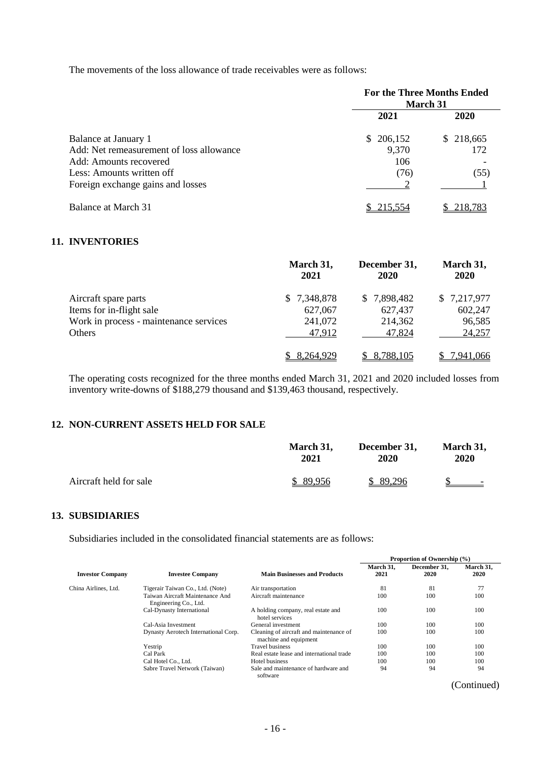The movements of the loss allowance of trade receivables were as follows:

|                                          | <b>For the Three Months Ended</b><br><b>March 31</b> |           |  |
|------------------------------------------|------------------------------------------------------|-----------|--|
|                                          | 2021                                                 | 2020      |  |
| Balance at January 1                     | 206,152<br>S.                                        | \$218,665 |  |
| Add: Net remeasurement of loss allowance | 9,370                                                | 172       |  |
| Add: Amounts recovered                   | 106                                                  |           |  |
| Less: Amounts written off                | (76)                                                 | (55)      |  |
| Foreign exchange gains and losses        |                                                      |           |  |
| Balance at March 31                      | 215.554                                              | 218.783   |  |

#### **11. INVENTORIES**

|                                        | March 31,<br>2021 | December 31,<br>2020 | March 31,<br>2020 |
|----------------------------------------|-------------------|----------------------|-------------------|
| Aircraft spare parts                   | \$ 7,348,878      | \$7,898,482          | \$7,217,977       |
| Items for in-flight sale               | 627,067           | 627,437              | 602,247           |
| Work in process - maintenance services | 241,072           | 214,362              | 96,585            |
| Others                                 | 47,912            | 47,824               | 24,257            |
|                                        | 8.264.929         | 8,788,105            | <u>7,941,066</u>  |

The operating costs recognized for the three months ended March 31, 2021 and 2020 included losses from inventory write-downs of \$188,279 thousand and \$139,463 thousand, respectively.

#### **12. NON-CURRENT ASSETS HELD FOR SALE**

|                        | March 31, | December 31, | March 31,                |
|------------------------|-----------|--------------|--------------------------|
|                        | 2021      | 2020         | 2020                     |
| Aircraft held for sale | \$89.956  | \$89,296     | $\overline{\phantom{0}}$ |

### **13. SUBSIDIARIES**

Subsidiaries included in the consolidated financial statements are as follows:

|                         | <b>Investee Company</b>                                  |                                                                  | Proportion of Ownership (%) |                      |                   |
|-------------------------|----------------------------------------------------------|------------------------------------------------------------------|-----------------------------|----------------------|-------------------|
| <b>Investor Company</b> |                                                          | <b>Main Businesses and Products</b>                              | March 31.<br>2021           | December 31.<br>2020 | March 31,<br>2020 |
| China Airlines. Ltd.    | Tigerair Taiwan Co., Ltd. (Note)                         | Air transportation                                               | 81                          | 81                   | 77                |
|                         | Taiwan Aircraft Maintenance And<br>Engineering Co., Ltd. | Aircraft maintenance                                             | 100                         | 100                  | 100               |
|                         | Cal-Dynasty International                                | A holding company, real estate and<br>hotel services             | 100                         | 100                  | 100               |
|                         | Cal-Asia Investment                                      | General investment                                               | 100                         | 100                  | 100               |
|                         | Dynasty Aerotech International Corp.                     | Cleaning of aircraft and maintenance of<br>machine and equipment | 100                         | 100                  | 100               |
|                         | Yestrip                                                  | <b>Travel business</b>                                           | 100                         | 100                  | 100               |
|                         | Cal Park                                                 | Real estate lease and international trade                        | 100                         | 100                  | 100               |
|                         | Cal Hotel Co., Ltd.                                      | Hotel business                                                   | 100                         | 100                  | 100               |
|                         | Sabre Travel Network (Taiwan)                            | Sale and maintenance of hardware and<br>software                 | 94                          | 94                   | 94                |

(Continued)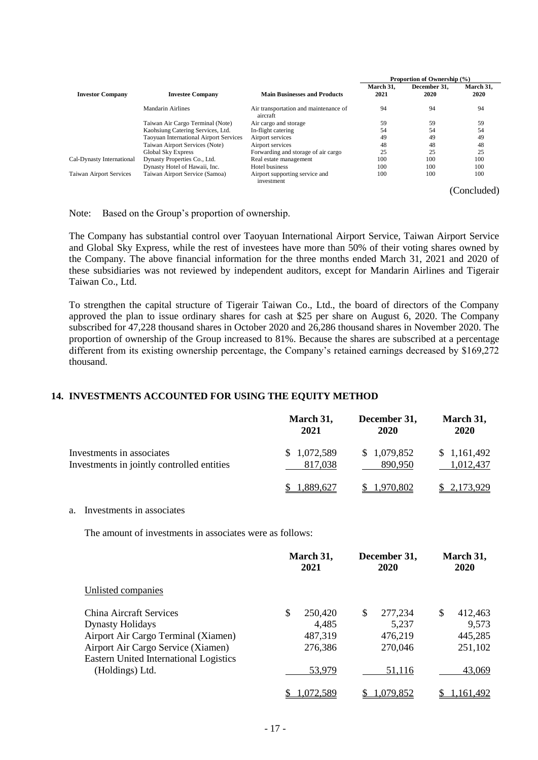|                                |                                               |                                                   | Proportion of Ownership (%) |                      |                   |
|--------------------------------|-----------------------------------------------|---------------------------------------------------|-----------------------------|----------------------|-------------------|
| <b>Investor Company</b>        | <b>Investee Company</b>                       | <b>Main Businesses and Products</b>               | March 31.<br>2021           | December 31,<br>2020 | March 31,<br>2020 |
|                                | Mandarin Airlines                             | Air transportation and maintenance of<br>aircraft | 94                          | 94                   | 94                |
|                                | Taiwan Air Cargo Terminal (Note)              | Air cargo and storage                             | 59                          | 59                   | 59                |
|                                | Kaohsiung Catering Services, Ltd.             | In-flight catering                                | 54                          | 54                   | 54                |
|                                | <b>Taoyuan International Airport Services</b> | Airport services                                  | 49                          | 49                   | 49                |
|                                | Taiwan Airport Services (Note)                | Airport services                                  | 48                          | 48                   | 48                |
|                                | <b>Global Sky Express</b>                     | Forwarding and storage of air cargo               | 25                          | 25                   | 25                |
| Cal-Dynasty International      | Dynasty Properties Co., Ltd.                  | Real estate management                            | 100                         | 100                  | 100               |
|                                | Dynasty Hotel of Hawaii, Inc.                 | Hotel business                                    | 100                         | 100                  | 100               |
| <b>Taiwan Airport Services</b> | Taiwan Airport Service (Samoa)                | Airport supporting service and<br>investment      | 100                         | 100                  | 100               |
|                                |                                               |                                                   |                             |                      | (Concluded)       |

Note: Based on the Group's proportion of ownership.

The Company has substantial control over Taoyuan International Airport Service, Taiwan Airport Service and Global Sky Express, while the rest of investees have more than 50% of their voting shares owned by the Company. The above financial information for the three months ended March 31, 2021 and 2020 of these subsidiaries was not reviewed by independent auditors, except for Mandarin Airlines and Tigerair Taiwan Co., Ltd.

To strengthen the capital structure of Tigerair Taiwan Co., Ltd., the board of directors of the Company approved the plan to issue ordinary shares for cash at \$25 per share on August 6, 2020. The Company subscribed for 47,228 thousand shares in October 2020 and 26,286 thousand shares in November 2020. The proportion of ownership of the Group increased to 81%. Because the shares are subscribed at a percentage different from its existing ownership percentage, the Company's retained earnings decreased by \$169,272 thousand.

## **14. INVESTMENTS ACCOUNTED FOR USING THE EQUITY METHOD**

|                                            | March 31,   | December 31, | March 31,   |
|--------------------------------------------|-------------|--------------|-------------|
|                                            | 2021        | 2020         | 2020        |
| Investments in associates                  | \$1,072,589 | \$1,079,852  | \$1,161,492 |
| Investments in jointly controlled entities | 817,038     | 890.950      | 1,012,437   |
|                                            | 1,889,627   | 1,970,802    | \$2,173,929 |

## a. Investments in associates

The amount of investments in associates were as follows:

|                                                                                     | March 31,<br>2021 |   | December 31,<br><b>2020</b> | March 31,<br>2020 |
|-------------------------------------------------------------------------------------|-------------------|---|-----------------------------|-------------------|
| Unlisted companies                                                                  |                   |   |                             |                   |
| China Aircraft Services                                                             | \$<br>250,420     | S | 277,234                     | \$<br>412,463     |
| <b>Dynasty Holidays</b>                                                             | 4,485             |   | 5,237                       | 9,573             |
| Airport Air Cargo Terminal (Xiamen)                                                 | 487,319           |   | 476,219                     | 445,285           |
| Airport Air Cargo Service (Xiamen)<br><b>Eastern United International Logistics</b> | 276,386           |   | 270,046                     | 251,102           |
| (Holdings) Ltd.                                                                     | 53,979            |   | 51,116                      | 43,069            |
|                                                                                     | .072.589          |   | .079,852                    | .161,492          |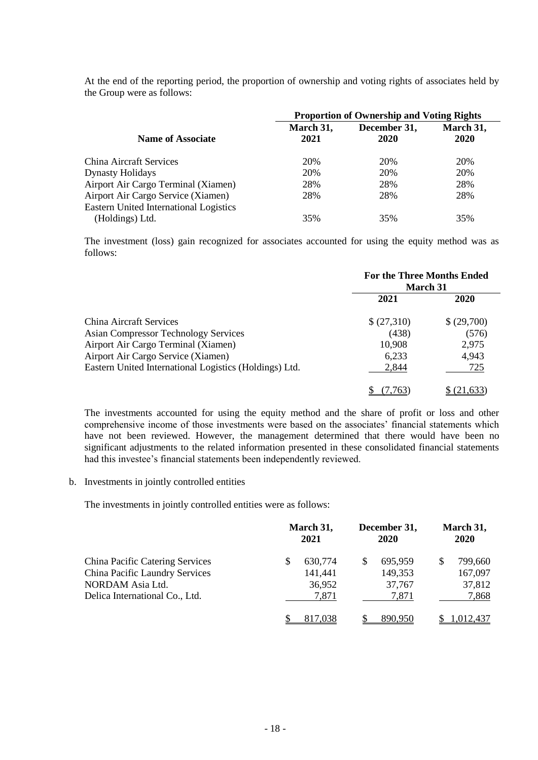At the end of the reporting period, the proportion of ownership and voting rights of associates held by the Group were as follows:

|                                        | <b>Proportion of Ownership and Voting Rights</b> |                      |                   |  |
|----------------------------------------|--------------------------------------------------|----------------------|-------------------|--|
| <b>Name of Associate</b>               | March 31,<br>2021                                | December 31,<br>2020 | March 31,<br>2020 |  |
| <b>China Aircraft Services</b>         | 20%                                              | 20%                  | 20%               |  |
| <b>Dynasty Holidays</b>                | 20%                                              | 20%                  | 20%               |  |
| Airport Air Cargo Terminal (Xiamen)    | 28%                                              | 28%                  | 28%               |  |
| Airport Air Cargo Service (Xiamen)     | 28%                                              | 28%                  | 28%               |  |
| Eastern United International Logistics |                                                  |                      |                   |  |
| (Holdings) Ltd.                        | 35%                                              | 35%                  | 35%               |  |

The investment (loss) gain recognized for associates accounted for using the equity method was as follows:

|                                                        | <b>For the Three Months Ended</b><br><b>March 31</b> |            |  |
|--------------------------------------------------------|------------------------------------------------------|------------|--|
|                                                        | 2021                                                 | 2020       |  |
| China Aircraft Services                                | \$(27,310)                                           | \$(29,700) |  |
| <b>Asian Compressor Technology Services</b>            | (438)                                                | (576)      |  |
| Airport Air Cargo Terminal (Xiamen)                    | 10,908                                               | 2,975      |  |
| Airport Air Cargo Service (Xiamen)                     | 6,233                                                | 4,943      |  |
| Eastern United International Logistics (Holdings) Ltd. | 2,844                                                | 725        |  |
|                                                        |                                                      | 21.633     |  |

The investments accounted for using the equity method and the share of profit or loss and other comprehensive income of those investments were based on the associates' financial statements which have not been reviewed. However, the management determined that there would have been no significant adjustments to the related information presented in these consolidated financial statements had this investee's financial statements been independently reviewed.

b. Investments in jointly controlled entities

The investments in jointly controlled entities were as follows:

|                                                                                                                                |   | March 31,<br>2021                     |   | December 31,<br>2020                  |   | March 31,<br>2020                     |
|--------------------------------------------------------------------------------------------------------------------------------|---|---------------------------------------|---|---------------------------------------|---|---------------------------------------|
| <b>China Pacific Catering Services</b><br>China Pacific Laundry Services<br>NORDAM Asia Ltd.<br>Delica International Co., Ltd. | S | 630,774<br>141,441<br>36,952<br>7,871 | S | 695,959<br>149,353<br>37,767<br>7,871 | S | 799,660<br>167,097<br>37,812<br>7,868 |
|                                                                                                                                |   | 817,038                               |   | 890.950                               |   | 1.012.437                             |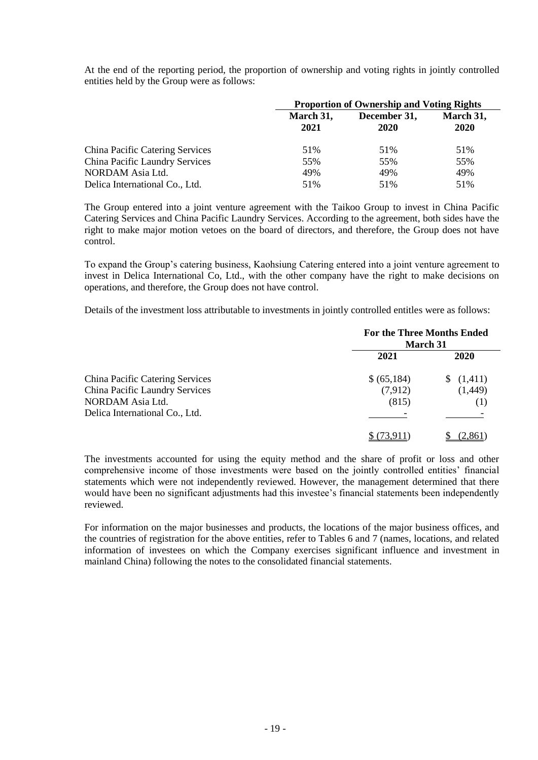At the end of the reporting period, the proportion of ownership and voting rights in jointly controlled entities held by the Group were as follows:

|                                        | <b>Proportion of Ownership and Voting Rights</b> |                      |                   |  |
|----------------------------------------|--------------------------------------------------|----------------------|-------------------|--|
|                                        | March 31,<br>2021                                | December 31,<br>2020 | March 31,<br>2020 |  |
| <b>China Pacific Catering Services</b> | 51%                                              | 51%                  | 51%               |  |
| China Pacific Laundry Services         | 55%                                              | 55%                  | 55%               |  |
| NORDAM Asia Ltd.                       | 49%                                              | 49%                  | 49%               |  |
| Delica International Co., Ltd.         | 51%                                              | 51%                  | 51%               |  |

The Group entered into a joint venture agreement with the Taikoo Group to invest in China Pacific Catering Services and China Pacific Laundry Services. According to the agreement, both sides have the right to make major motion vetoes on the board of directors, and therefore, the Group does not have control.

To expand the Group's catering business, Kaohsiung Catering entered into a joint venture agreement to invest in Delica International Co, Ltd., with the other company have the right to make decisions on operations, and therefore, the Group does not have control.

Details of the investment loss attributable to investments in jointly controlled entitles were as follows:

|                                        | <b>For the Three Months Ended</b><br><b>March 31</b> |               |  |
|----------------------------------------|------------------------------------------------------|---------------|--|
|                                        | 2021                                                 | 2020          |  |
| <b>China Pacific Catering Services</b> | \$ (65,184)                                          | (1,411)<br>S. |  |
| China Pacific Laundry Services         | (7,912)                                              | (1,449)       |  |
| NORDAM Asia Ltd.                       | (815)                                                | (1)           |  |
| Delica International Co., Ltd.         |                                                      |               |  |
|                                        |                                                      | . 86'         |  |

The investments accounted for using the equity method and the share of profit or loss and other comprehensive income of those investments were based on the jointly controlled entities' financial statements which were not independently reviewed. However, the management determined that there would have been no significant adjustments had this investee's financial statements been independently reviewed.

For information on the major businesses and products, the locations of the major business offices, and the countries of registration for the above entities, refer to Tables 6 and 7 (names, locations, and related information of investees on which the Company exercises significant influence and investment in mainland China) following the notes to the consolidated financial statements.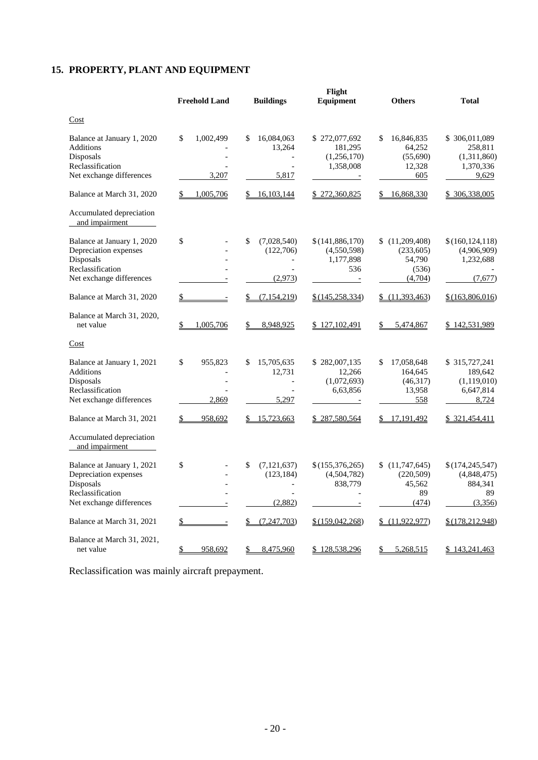# **15. PROPERTY, PLANT AND EQUIPMENT**

|                                                                                                                  | <b>Freehold Land</b>           | <b>Buildings</b>                                                 | Flight<br>Equipment                                                   | <b>Others</b>                                             | <b>Total</b>                                                   |
|------------------------------------------------------------------------------------------------------------------|--------------------------------|------------------------------------------------------------------|-----------------------------------------------------------------------|-----------------------------------------------------------|----------------------------------------------------------------|
| Cost                                                                                                             |                                |                                                                  |                                                                       |                                                           |                                                                |
| Balance at January 1, 2020<br>Additions<br>Disposals<br>Reclassification<br>Net exchange differences             | 1,002,499<br>\$<br>3.207       | 16,084,063<br>\$.<br>13,264<br>$\overline{\phantom{a}}$<br>5,817 | \$272,077,692<br>181,295<br>(1,256,170)<br>1,358,008<br>$\equiv$      | \$<br>16,846,835<br>64,252<br>(55,690)<br>12,328<br>605   | \$ 306,011,089<br>258,811<br>(1,311,860)<br>1,370,336<br>9,629 |
| Balance at March 31, 2020                                                                                        | 1,005,706<br>\$                | \$16,103,144                                                     | \$272,360,825                                                         | 16,868,330<br>S.                                          | \$ 306,338,005                                                 |
| Accumulated depreciation<br>and impairment                                                                       |                                |                                                                  |                                                                       |                                                           |                                                                |
| Balance at January 1, 2020<br>Depreciation expenses<br>Disposals<br>Reclassification<br>Net exchange differences | \$                             | \$<br>(7,028,540)<br>(122,706)<br>$\overline{a}$<br>(2,973)      | \$(141,886,170)<br>(4,550,598)<br>1,177,898<br>536                    | \$(11,209,408)<br>(233,605)<br>54,790<br>(536)<br>(4,704) | \$(160,124,118)<br>(4,906,909)<br>1,232,688<br>(7,677)         |
| Balance at March 31, 2020                                                                                        | \$                             | \$ (7,154,219)                                                   | <u>\$(145,258,334)</u>                                                | \$(11,393,463)                                            | \$(163,806,016)                                                |
| Balance at March 31, 2020,<br>net value                                                                          | 1,005,706<br>\$                | 8,948,925<br>\$                                                  | \$127,102,491                                                         | 5,474,867<br>\$                                           | \$142,531,989                                                  |
| Cost                                                                                                             |                                |                                                                  |                                                                       |                                                           |                                                                |
| Balance at January 1, 2021<br>Additions<br>Disposals<br>Reclassification<br>Net exchange differences             | \$<br>955,823<br>2,869         | 15,705,635<br>S<br>12,731<br>$\overline{a}$<br>5,297             | \$282,007,135<br>12,266<br>(1,072,693)<br>6,63,856                    | \$<br>17,058,648<br>164,645<br>(46,317)<br>13,958<br>558  | \$315,727,241<br>189,642<br>(1,119,010)<br>6,647,814<br>8,724  |
| Balance at March 31, 2021                                                                                        | 958,692<br>S                   | 15,723,663<br>\$                                                 | \$287,580,564                                                         | 17,191,492<br>\$                                          | <u>\$321,454,411</u>                                           |
| Accumulated depreciation<br>and impairment                                                                       |                                |                                                                  |                                                                       |                                                           |                                                                |
| Balance at January 1, 2021<br>Depreciation expenses<br>Disposals<br>Reclassification<br>Net exchange differences | \$                             | \$<br>(7, 121, 637)<br>(123, 184)<br>$\blacksquare$<br>(2,882)   | \$(155,376,265)<br>(4,504,782)<br>838,779<br>$\overline{\phantom{a}}$ | \$(11,747,645)<br>(220,509)<br>45,562<br>89<br>(474)      | \$(174,245,547)<br>(4,848,475)<br>884,341<br>89<br>(3,356)     |
| Balance at March 31, 2021                                                                                        | \$<br>$\overline{\phantom{a}}$ | (7,247,703)<br>$\frac{1}{2}$                                     | \$(159, 042, 268)                                                     | (11,922,977)                                              | <u>\$(178,212,948)</u>                                         |
| Balance at March 31, 2021,<br>net value                                                                          | 958.692<br>\$                  | 8,475,960<br>\$                                                  | \$128,538,296                                                         | \$<br>5,268,515                                           | \$143,241,463                                                  |

Reclassification was mainly aircraft prepayment.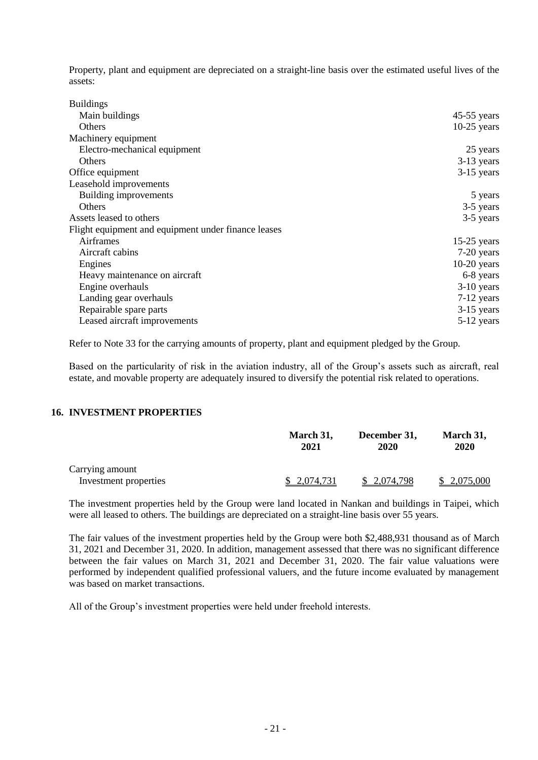Property, plant and equipment are depreciated on a straight-line basis over the estimated useful lives of the assets:

| <b>Buildings</b>                                    |               |
|-----------------------------------------------------|---------------|
| Main buildings                                      | $45-55$ years |
| Others                                              | $10-25$ years |
| Machinery equipment                                 |               |
| Electro-mechanical equipment                        | 25 years      |
| Others                                              | $3-13$ years  |
| Office equipment                                    | $3-15$ years  |
| Leasehold improvements                              |               |
| Building improvements                               | 5 years       |
| <b>Others</b>                                       | 3-5 years     |
| Assets leased to others                             | 3-5 years     |
| Flight equipment and equipment under finance leases |               |
| Airframes                                           | $15-25$ years |
| Aircraft cabins                                     | 7-20 years    |
| Engines                                             | $10-20$ years |
| Heavy maintenance on aircraft                       | 6-8 years     |
| Engine overhauls                                    | $3-10$ years  |
| Landing gear overhauls                              | $7-12$ years  |
| Repairable spare parts                              | $3-15$ years  |
| Leased aircraft improvements                        | 5-12 years    |

Refer to Note 33 for the carrying amounts of property, plant and equipment pledged by the Group.

Based on the particularity of risk in the aviation industry, all of the Group's assets such as aircraft, real estate, and movable property are adequately insured to diversify the potential risk related to operations.

## **16. INVESTMENT PROPERTIES**

|                       | March 31,<br>2021 | December 31,<br>2020 | March 31,<br>2020 |
|-----------------------|-------------------|----------------------|-------------------|
| Carrying amount       |                   |                      |                   |
| Investment properties | \$ 2,074,731      | 2,074,798            | 2,075,000         |

The investment properties held by the Group were land located in Nankan and buildings in Taipei, which were all leased to others. The buildings are depreciated on a straight-line basis over 55 years.

The fair values of the investment properties held by the Group were both \$2,488,931 thousand as of March 31, 2021 and December 31, 2020. In addition, management assessed that there was no significant difference between the fair values on March 31, 2021 and December 31, 2020. The fair value valuations were performed by independent qualified professional valuers, and the future income evaluated by management was based on market transactions.

All of the Group's investment properties were held under freehold interests.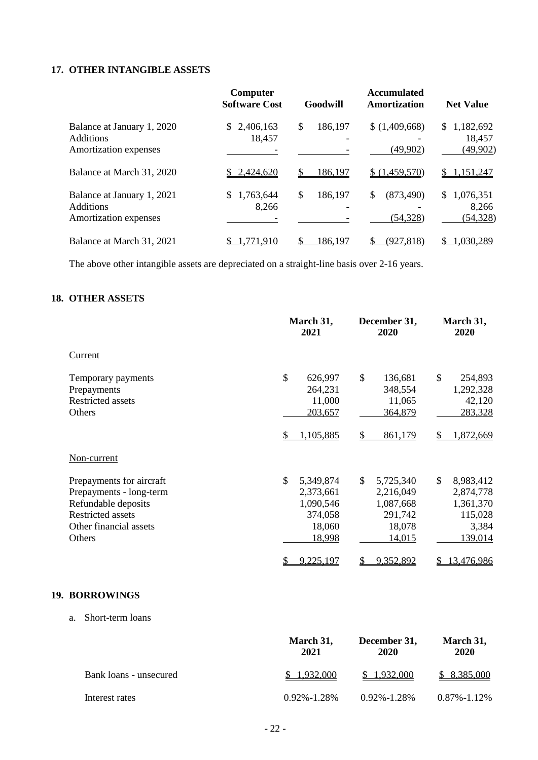## **17. OTHER INTANGIBLE ASSETS**

|                                                                         | Computer<br><b>Software Cost</b> | Goodwill      | <b>Accumulated</b><br>Amortization | <b>Net Value</b>                  |
|-------------------------------------------------------------------------|----------------------------------|---------------|------------------------------------|-----------------------------------|
| Balance at January 1, 2020<br><b>Additions</b><br>Amortization expenses | 2,406,163<br>S.<br>18,457        | \$<br>186,197 | (1,409,668)<br>(49, 902)           | \$1,182,692<br>18,457<br>(49,902) |
| Balance at March 31, 2020                                               | 2,424,620                        | 186,197       | \$(1,459,570)                      | 1,151,247<br>S.                   |
| Balance at January 1, 2021<br><b>Additions</b><br>Amortization expenses | 1,763,644<br>\$.<br>8,266        | \$<br>186,197 | \$<br>(873, 490)<br>(54, 328)      | \$1,076,351<br>8,266<br>(54, 328) |
| Balance at March 31, 2021                                               | 71.910                           | 186,197       | (927, 818)                         | 1,030,289                         |

The above other intangible assets are depreciated on a straight-line basis over 2-16 years.

## **18. OTHER ASSETS**

|                                                                                                                                            | March 31,<br>2021                                                                   | December 31,<br>2020                                                               | March 31,<br>2020                                                        |
|--------------------------------------------------------------------------------------------------------------------------------------------|-------------------------------------------------------------------------------------|------------------------------------------------------------------------------------|--------------------------------------------------------------------------|
| Current                                                                                                                                    |                                                                                     |                                                                                    |                                                                          |
| Temporary payments<br>Prepayments<br><b>Restricted assets</b><br>Others                                                                    | \$<br>626,997<br>264,231<br>11,000<br>203,657                                       | \$<br>136,681<br>348,554<br>11,065<br>364,879                                      | \$<br>254,893<br>1,292,328<br>42,120<br>283,328                          |
|                                                                                                                                            | 1,105,885                                                                           | 861,179<br>S                                                                       | 1,872,669                                                                |
| Non-current                                                                                                                                |                                                                                     |                                                                                    |                                                                          |
| Prepayments for aircraft<br>Prepayments - long-term<br>Refundable deposits<br><b>Restricted assets</b><br>Other financial assets<br>Others | $\mathcal{S}$<br>5,349,874<br>2,373,661<br>1,090,546<br>374,058<br>18,060<br>18,998 | $\mathbb{S}$<br>5,725,340<br>2,216,049<br>1,087,668<br>291,742<br>18,078<br>14,015 | \$<br>8,983,412<br>2,874,778<br>1,361,370<br>115,028<br>3,384<br>139,014 |
|                                                                                                                                            | 9,225,197                                                                           | 9,352,892                                                                          | 3,476,986                                                                |

## **19. BORROWINGS**

a. Short-term loans

|                        | March 31,<br>2021 | December 31,<br>2020 | March 31,<br>2020 |
|------------------------|-------------------|----------------------|-------------------|
| Bank loans - unsecured | \$1.932,000       | \$1.932,000          | \$8,385,000       |
| Interest rates         | $0.92\% - 1.28\%$ | $0.92\% - 1.28\%$    | $0.87\% - 1.12\%$ |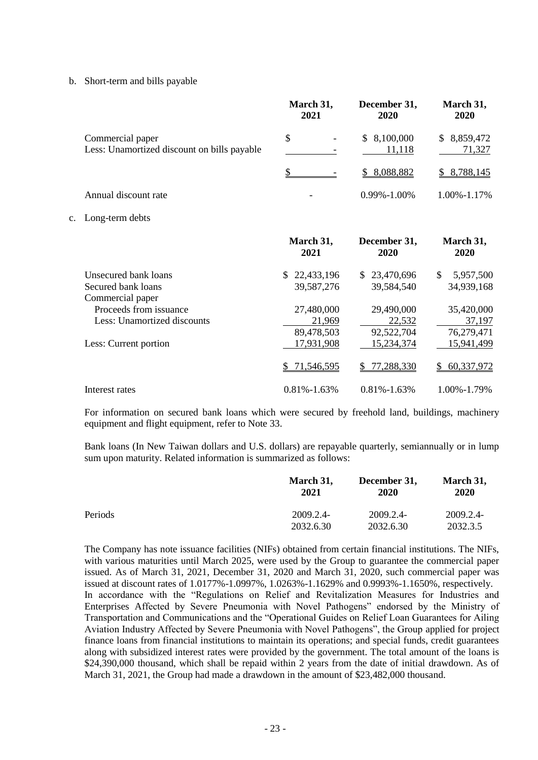b. Short-term and bills payable

|                                                                 | March 31,<br>2021 | December 31,<br>2020      | March 31,<br>2020     |
|-----------------------------------------------------------------|-------------------|---------------------------|-----------------------|
| Commercial paper<br>Less: Unamortized discount on bills payable | \$                | 8,100,000<br>S.<br>11,118 | \$8,859,472<br>71,327 |
|                                                                 |                   | 8,088,882<br>SS.          | 8,788,145             |
| Annual discount rate                                            |                   | $0.99\% - 1.00\%$         | 1.00%-1.17%           |
| c. Long-term debts                                              |                   |                           |                       |

|                             | March 31,<br>2021 | December 31,<br>2020 | March 31,<br>2020 |
|-----------------------------|-------------------|----------------------|-------------------|
| Unsecured bank loans        | 22,433,196<br>S.  | \$23,470,696         | \$<br>5,957,500   |
| Secured bank loans          | 39,587,276        | 39,584,540           | 34,939,168        |
| Commercial paper            |                   |                      |                   |
| Proceeds from issuance      | 27,480,000        | 29,490,000           | 35,420,000        |
| Less: Unamortized discounts | 21,969            | 22,532               | 37,197            |
|                             | 89,478,503        | 92,522,704           | 76,279,471        |
| Less: Current portion       | 17,931,908        | 15,234,374           | 15,941,499        |
|                             | 71,546,595        | 77,288,330           | 60,337,972        |
| Interest rates              | $0.81\% - 1.63\%$ | $0.81\% - 1.63\%$    | 1.00%-1.79%       |

For information on secured bank loans which were secured by freehold land, buildings, machinery equipment and flight equipment, refer to Note 33.

Bank loans (In New Taiwan dollars and U.S. dollars) are repayable quarterly, semiannually or in lump sum upon maturity. Related information is summarized as follows:

|         | March 31, | December 31, | March 31, |
|---------|-----------|--------------|-----------|
|         | 2021      | 2020         | 2020      |
| Periods | 2009.2.4- | 2009.2.4-    | 2009.2.4- |
|         | 2032.6.30 | 2032.6.30    | 2032.3.5  |

The Company has note issuance facilities (NIFs) obtained from certain financial institutions. The NIFs, with various maturities until March 2025, were used by the Group to guarantee the commercial paper issued. As of March 31, 2021, December 31, 2020 and March 31, 2020, such commercial paper was issued at discount rates of 1.0177%-1.0997%, 1.0263%-1.1629% and 0.9993%-1.1650%, respectively. In accordance with the "Regulations on Relief and Revitalization Measures for Industries and Enterprises Affected by Severe Pneumonia with Novel Pathogens" endorsed by the Ministry of Transportation and Communications and the "Operational Guides on Relief Loan Guarantees for Ailing Aviation Industry Affected by Severe Pneumonia with Novel Pathogens", the Group applied for project finance loans from financial institutions to maintain its operations; and special funds, credit guarantees along with subsidized interest rates were provided by the government. The total amount of the loans is \$24,390,000 thousand, which shall be repaid within 2 years from the date of initial drawdown. As of March 31, 2021, the Group had made a drawdown in the amount of \$23,482,000 thousand.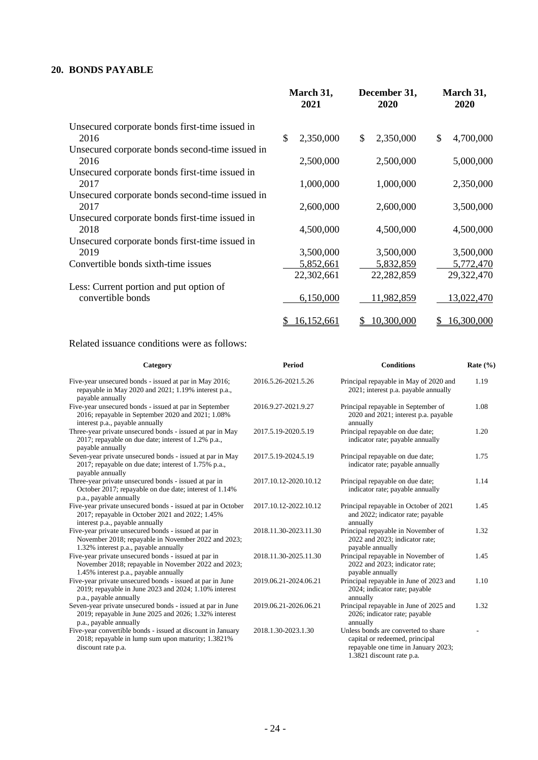## **20. BONDS PAYABLE**

|                                                 | March 31,<br>2021 | December 31,<br>2020      | March 31,<br>2020 |
|-------------------------------------------------|-------------------|---------------------------|-------------------|
| Unsecured corporate bonds first-time issued in  |                   |                           |                   |
| 2016                                            | \$<br>2,350,000   | $\mathbb{S}$<br>2,350,000 | \$<br>4,700,000   |
| Unsecured corporate bonds second-time issued in |                   |                           |                   |
| 2016                                            | 2,500,000         | 2,500,000                 | 5,000,000         |
| Unsecured corporate bonds first-time issued in  |                   |                           |                   |
| 2017                                            | 1,000,000         | 1,000,000                 | 2,350,000         |
| Unsecured corporate bonds second-time issued in |                   |                           |                   |
| 2017                                            | 2,600,000         | 2,600,000                 | 3,500,000         |
| Unsecured corporate bonds first-time issued in  |                   |                           |                   |
| 2018                                            | 4,500,000         | 4,500,000                 | 4,500,000         |
| Unsecured corporate bonds first-time issued in  |                   |                           |                   |
| 2019                                            | 3,500,000         | 3,500,000                 | 3,500,000         |
| Convertible bonds sixth-time issues             | 5,852,661         | 5,832,859                 | 5,772,470         |
|                                                 | 22,302,661        | 22,282,859                | 29,322,470        |
| Less: Current portion and put option of         |                   |                           |                   |
| convertible bonds                               | 6,150,000         | 11,982,859                | 13,022,470        |
|                                                 | 16,152,661<br>\$  | 10,300,000<br>S           | 16,300,000<br>\$  |

## Related issuance conditions were as follows:

| Category                                                                                                                                             | Period                | <b>Conditions</b>                                                                                                                         | Rate $(\% )$ |
|------------------------------------------------------------------------------------------------------------------------------------------------------|-----------------------|-------------------------------------------------------------------------------------------------------------------------------------------|--------------|
| Five-year unsecured bonds - issued at par in May 2016;<br>repayable in May 2020 and 2021; 1.19% interest p.a.,<br>payable annually                   | 2016.5.26-2021.5.26   | Principal repayable in May of 2020 and<br>2021; interest p.a. payable annually                                                            | 1.19         |
| Five-year unsecured bonds - issued at par in September<br>2016; repayable in September 2020 and 2021; 1.08%<br>interest p.a., payable annually       | 2016.9.27-2021.9.27   | Principal repayable in September of<br>2020 and 2021; interest p.a. payable<br>annually                                                   | 1.08         |
| Three-year private unsecured bonds - issued at par in May<br>2017; repayable on due date; interest of 1.2% p.a.,<br>payable annually                 | 2017.5.19-2020.5.19   | Principal repayable on due date;<br>indicator rate; payable annually                                                                      | 1.20         |
| Seven-year private unsecured bonds - issued at par in May<br>2017; repayable on due date; interest of 1.75% p.a.,<br>payable annually                | 2017.5.19-2024.5.19   | Principal repayable on due date;<br>indicator rate; payable annually                                                                      | 1.75         |
| Three-year private unsecured bonds - issued at par in<br>October 2017; repayable on due date; interest of 1.14%<br>p.a., payable annually            | 2017.10.12-2020.10.12 | Principal repayable on due date;<br>indicator rate; payable annually                                                                      | 1.14         |
| Five-year private unsecured bonds - issued at par in October<br>2017; repayable in October 2021 and 2022; 1.45%<br>interest p.a., payable annually   | 2017.10.12-2022.10.12 | Principal repayable in October of 2021<br>and 2022; indicator rate; payable<br>annually                                                   | 1.45         |
| Five-year private unsecured bonds - issued at par in<br>November 2018; repayable in November 2022 and 2023;<br>1.32% interest p.a., payable annually | 2018.11.30-2023.11.30 | Principal repayable in November of<br>2022 and 2023; indicator rate;<br>payable annually                                                  | 1.32         |
| Five-year private unsecured bonds - issued at par in<br>November 2018; repayable in November 2022 and 2023;<br>1.45% interest p.a., payable annually | 2018.11.30-2025.11.30 | Principal repayable in November of<br>2022 and 2023; indicator rate;<br>payable annually                                                  | 1.45         |
| Five-year private unsecured bonds - issued at par in June<br>2019; repayable in June 2023 and 2024; 1.10% interest<br>p.a., payable annually         | 2019.06.21-2024.06.21 | Principal repayable in June of 2023 and<br>2024; indicator rate; payable<br>annually                                                      | 1.10         |
| Seven-year private unsecured bonds - issued at par in June<br>2019; repayable in June 2025 and 2026; 1.32% interest<br>p.a., payable annually        | 2019.06.21-2026.06.21 | Principal repayable in June of 2025 and<br>2026; indicator rate; payable<br>annually                                                      | 1.32         |
| Five-year convertible bonds - issued at discount in January<br>2018; repayable in lump sum upon maturity; 1.3821%<br>discount rate p.a.              | 2018.1.30-2023.1.30   | Unless bonds are converted to share<br>capital or redeemed, principal<br>repayable one time in January 2023;<br>1.3821 discount rate p.a. |              |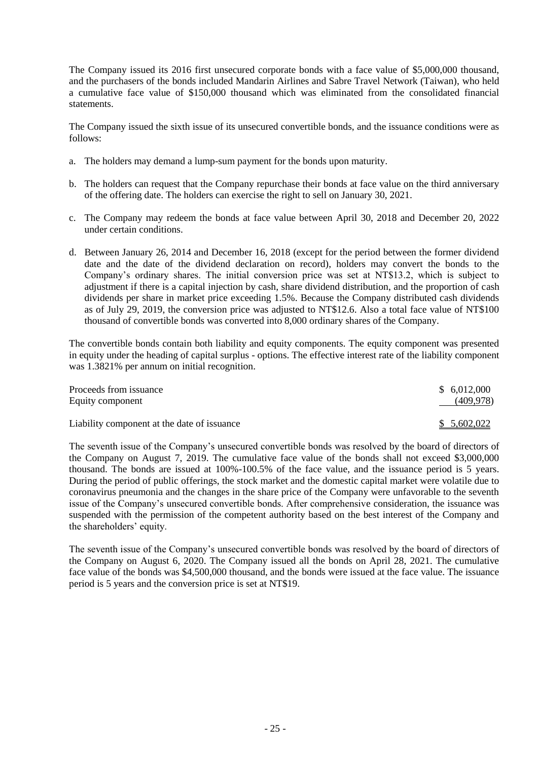The Company issued its 2016 first unsecured corporate bonds with a face value of \$5,000,000 thousand, and the purchasers of the bonds included Mandarin Airlines and Sabre Travel Network (Taiwan), who held a cumulative face value of \$150,000 thousand which was eliminated from the consolidated financial statements.

The Company issued the sixth issue of its unsecured convertible bonds, and the issuance conditions were as follows:

- a. The holders may demand a lump-sum payment for the bonds upon maturity.
- b. The holders can request that the Company repurchase their bonds at face value on the third anniversary of the offering date. The holders can exercise the right to sell on January 30, 2021.
- c. The Company may redeem the bonds at face value between April 30, 2018 and December 20, 2022 under certain conditions.
- d. Between January 26, 2014 and December 16, 2018 (except for the period between the former dividend date and the date of the dividend declaration on record), holders may convert the bonds to the Company's ordinary shares. The initial conversion price was set at NT\$13.2, which is subject to adjustment if there is a capital injection by cash, share dividend distribution, and the proportion of cash dividends per share in market price exceeding 1.5%. Because the Company distributed cash dividends as of July 29, 2019, the conversion price was adjusted to NT\$12.6. Also a total face value of NT\$100 thousand of convertible bonds was converted into 8,000 ordinary shares of the Company.

The convertible bonds contain both liability and equity components. The equity component was presented in equity under the heading of capital surplus - options. The effective interest rate of the liability component was 1.3821% per annum on initial recognition.

| Proceeds from issuance                      | \$6,012,000 |
|---------------------------------------------|-------------|
| Equity component                            | (409, 978)  |
|                                             |             |
| Liability component at the date of issuance | \$5,602,022 |

The seventh issue of the Company's unsecured convertible bonds was resolved by the board of directors of the Company on August 7, 2019. The cumulative face value of the bonds shall not exceed \$3,000,000 thousand. The bonds are issued at 100%-100.5% of the face value, and the issuance period is 5 years. During the period of public offerings, the stock market and the domestic capital market were volatile due to coronavirus pneumonia and the changes in the share price of the Company were unfavorable to the seventh issue of the Company's unsecured convertible bonds. After comprehensive consideration, the issuance was suspended with the permission of the competent authority based on the best interest of the Company and the shareholders' equity.

The seventh issue of the Company's unsecured convertible bonds was resolved by the board of directors of the Company on August 6, 2020. The Company issued all the bonds on April 28, 2021. The cumulative face value of the bonds was \$4,500,000 thousand, and the bonds were issued at the face value. The issuance period is 5 years and the conversion price is set at NT\$19.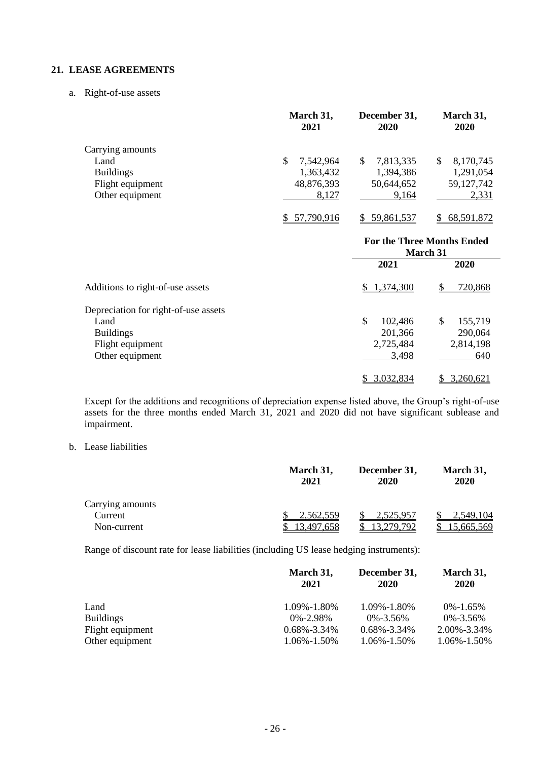## **21. LEASE AGREEMENTS**

a. Right-of-use assets

|                  | March 31,<br>2021 | December 31,<br>2020 | March 31,<br><b>2020</b> |
|------------------|-------------------|----------------------|--------------------------|
| Carrying amounts |                   |                      |                          |
| Land             | 7,542,964<br>S    | 7,813,335<br>S       | 8,170,745<br>\$          |
| <b>Buildings</b> | 1,363,432         | 1,394,386            | 1,291,054                |
| Flight equipment | 48,876,393        | 50,644,652           | 59,127,742               |
| Other equipment  | 8,127             | 9.164                | 2,331                    |
|                  | 57,790,916        | 59,861,537           | 68,591,872               |

|                                      | <b>For the Three Months Ended</b><br><b>March</b> 31 |               |
|--------------------------------------|------------------------------------------------------|---------------|
|                                      | 2021                                                 | 2020          |
| Additions to right-of-use assets     | \$1,374,300                                          | 720,868       |
| Depreciation for right-of-use assets |                                                      |               |
| Land                                 | \$<br>102,486                                        | \$<br>155,719 |
| <b>Buildings</b>                     | 201,366                                              | 290,064       |
| Flight equipment                     | 2,725,484                                            | 2,814,198     |
| Other equipment                      | 3,498                                                | 640           |
|                                      | 3,032,834                                            | 3,260,621     |

Except for the additions and recognitions of depreciation expense listed above, the Group's right-of-use assets for the three months ended March 31, 2021 and 2020 did not have significant sublease and impairment.

## b. Lease liabilities

|                  | March 31,<br>2021 | December 31,<br>2020 | March 31,<br>2020 |
|------------------|-------------------|----------------------|-------------------|
| Carrying amounts |                   |                      |                   |
| Current          | 2.562.559         | 2,525,957            | 2,549,104         |
| Non-current      | .497.658          | 279.792              | 665.569.          |

Range of discount rate for lease liabilities (including US lease hedging instruments):

|                  | March 31,<br>2021 | December 31,<br>2020 | March 31,<br>2020 |
|------------------|-------------------|----------------------|-------------------|
| Land             | 1.09%-1.80%       | 1.09%-1.80%          | $0\% - 1.65\%$    |
| <b>Buildings</b> | $0\% - 2.98\%$    | $0\% - 3.56\%$       | $0\% - 3.56\%$    |
| Flight equipment | $0.68\% - 3.34\%$ | $0.68\% - 3.34\%$    | 2.00%-3.34%       |
| Other equipment  | 1.06%-1.50%       | $1.06\% - 1.50\%$    | 1.06%-1.50%       |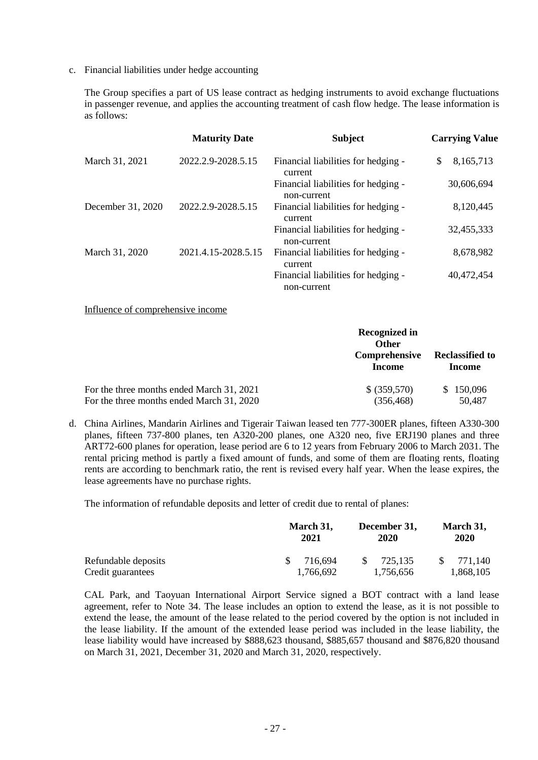c. Financial liabilities under hedge accounting

The Group specifies a part of US lease contract as hedging instruments to avoid exchange fluctuations in passenger revenue, and applies the accounting treatment of cash flow hedge. The lease information is as follows:

|                   | <b>Maturity Date</b> | <b>Subject</b>                                     | <b>Carrying Value</b> |
|-------------------|----------------------|----------------------------------------------------|-----------------------|
| March 31, 2021    | 2022.2.9-2028.5.15   | Financial liabilities for hedging -<br>current     | \$.<br>8,165,713      |
|                   |                      | Financial liabilities for hedging -<br>non-current | 30,606,694            |
| December 31, 2020 | 2022.2.9-2028.5.15   | Financial liabilities for hedging -<br>current     | 8,120,445             |
|                   |                      | Financial liabilities for hedging -<br>non-current | 32,455,333            |
| March 31, 2020    | 2021.4.15-2028.5.15  | Financial liabilities for hedging -<br>current     | 8,678,982             |
|                   |                      | Financial liabilities for hedging -<br>non-current | 40,472,454            |

Influence of comprehensive income

|                                           | Recognized in<br><b>Other</b><br>Comprehensive<br><b>Income</b> | <b>Reclassified to</b><br><b>Income</b> |
|-------------------------------------------|-----------------------------------------------------------------|-----------------------------------------|
| For the three months ended March 31, 2021 | \$ (359,570)                                                    | \$150,096                               |
| For the three months ended March 31, 2020 | (356, 468)                                                      | 50,487                                  |

d. China Airlines, Mandarin Airlines and Tigerair Taiwan leased ten 777-300ER planes, fifteen A330-300 planes, fifteen 737-800 planes, ten A320-200 planes, one A320 neo, five ERJ190 planes and three ART72-600 planes for operation, lease period are 6 to 12 years from February 2006 to March 2031. The rental pricing method is partly a fixed amount of funds, and some of them are floating rents, floating rents are according to benchmark ratio, the rent is revised every half year. When the lease expires, the lease agreements have no purchase rights.

The information of refundable deposits and letter of credit due to rental of planes:

|                     | March 31,<br>2021 | December 31,<br>2020 | March 31,<br>2020 |  |
|---------------------|-------------------|----------------------|-------------------|--|
| Refundable deposits | 716.694           | 725.135              | 771.140           |  |
| Credit guarantees   | 1,766,692         | 1.756.656            | 1,868,105         |  |

CAL Park, and Taoyuan International Airport Service signed a BOT contract with a land lease agreement, refer to Note 34. The lease includes an option to extend the lease, as it is not possible to extend the lease, the amount of the lease related to the period covered by the option is not included in the lease liability. If the amount of the extended lease period was included in the lease liability, the lease liability would have increased by \$888,623 thousand, \$885,657 thousand and \$876,820 thousand on March 31, 2021, December 31, 2020 and March 31, 2020, respectively.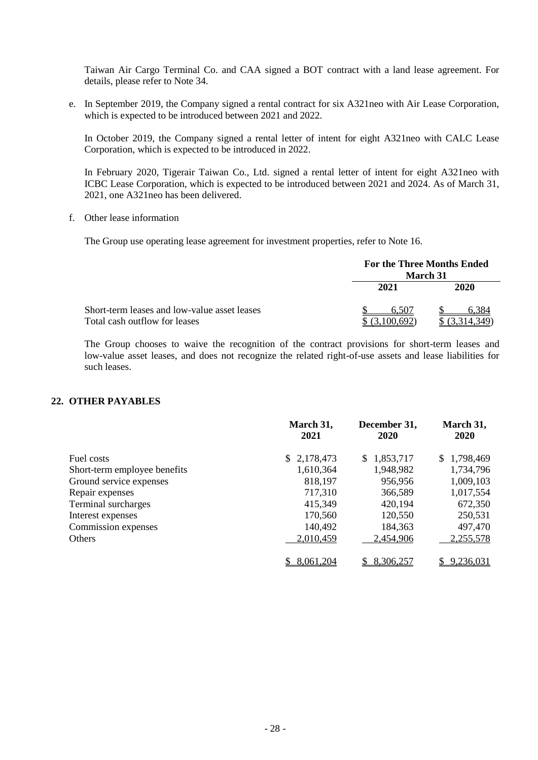Taiwan Air Cargo Terminal Co. and CAA signed a BOT contract with a land lease agreement. For details, please refer to Note 34.

e. In September 2019, the Company signed a rental contract for six A321neo with Air Lease Corporation, which is expected to be introduced between 2021 and 2022.

In October 2019, the Company signed a rental letter of intent for eight A321neo with CALC Lease Corporation, which is expected to be introduced in 2022.

In February 2020, Tigerair Taiwan Co., Ltd. signed a rental letter of intent for eight A321neo with ICBC Lease Corporation, which is expected to be introduced between 2021 and 2024. As of March 31, 2021, one A321neo has been delivered.

f. Other lease information

The Group use operating lease agreement for investment properties, refer to Note 16.

|                                                                               | For the Three Months Ended<br><b>March</b> 31 |          |  |  |
|-------------------------------------------------------------------------------|-----------------------------------------------|----------|--|--|
|                                                                               | 2021                                          | 2020     |  |  |
| Short-term leases and low-value asset leases<br>Total cash outflow for leases | 6.507<br>3,100,692                            | .314.349 |  |  |

The Group chooses to waive the recognition of the contract provisions for short-term leases and low-value asset leases, and does not recognize the related right-of-use assets and lease liabilities for such leases.

## **22. OTHER PAYABLES**

|                              | March 31,<br>2021 | December 31,<br>2020 | March 31,<br><b>2020</b> |
|------------------------------|-------------------|----------------------|--------------------------|
| Fuel costs                   | \$2,178,473       | 1,853,717<br>S.      | \$1,798,469              |
| Short-term employee benefits | 1,610,364         | 1,948,982            | 1,734,796                |
| Ground service expenses      | 818,197           | 956,956              | 1,009,103                |
| Repair expenses              | 717,310           | 366,589              | 1,017,554                |
| Terminal surcharges          | 415,349           | 420,194              | 672,350                  |
| Interest expenses            | 170,560           | 120,550              | 250,531                  |
| Commission expenses          | 140,492           | 184,363              | 497,470                  |
| Others                       | 2,010,459         | 2,454,906            | 2,255,578                |
|                              | 8,061,204         | 8,306,257            | 9,236,031                |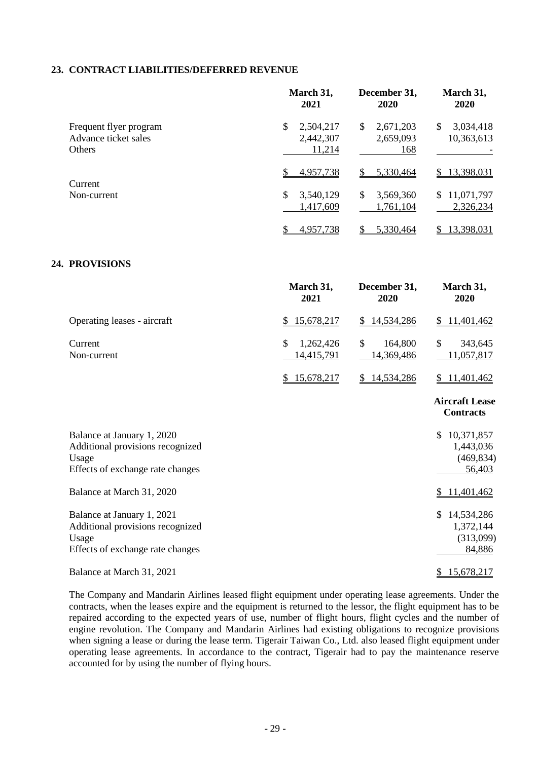### **23. CONTRACT LIABILITIES/DEFERRED REVENUE**

|                                                                                                             | March 31,<br>2021                                | December 31,<br>2020                | March 31,<br>2020                                 |
|-------------------------------------------------------------------------------------------------------------|--------------------------------------------------|-------------------------------------|---------------------------------------------------|
| Frequent flyer program<br>Advance ticket sales<br>Others                                                    | $\mathbb{S}$<br>2,504,217<br>2,442,307<br>11,214 | \$<br>2,671,203<br>2,659,093<br>168 | 3,034,418<br>\$<br>10,363,613                     |
|                                                                                                             | 4,957,738<br>S                                   | 5,330,464<br>$\mathbb{S}$           | \$13,398,031                                      |
| Current<br>Non-current                                                                                      | \$<br>3,540,129<br>1,417,609                     | \$<br>3,569,360<br>1,761,104        | \$11,071,797<br>2,326,234                         |
|                                                                                                             | 4,957,738<br>\$                                  | 5,330,464<br>\$                     | \$13,398,031                                      |
| 24. PROVISIONS                                                                                              |                                                  |                                     |                                                   |
|                                                                                                             | March 31,<br>2021                                | December 31,<br>2020                | March 31,<br>2020                                 |
| Operating leases - aircraft                                                                                 | 15,678,217                                       | 14,534,286<br>\$                    | 11,401,462<br>\$                                  |
| Current<br>Non-current                                                                                      | $\mathcal{S}$<br>1,262,426<br>14,415,791         | \$<br>164,800<br>14,369,486         | \$<br>343,645<br>11,057,817                       |
|                                                                                                             | \$15,678,217                                     | \$14,534,286                        | \$11,401,462                                      |
|                                                                                                             |                                                  |                                     | <b>Aircraft Lease</b><br><b>Contracts</b>         |
| Balance at January 1, 2020<br>Additional provisions recognized<br>Usage<br>Effects of exchange rate changes |                                                  |                                     | \$10,371,857<br>1,443,036<br>(469, 834)<br>56,403 |
| Balance at March 31, 2020                                                                                   |                                                  |                                     | 11,401,462<br>\$                                  |
| Balance at January 1, 2021<br>Additional provisions recognized<br>Usage<br>Effects of exchange rate changes |                                                  |                                     | \$14,534,286<br>1,372,144<br>(313,099)<br>84,886  |
| Balance at March 31, 2021                                                                                   |                                                  |                                     | \$15,678,217                                      |

The Company and Mandarin Airlines leased flight equipment under operating lease agreements. Under the contracts, when the leases expire and the equipment is returned to the lessor, the flight equipment has to be repaired according to the expected years of use, number of flight hours, flight cycles and the number of engine revolution. The Company and Mandarin Airlines had existing obligations to recognize provisions when signing a lease or during the lease term. Tigerair Taiwan Co., Ltd. also leased flight equipment under operating lease agreements. In accordance to the contract, Tigerair had to pay the maintenance reserve accounted for by using the number of flying hours.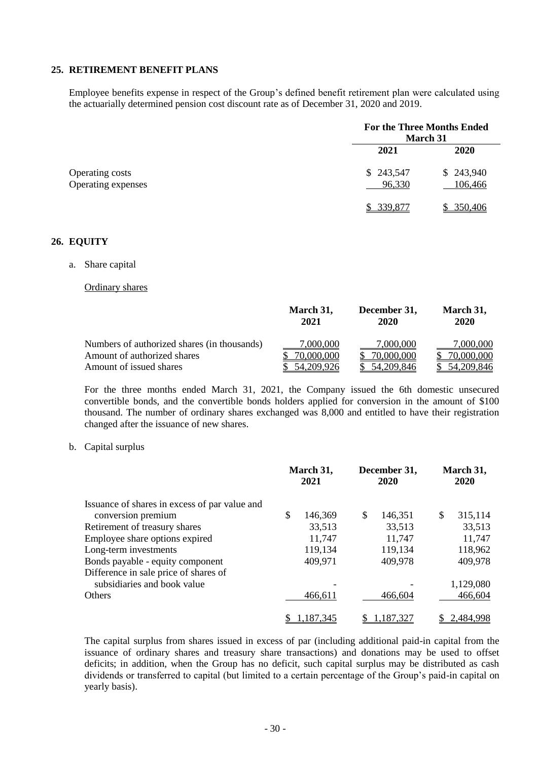#### **25. RETIREMENT BENEFIT PLANS**

Employee benefits expense in respect of the Group's defined benefit retirement plan were calculated using the actuarially determined pension cost discount rate as of December 31, 2020 and 2019.

|                                       | <b>For the Three Months Ended</b><br><b>March 31</b> |                      |  |
|---------------------------------------|------------------------------------------------------|----------------------|--|
|                                       | 2021                                                 | <b>2020</b>          |  |
| Operating costs<br>Operating expenses | \$243,547<br>96,330                                  | \$243,940<br>106,466 |  |
|                                       | 339,877                                              | \$350,406            |  |

### **26. EQUITY**

a. Share capital

#### Ordinary shares

|                                             | March 31,<br>2021 | December 31,<br>2020 | March 31,<br>2020 |
|---------------------------------------------|-------------------|----------------------|-------------------|
| Numbers of authorized shares (in thousands) | 7,000,000         | 7,000,000            | <u>7.000.000</u>  |
| Amount of authorized shares                 | 70,000,000        | 70,000,000           | 70,000,000        |
| Amount of issued shares                     | 54, 209, 926      | 54, 209, 846         | 54,209,846        |

For the three months ended March 31, 2021, the Company issued the 6th domestic unsecured convertible bonds, and the convertible bonds holders applied for conversion in the amount of \$100 thousand. The number of ordinary shares exchanged was 8,000 and entitled to have their registration changed after the issuance of new shares.

#### b. Capital surplus

| Issuance of shares in excess of par value and |    | March 31,<br>2021 |   | December 31,<br>2020 |   | March 31,<br>2020 |  |
|-----------------------------------------------|----|-------------------|---|----------------------|---|-------------------|--|
|                                               |    |                   |   |                      |   |                   |  |
| conversion premium                            | \$ | 146,369           | S | 146,351              | S | 315,114           |  |
| Retirement of treasury shares                 |    | 33,513            |   | 33,513               |   | 33,513            |  |
| Employee share options expired                |    | 11,747            |   | 11,747               |   | 11,747            |  |
| Long-term investments                         |    | 119,134           |   | 119,134              |   | 118,962           |  |
| Bonds payable - equity component              |    | 409,971           |   | 409,978              |   | 409,978           |  |
| Difference in sale price of shares of         |    |                   |   |                      |   |                   |  |
| subsidiaries and book value                   |    |                   |   |                      |   | 1,129,080         |  |
| Others                                        |    | 466,611           |   | 466,604              |   | 466,604           |  |
|                                               |    | 1,187,345         |   | .187.327             |   | 2,484,998         |  |

The capital surplus from shares issued in excess of par (including additional paid-in capital from the issuance of ordinary shares and treasury share transactions) and donations may be used to offset deficits; in addition, when the Group has no deficit, such capital surplus may be distributed as cash dividends or transferred to capital (but limited to a certain percentage of the Group's paid-in capital on yearly basis).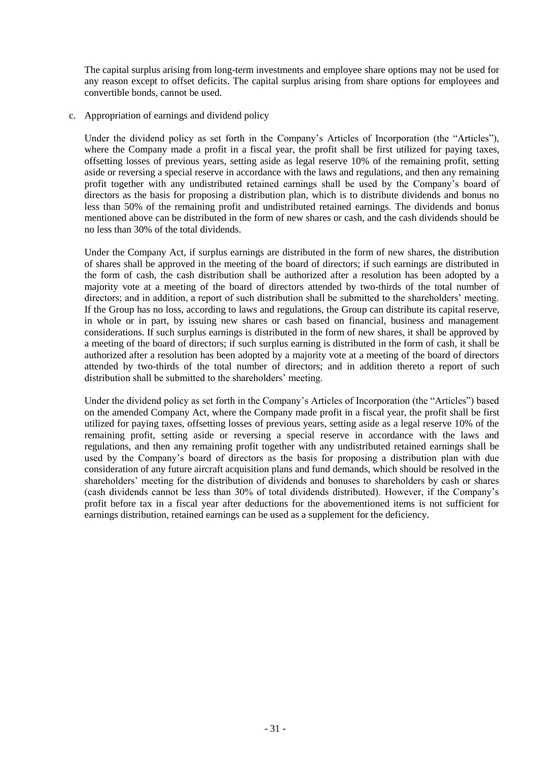The capital surplus arising from long-term investments and employee share options may not be used for any reason except to offset deficits. The capital surplus arising from share options for employees and convertible bonds, cannot be used.

c. Appropriation of earnings and dividend policy

Under the dividend policy as set forth in the Company's Articles of Incorporation (the "Articles"), where the Company made a profit in a fiscal year, the profit shall be first utilized for paying taxes, offsetting losses of previous years, setting aside as legal reserve 10% of the remaining profit, setting aside or reversing a special reserve in accordance with the laws and regulations, and then any remaining profit together with any undistributed retained earnings shall be used by the Company's board of directors as the basis for proposing a distribution plan, which is to distribute dividends and bonus no less than 50% of the remaining profit and undistributed retained earnings. The dividends and bonus mentioned above can be distributed in the form of new shares or cash, and the cash dividends should be no less than 30% of the total dividends.

Under the Company Act, if surplus earnings are distributed in the form of new shares, the distribution of shares shall be approved in the meeting of the board of directors; if such earnings are distributed in the form of cash, the cash distribution shall be authorized after a resolution has been adopted by a majority vote at a meeting of the board of directors attended by two-thirds of the total number of directors; and in addition, a report of such distribution shall be submitted to the shareholders' meeting. If the Group has no loss, according to laws and regulations, the Group can distribute its capital reserve, in whole or in part, by issuing new shares or cash based on financial, business and management considerations. If such surplus earnings is distributed in the form of new shares, it shall be approved by a meeting of the board of directors; if such surplus earning is distributed in the form of cash, it shall be authorized after a resolution has been adopted by a majority vote at a meeting of the board of directors attended by two-thirds of the total number of directors; and in addition thereto a report of such distribution shall be submitted to the shareholders' meeting.

Under the dividend policy as set forth in the Company's Articles of Incorporation (the "Articles") based on the amended Company Act, where the Company made profit in a fiscal year, the profit shall be first utilized for paying taxes, offsetting losses of previous years, setting aside as a legal reserve 10% of the remaining profit, setting aside or reversing a special reserve in accordance with the laws and regulations, and then any remaining profit together with any undistributed retained earnings shall be used by the Company's board of directors as the basis for proposing a distribution plan with due consideration of any future aircraft acquisition plans and fund demands, which should be resolved in the shareholders' meeting for the distribution of dividends and bonuses to shareholders by cash or shares (cash dividends cannot be less than 30% of total dividends distributed). However, if the Company's profit before tax in a fiscal year after deductions for the abovementioned items is not sufficient for earnings distribution, retained earnings can be used as a supplement for the deficiency.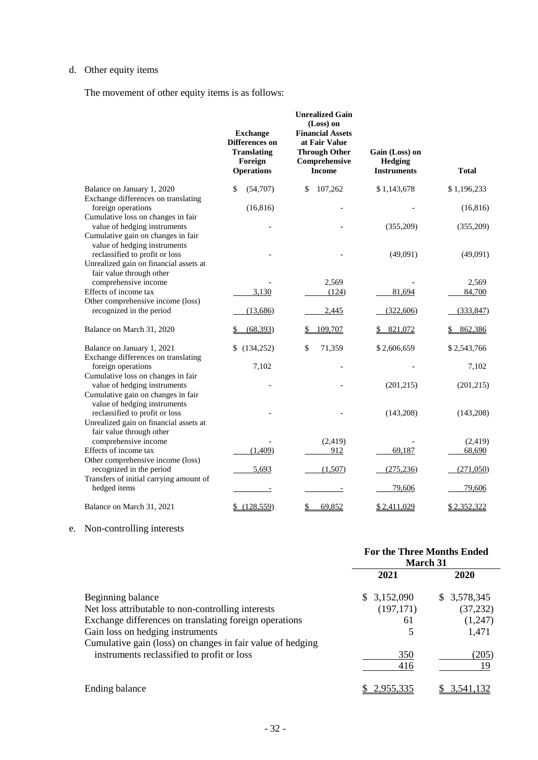## d. Other equity items

The movement of other equity items is as follows:

|                                                                                                                                          | <b>Exchange</b><br>Differences on<br><b>Translating</b><br>Foreign<br><b>Operations</b> | <b>Unrealized Gain</b><br>(Loss) on<br><b>Financial Assets</b><br>at Fair Value<br><b>Through Other</b><br>Comprehensive<br><b>Income</b> | Gain (Loss) on<br>Hedging<br><b>Instruments</b> | <b>Total</b> |
|------------------------------------------------------------------------------------------------------------------------------------------|-----------------------------------------------------------------------------------------|-------------------------------------------------------------------------------------------------------------------------------------------|-------------------------------------------------|--------------|
| Balance on January 1, 2020                                                                                                               | (54,707)<br>\$                                                                          | 107,262<br>\$                                                                                                                             | \$1,143,678                                     | \$1,196,233  |
| Exchange differences on translating<br>foreign operations                                                                                | (16, 816)                                                                               |                                                                                                                                           |                                                 | (16, 816)    |
| Cumulative loss on changes in fair<br>value of hedging instruments<br>Cumulative gain on changes in fair<br>value of hedging instruments |                                                                                         |                                                                                                                                           | (355,209)                                       | (355,209)    |
| reclassified to profit or loss<br>Unrealized gain on financial assets at<br>fair value through other                                     |                                                                                         |                                                                                                                                           | (49,091)                                        | (49,091)     |
| comprehensive income                                                                                                                     |                                                                                         | 2,569                                                                                                                                     |                                                 | 2,569        |
| Effects of income tax                                                                                                                    | 3,130                                                                                   | (124)                                                                                                                                     | 81,694                                          | 84,700       |
| Other comprehensive income (loss)                                                                                                        |                                                                                         |                                                                                                                                           |                                                 |              |
| recognized in the period                                                                                                                 | (13,686)                                                                                | 2,445                                                                                                                                     | (322,606)                                       | (333, 847)   |
| Balance on March 31, 2020                                                                                                                | (68, 393)                                                                               | 109,707                                                                                                                                   | 821,072                                         | 862,386      |
| Balance on January 1, 2021<br>Exchange differences on translating                                                                        | (134,252)<br>\$                                                                         | 71,359<br>\$                                                                                                                              | \$2,606,659                                     | \$2,543,766  |
| foreign operations                                                                                                                       | 7,102                                                                                   |                                                                                                                                           |                                                 | 7,102        |
| Cumulative loss on changes in fair<br>value of hedging instruments<br>Cumulative gain on changes in fair                                 |                                                                                         |                                                                                                                                           | (201, 215)                                      | (201, 215)   |
| value of hedging instruments<br>reclassified to profit or loss<br>Unrealized gain on financial assets at                                 |                                                                                         |                                                                                                                                           | (143,208)                                       | (143,208)    |
| fair value through other<br>comprehensive income                                                                                         |                                                                                         | (2, 419)                                                                                                                                  |                                                 | (2, 419)     |
| Effects of income tax                                                                                                                    | (1,409)                                                                                 | 912                                                                                                                                       | 69,187                                          | 68,690       |
| Other comprehensive income (loss)                                                                                                        |                                                                                         |                                                                                                                                           |                                                 |              |
| recognized in the period                                                                                                                 | 5,693                                                                                   | (1,507)                                                                                                                                   | (275, 236)                                      | (271,050)    |
| Transfers of initial carrying amount of<br>hedged items                                                                                  |                                                                                         |                                                                                                                                           | 79,606                                          | 79,606       |
| Balance on March 31, 2021                                                                                                                | \$(128, 559)                                                                            | 69,852<br>\$                                                                                                                              | \$2,411,029                                     | \$2,352,322  |

## e. Non-controlling interests

|                                                            | <b>For the Three Months Ended</b><br>March 31 |              |  |
|------------------------------------------------------------|-----------------------------------------------|--------------|--|
|                                                            | 2021                                          | <b>2020</b>  |  |
| Beginning balance                                          | \$3,152,090                                   | \$ 3,578,345 |  |
| Net loss attributable to non-controlling interests         | (197, 171)                                    | (37, 232)    |  |
| Exchange differences on translating foreign operations     | 61                                            | (1,247)      |  |
| Gain loss on hedging instruments                           | 5                                             | 1,471        |  |
| Cumulative gain (loss) on changes in fair value of hedging |                                               |              |  |
| instruments reclassified to profit or loss                 | 350                                           | (205)        |  |
|                                                            | 416                                           | 19           |  |
| Ending balance                                             | 2.955.335                                     | 3.541.132    |  |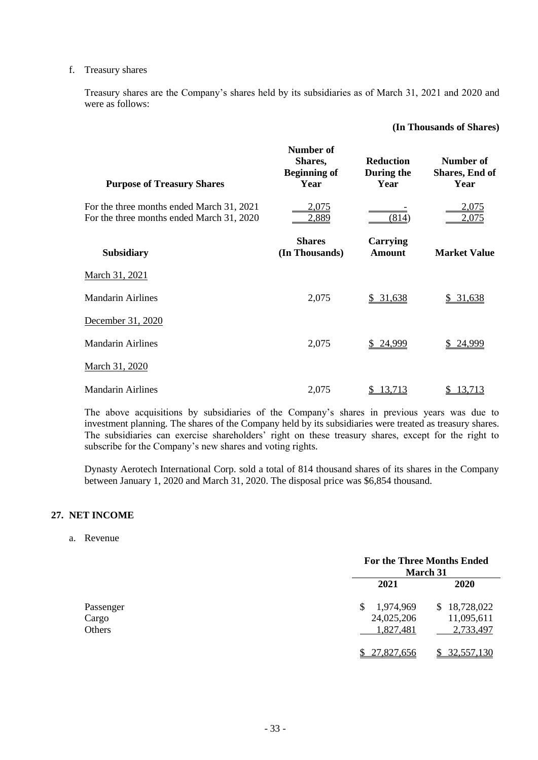#### f. Treasury shares

Treasury shares are the Company's shares held by its subsidiaries as of March 31, 2021 and 2020 and were as follows:

### **(In Thousands of Shares)**

| <b>Purpose of Treasury Shares</b>                                                      | Number of<br>Shares,<br><b>Beginning of</b><br>Year | <b>Reduction</b><br>During the<br>Year | Number of<br>Shares, End of<br>Year |
|----------------------------------------------------------------------------------------|-----------------------------------------------------|----------------------------------------|-------------------------------------|
| For the three months ended March 31, 2021<br>For the three months ended March 31, 2020 | 2,075<br>2,889                                      | (814)                                  | 2,075<br>2,075                      |
| <b>Subsidiary</b>                                                                      | <b>Shares</b><br>(In Thousands)                     | <b>Carrying</b><br><b>Amount</b>       | <b>Market Value</b>                 |
| <u>March 31, 2021</u>                                                                  |                                                     |                                        |                                     |
| <b>Mandarin Airlines</b>                                                               | 2,075                                               | \$31,638                               | \$31,638                            |
| December 31, 2020                                                                      |                                                     |                                        |                                     |
| <b>Mandarin Airlines</b>                                                               | 2,075                                               | \$24,999                               | 24,999                              |
| March 31, 2020                                                                         |                                                     |                                        |                                     |
| <b>Mandarin Airlines</b>                                                               | 2,075                                               | 13,713                                 | 13,713                              |

The above acquisitions by subsidiaries of the Company's shares in previous years was due to investment planning. The shares of the Company held by its subsidiaries were treated as treasury shares. The subsidiaries can exercise shareholders' right on these treasury shares, except for the right to subscribe for the Company's new shares and voting rights.

Dynasty Aerotech International Corp. sold a total of 814 thousand shares of its shares in the Company between January 1, 2020 and March 31, 2020. The disposal price was \$6,854 thousand.

#### **27. NET INCOME**

### a. Revenue

|           | <b>For the Three Months Ended</b><br><b>March 31</b> |              |  |
|-----------|------------------------------------------------------|--------------|--|
|           | 2021                                                 | <b>2020</b>  |  |
| Passenger | 1,974,969<br>S.                                      | \$18,728,022 |  |
| Cargo     | 24,025,206                                           | 11,095,611   |  |
| Others    | 1,827,481                                            | 2,733,497    |  |
|           | 27,827,656                                           | 32,557,130   |  |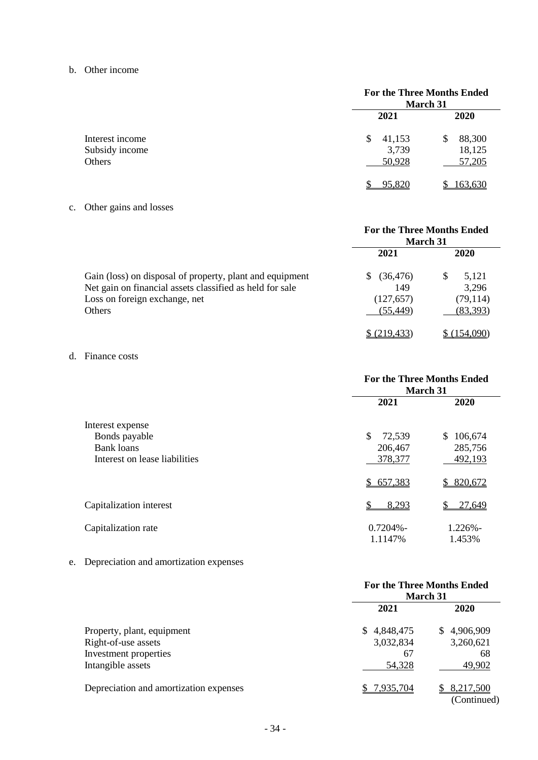b. Other income

|                                             | <b>For the Three Months Ended</b><br>March 31 |                                 |  |
|---------------------------------------------|-----------------------------------------------|---------------------------------|--|
|                                             | 2021                                          | 2020                            |  |
| Interest income<br>Subsidy income<br>Others | 41,153<br>\$<br>3,739<br>50,928               | 88,300<br>S<br>18,125<br>57,205 |  |
|                                             | 95,820                                        | 163,630                         |  |

c. Other gains and losses

|                                                          | For the Three Months Ended<br><b>March 31</b> |            |  |
|----------------------------------------------------------|-----------------------------------------------|------------|--|
|                                                          | 2021                                          | 2020       |  |
| Gain (loss) on disposal of property, plant and equipment | (36, 476)<br>S.                               | S<br>5,121 |  |
| Net gain on financial assets classified as held for sale | 149                                           | 3,296      |  |
| Loss on foreign exchange, net                            | (127, 657)                                    | (79, 114)  |  |
| Others                                                   | (55, 449)                                     | (83, 393)  |  |
|                                                          | \$(219, 433)                                  | (154.090)  |  |

## d. Finance costs

|                               | <b>For the Three Months Ended</b><br>March 31 |                      |  |
|-------------------------------|-----------------------------------------------|----------------------|--|
|                               | 2021                                          | 2020                 |  |
| Interest expense              |                                               |                      |  |
| Bonds payable                 | \$<br>72,539                                  | \$<br>106,674        |  |
| <b>Bank</b> loans             | 206,467                                       | 285,756              |  |
| Interest on lease liabilities | 378,377                                       | 492,193              |  |
|                               | \$657,383                                     | 820,672<br>\$        |  |
| Capitalization interest       | 8,293                                         | 27,649               |  |
| Capitalization rate           | $0.7204% -$<br>1.1147%                        | $1.226% -$<br>1.453% |  |

e. Depreciation and amortization expenses

|                                                                                                 | <b>For the Three Months Ended</b><br><b>March 31</b> |                                               |  |
|-------------------------------------------------------------------------------------------------|------------------------------------------------------|-----------------------------------------------|--|
|                                                                                                 | 2021                                                 |                                               |  |
| Property, plant, equipment<br>Right-of-use assets<br>Investment properties<br>Intangible assets | \$.<br>4,848,475<br>3,032,834<br>67<br>54,328        | 4,906,909<br>SS.<br>3,260,621<br>68<br>49,902 |  |
| Depreciation and amortization expenses                                                          | 7,935,704<br>S.                                      | 8,217,500<br>(Continued)                      |  |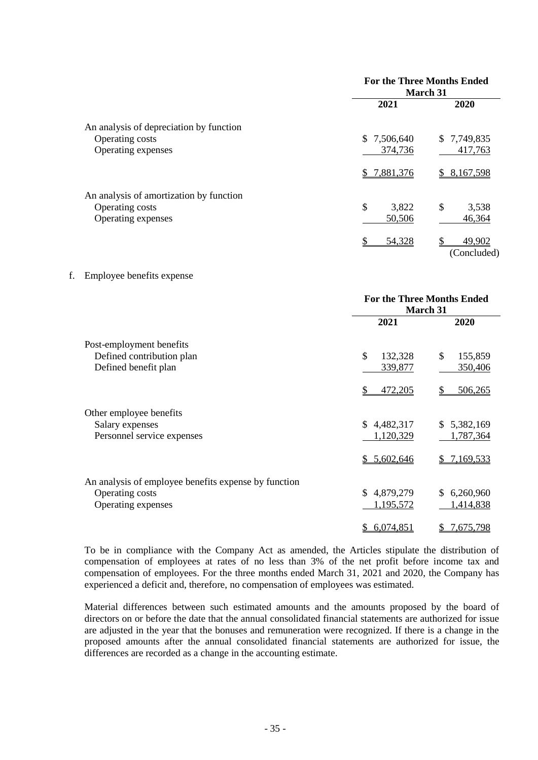|                                         | <b>For the Three Months Ended</b><br><b>March 31</b> |                            |  |  |
|-----------------------------------------|------------------------------------------------------|----------------------------|--|--|
|                                         | 2021                                                 | 2020                       |  |  |
| An analysis of depreciation by function |                                                      |                            |  |  |
| <b>Operating costs</b>                  | 7,506,640<br>SS.                                     | \$7,749,835                |  |  |
| Operating expenses                      | 374,736                                              | 417,763                    |  |  |
|                                         | \$7,881,376                                          | 8,167,598<br>S.            |  |  |
| An analysis of amortization by function |                                                      |                            |  |  |
| <b>Operating costs</b>                  | \$<br>3,822                                          | \$<br>3,538                |  |  |
| Operating expenses                      | 50,506                                               | 46,364                     |  |  |
|                                         | 54,328                                               | S<br>49,902<br>(Concluded) |  |  |

#### f. Employee benefits expense

|                                                      | <b>For the Three Months Ended</b><br>March 31 |                 |  |
|------------------------------------------------------|-----------------------------------------------|-----------------|--|
|                                                      | 2021                                          | 2020            |  |
| Post-employment benefits                             |                                               |                 |  |
| Defined contribution plan                            | \$<br>132,328                                 | \$<br>155,859   |  |
| Defined benefit plan                                 | 339,877                                       | 350,406         |  |
|                                                      | 472,205<br>S                                  | 506,265<br>S    |  |
| Other employee benefits                              |                                               |                 |  |
| Salary expenses                                      | 4,482,317<br>S.                               | 5,382,169<br>S. |  |
| Personnel service expenses                           | 1,120,329                                     | 1,787,364       |  |
|                                                      | \$5,602,646                                   | 7,169,533       |  |
| An analysis of employee benefits expense by function |                                               |                 |  |
| Operating costs                                      | 4,879,279<br>\$.                              | 6,260,960<br>\$ |  |
| Operating expenses                                   | 1,195,572                                     | 1,414,838       |  |
|                                                      | 6,074,851                                     | 7,675,798       |  |

To be in compliance with the Company Act as amended, the Articles stipulate the distribution of compensation of employees at rates of no less than 3% of the net profit before income tax and compensation of employees. For the three months ended March 31, 2021 and 2020, the Company has experienced a deficit and, therefore, no compensation of employees was estimated.

Material differences between such estimated amounts and the amounts proposed by the board of directors on or before the date that the annual consolidated financial statements are authorized for issue are adjusted in the year that the bonuses and remuneration were recognized. If there is a change in the proposed amounts after the annual consolidated financial statements are authorized for issue, the differences are recorded as a change in the accounting estimate.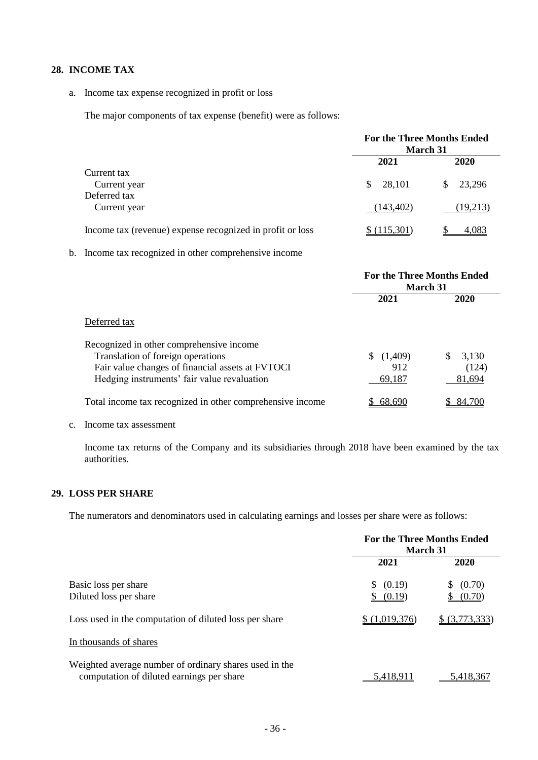## **28. INCOME TAX**

a. Income tax expense recognized in profit or loss

The major components of tax expense (benefit) were as follows:

|                                                           | <b>For the Three Months Ended</b><br><b>March 31</b> |               |  |
|-----------------------------------------------------------|------------------------------------------------------|---------------|--|
|                                                           | 2021                                                 | 2020          |  |
| Current tax<br>Current year                               | 28,101<br>\$.                                        | 23,296<br>\$. |  |
| Deferred tax<br>Current year                              | (143, 402)                                           | (19,213)      |  |
| Income tax (revenue) expense recognized in profit or loss | (115.301)                                            | <u>4,083</u>  |  |

## b. Income tax recognized in other comprehensive income

|                                                                                                                                                                                  | <b>For the Three Months Ended</b><br>March 31 |                                 |  |
|----------------------------------------------------------------------------------------------------------------------------------------------------------------------------------|-----------------------------------------------|---------------------------------|--|
|                                                                                                                                                                                  | 2021                                          | 2020                            |  |
| Deferred tax                                                                                                                                                                     |                                               |                                 |  |
| Recognized in other comprehensive income<br>Translation of foreign operations<br>Fair value changes of financial assets at FVTOCI<br>Hedging instruments' fair value revaluation | (1,409)<br>912<br>69,187                      | 3,130<br>\$.<br>(124)<br>81,694 |  |
| Total income tax recognized in other comprehensive income                                                                                                                        | 68.690                                        | 84.700                          |  |

#### c. Income tax assessment

Income tax returns of the Company and its subsidiaries through 2018 have been examined by the tax authorities.

## **29. LOSS PER SHARE**

The numerators and denominators used in calculating earnings and losses per share were as follows:

|                                                                                                     | <b>For the Three Months Ended</b><br>March 31 |                  |  |
|-----------------------------------------------------------------------------------------------------|-----------------------------------------------|------------------|--|
|                                                                                                     | 2021                                          | 2020             |  |
| Basic loss per share<br>Diluted loss per share                                                      | (0.19)<br>S<br>(0.19)                         | (0.70)<br>(0.70) |  |
| Loss used in the computation of diluted loss per share                                              | \$ (1,019,376)                                | \$ (3,773,333)   |  |
| In thousands of shares                                                                              |                                               |                  |  |
| Weighted average number of ordinary shares used in the<br>computation of diluted earnings per share | 5,418,911                                     | 5.418.367        |  |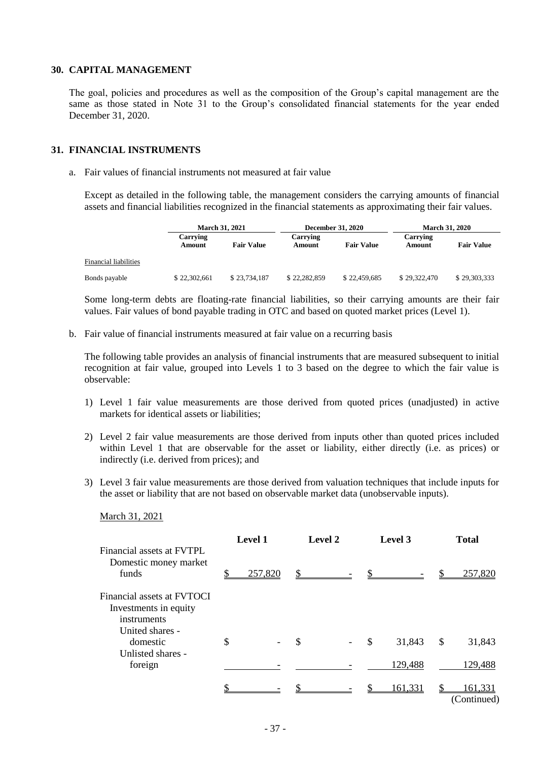## **30. CAPITAL MANAGEMENT**

The goal, policies and procedures as well as the composition of the Group's capital management are the same as those stated in Note 31 to the Group's consolidated financial statements for the year ended December 31, 2020.

#### **31. FINANCIAL INSTRUMENTS**

a. Fair values of financial instruments not measured at fair value

Except as detailed in the following table, the management considers the carrying amounts of financial assets and financial liabilities recognized in the financial statements as approximating their fair values.

|                       | <b>March 31, 2021</b> |                   | <b>December 31, 2020</b> |                   | <b>March 31, 2020</b> |                   |
|-----------------------|-----------------------|-------------------|--------------------------|-------------------|-----------------------|-------------------|
|                       | Carrying<br>Amount    | <b>Fair Value</b> | Carrying<br>Amount       | <b>Fair Value</b> | Carrying<br>Amount    | <b>Fair Value</b> |
| Financial liabilities |                       |                   |                          |                   |                       |                   |
| Bonds payable         | \$22,302,661          | \$23,734,187      | \$22,282,859             | \$22,459,685      | \$29,322,470          | \$29,303,333      |

Some long-term debts are floating-rate financial liabilities, so their carrying amounts are their fair values. Fair values of bond payable trading in OTC and based on quoted market prices (Level 1).

b. Fair value of financial instruments measured at fair value on a recurring basis

The following table provides an analysis of financial instruments that are measured subsequent to initial recognition at fair value, grouped into Levels 1 to 3 based on the degree to which the fair value is observable:

- 1) Level 1 fair value measurements are those derived from quoted prices (unadjusted) in active markets for identical assets or liabilities;
- 2) Level 2 fair value measurements are those derived from inputs other than quoted prices included within Level 1 that are observable for the asset or liability, either directly (i.e. as prices) or indirectly (i.e. derived from prices); and
- 3) Level 3 fair value measurements are those derived from valuation techniques that include inputs for the asset or liability that are not based on observable market data (unobservable inputs).
	- March 31, 2021

| Financial assets at FVTPL                                                             | <b>Level 1</b> |              | Level 2 |                           | Level 3 | <b>Total</b>           |
|---------------------------------------------------------------------------------------|----------------|--------------|---------|---------------------------|---------|------------------------|
| Domestic money market<br>funds                                                        | 257,820        | $\mathbb{S}$ |         | $\mathbf{\underline{\$}}$ |         | 257,820                |
| Financial assets at FVTOCI<br>Investments in equity<br>instruments<br>United shares - |                |              |         |                           |         |                        |
| domestic<br>Unlisted shares -                                                         | \$             | \$           |         | $\mathcal{S}$             | 31,843  | \$<br>31,843           |
| foreign                                                                               |                |              |         |                           | 129,488 | 129,488                |
|                                                                                       |                |              |         |                           | 161,331 | 161,331<br>(Continued) |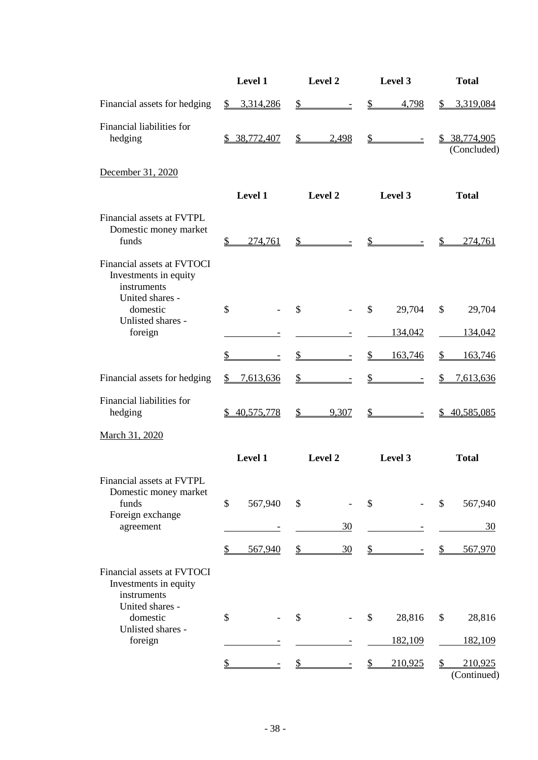|                                                                                              | Level 1                  | Level 2                              | Level 3                                 | <b>Total</b>                            |
|----------------------------------------------------------------------------------------------|--------------------------|--------------------------------------|-----------------------------------------|-----------------------------------------|
| Financial assets for hedging                                                                 | \$3,314,286              | $\frac{1}{2}$<br>$\overline{a}$      | $\frac{1}{2}$<br>4,798                  | 3,319,084<br>$\mathbb{S}$               |
| Financial liabilities for<br>hedging                                                         | \$ 38,772,407            | $\mathbb{S}$<br>2,498                | $\frac{1}{2}$<br>$\equiv$               | \$ 38,774,905<br>(Concluded)            |
| December 31, 2020                                                                            |                          |                                      |                                         |                                         |
|                                                                                              | Level 1                  | Level 2                              | Level 3                                 | <b>Total</b>                            |
| Financial assets at FVTPL<br>Domestic money market<br>funds                                  | $\frac{1}{2}$<br>274,761 | $s$ –                                | $s$ –                                   | 274,761<br>$\mathfrak{D}$               |
| Financial assets at FVTOCI<br>Investments in equity<br>instruments<br>United shares -        |                          |                                      |                                         |                                         |
| domestic<br>Unlisted shares -                                                                | \$                       | $\mathcal{S}$                        | \$<br>29,704                            | \$<br>29,704                            |
| foreign                                                                                      |                          |                                      | 134,042                                 | 134,042                                 |
|                                                                                              | \$                       | $\mathcal{S}$                        | 163,746<br>$\frac{1}{2}$                | 163,746<br>$\frac{1}{2}$                |
| Financial assets for hedging                                                                 | 7,613,636<br>\$          | $\frac{1}{2}$                        | $\mathbf{\mathcal{S}}$                  | $\mathbb{S}$<br>7,613,636               |
| Financial liabilities for<br>hedging                                                         | 40,575,778<br>S.         | 9,307<br>$\frac{\text{S}}{\text{S}}$ | $\frac{\text{S}}{\text{S}}$<br>$\equiv$ | 40,585,085<br>$\mathbb{S}$              |
| March 31, 2020                                                                               |                          |                                      |                                         |                                         |
|                                                                                              | Level 1                  | Level 2                              | Level 3                                 | <b>Total</b>                            |
| Financial assets at FVTPL<br>Domestic money market<br>funds<br>Foreign exchange<br>agreement | \$<br>567,940            | \$<br>30                             | \$                                      | \$<br>567,940<br>30                     |
|                                                                                              |                          |                                      |                                         |                                         |
| Financial assets at FVTOCI<br>Investments in equity<br>instruments                           | 567,940<br>\$            | $\frac{1}{2}$<br>30                  | $\frac{1}{2}$                           | $\frac{1}{2}$<br>567,970                |
| United shares -<br>domestic<br>Unlisted shares -                                             | \$                       | \$                                   | \$<br>28,816                            | \$<br>28,816                            |
| foreign                                                                                      |                          |                                      | 182,109                                 | 182,109                                 |
|                                                                                              | $\frac{1}{2}$            | \$                                   | 210,925<br>\$                           | $\frac{1}{2}$<br>210,925<br>(Continued) |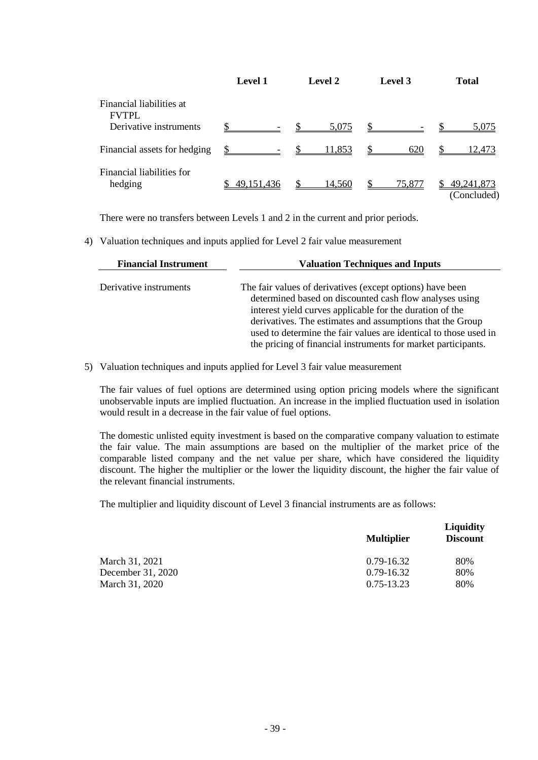|                                          | <b>Level 2</b><br><b>Level 1</b> |                        | Level 3      | <b>Total</b>                |  |
|------------------------------------------|----------------------------------|------------------------|--------------|-----------------------------|--|
| Financial liabilities at<br><b>FVTPL</b> |                                  |                        |              |                             |  |
| Derivative instruments                   |                                  | $\mathcal{S}$<br>5,075 | $\mathbb{S}$ | 5,075                       |  |
| Financial assets for hedging             |                                  | $\mathbb{S}$<br>11,853 | 620          | 12.473                      |  |
| Financial liabilities for<br>hedging     | \$49,151,436                     | 14,560                 | 75,877       | 49, 241, 873<br>(Concluded) |  |

There were no transfers between Levels 1 and 2 in the current and prior periods.

4) Valuation techniques and inputs applied for Level 2 fair value measurement

| <b>Financial Instrument</b> | <b>Valuation Techniques and Inputs</b>                                                                                                                                                                                                                                                                                                                                             |  |  |  |
|-----------------------------|------------------------------------------------------------------------------------------------------------------------------------------------------------------------------------------------------------------------------------------------------------------------------------------------------------------------------------------------------------------------------------|--|--|--|
| Derivative instruments      | The fair values of derivatives (except options) have been<br>determined based on discounted cash flow analyses using<br>interest yield curves applicable for the duration of the<br>derivatives. The estimates and assumptions that the Group<br>used to determine the fair values are identical to those used in<br>the pricing of financial instruments for market participants. |  |  |  |

5) Valuation techniques and inputs applied for Level 3 fair value measurement

The fair values of fuel options are determined using option pricing models where the significant unobservable inputs are implied fluctuation. An increase in the implied fluctuation used in isolation would result in a decrease in the fair value of fuel options.

The domestic unlisted equity investment is based on the comparative company valuation to estimate the fair value. The main assumptions are based on the multiplier of the market price of the comparable listed company and the net value per share, which have considered the liquidity discount. The higher the multiplier or the lower the liquidity discount, the higher the fair value of the relevant financial instruments.

The multiplier and liquidity discount of Level 3 financial instruments are as follows:

|                   | <b>Multiplier</b> | <b>Liquidity</b><br><b>Discount</b> |
|-------------------|-------------------|-------------------------------------|
| March 31, 2021    | $0.79 - 16.32$    | 80%                                 |
| December 31, 2020 | $0.79 - 16.32$    | 80%                                 |
| March 31, 2020    | 0.75-13.23        | 80%                                 |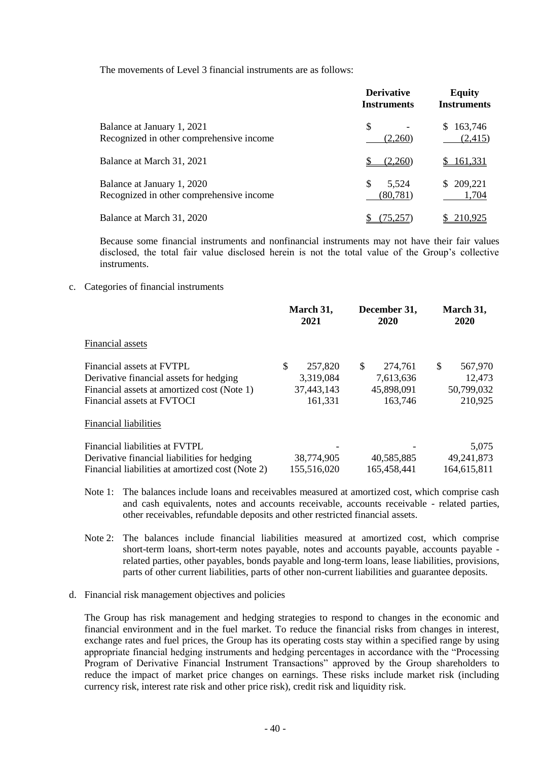The movements of Level 3 financial instruments are as follows:

|                                                                        | <b>Derivative</b><br><b>Instruments</b> | <b>Equity</b><br><b>Instruments</b> |
|------------------------------------------------------------------------|-----------------------------------------|-------------------------------------|
| Balance at January 1, 2021<br>Recognized in other comprehensive income | \$<br>(2,260)                           | 163,746<br>S.<br>(2,415)            |
| Balance at March 31, 2021                                              | (2.260)                                 | \$161,331                           |
| Balance at January 1, 2020<br>Recognized in other comprehensive income | \$<br>5,524<br>(80, 781)                | \$209,221<br>1,704                  |
| Balance at March 31, 2020                                              | (75,257)                                | 210,925                             |

Because some financial instruments and nonfinancial instruments may not have their fair values disclosed, the total fair value disclosed herein is not the total value of the Group's collective instruments.

#### c. Categories of financial instruments

|                                                  | March 31,<br>2021 | December 31,<br>2020 | March 31,<br>2020 |  |
|--------------------------------------------------|-------------------|----------------------|-------------------|--|
| Financial assets                                 |                   |                      |                   |  |
| Financial assets at FVTPL                        | \$<br>257,820     | \$<br>274,761        | \$<br>567,970     |  |
| Derivative financial assets for hedging          | 3,319,084         | 7,613,636            | 12,473            |  |
| Financial assets at amortized cost (Note 1)      | 37,443,143        | 45,898,091           | 50,799,032        |  |
| Financial assets at FVTOCI                       | 161,331           | 163,746              | 210,925           |  |
| <b>Financial liabilities</b>                     |                   |                      |                   |  |
| Financial liabilities at FVTPL                   |                   |                      | 5,075             |  |
| Derivative financial liabilities for hedging     | 38,774,905        | 40,585,885           | 49,241,873        |  |
| Financial liabilities at amortized cost (Note 2) | 155,516,020       | 165,458,441          | 164,615,811       |  |

Note 1: The balances include loans and receivables measured at amortized cost, which comprise cash and cash equivalents, notes and accounts receivable, accounts receivable - related parties, other receivables, refundable deposits and other restricted financial assets.

- Note 2: The balances include financial liabilities measured at amortized cost, which comprise short-term loans, short-term notes payable, notes and accounts payable, accounts payable related parties, other payables, bonds payable and long-term loans, lease liabilities, provisions, parts of other current liabilities, parts of other non-current liabilities and guarantee deposits.
- d. Financial risk management objectives and policies

The Group has risk management and hedging strategies to respond to changes in the economic and financial environment and in the fuel market. To reduce the financial risks from changes in interest, exchange rates and fuel prices, the Group has its operating costs stay within a specified range by using appropriate financial hedging instruments and hedging percentages in accordance with the "Processing Program of Derivative Financial Instrument Transactions" approved by the Group shareholders to reduce the impact of market price changes on earnings. These risks include market risk (including currency risk, interest rate risk and other price risk), credit risk and liquidity risk.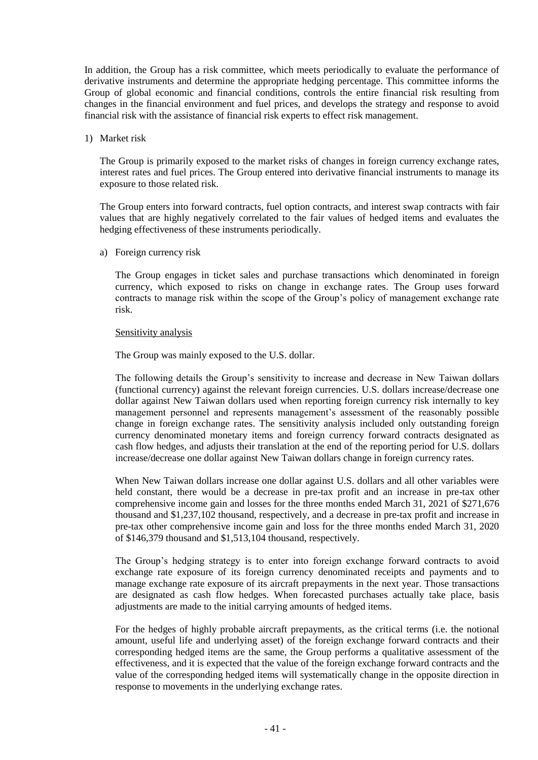In addition, the Group has a risk committee, which meets periodically to evaluate the performance of derivative instruments and determine the appropriate hedging percentage. This committee informs the Group of global economic and financial conditions, controls the entire financial risk resulting from changes in the financial environment and fuel prices, and develops the strategy and response to avoid financial risk with the assistance of financial risk experts to effect risk management.

#### 1) Market risk

The Group is primarily exposed to the market risks of changes in foreign currency exchange rates, interest rates and fuel prices. The Group entered into derivative financial instruments to manage its exposure to those related risk.

The Group enters into forward contracts, fuel option contracts, and interest swap contracts with fair values that are highly negatively correlated to the fair values of hedged items and evaluates the hedging effectiveness of these instruments periodically.

a) Foreign currency risk

The Group engages in ticket sales and purchase transactions which denominated in foreign currency, which exposed to risks on change in exchange rates. The Group uses forward contracts to manage risk within the scope of the Group's policy of management exchange rate risk.

#### Sensitivity analysis

The Group was mainly exposed to the U.S. dollar.

The following details the Group's sensitivity to increase and decrease in New Taiwan dollars (functional currency) against the relevant foreign currencies. U.S. dollars increase/decrease one dollar against New Taiwan dollars used when reporting foreign currency risk internally to key management personnel and represents management's assessment of the reasonably possible change in foreign exchange rates. The sensitivity analysis included only outstanding foreign currency denominated monetary items and foreign currency forward contracts designated as cash flow hedges, and adjusts their translation at the end of the reporting period for U.S. dollars increase/decrease one dollar against New Taiwan dollars change in foreign currency rates.

When New Taiwan dollars increase one dollar against U.S. dollars and all other variables were held constant, there would be a decrease in pre-tax profit and an increase in pre-tax other comprehensive income gain and losses for the three months ended March 31, 2021 of \$271,676 thousand and \$1,237,102 thousand, respectively, and a decrease in pre-tax profit and increase in pre-tax other comprehensive income gain and loss for the three months ended March 31, 2020 of \$146,379 thousand and \$1,513,104 thousand, respectively.

The Group's hedging strategy is to enter into foreign exchange forward contracts to avoid exchange rate exposure of its foreign currency denominated receipts and payments and to manage exchange rate exposure of its aircraft prepayments in the next year. Those transactions are designated as cash flow hedges. When forecasted purchases actually take place, basis adjustments are made to the initial carrying amounts of hedged items.

For the hedges of highly probable aircraft prepayments, as the critical terms (i.e. the notional amount, useful life and underlying asset) of the foreign exchange forward contracts and their corresponding hedged items are the same, the Group performs a qualitative assessment of the effectiveness, and it is expected that the value of the foreign exchange forward contracts and the value of the corresponding hedged items will systematically change in the opposite direction in response to movements in the underlying exchange rates.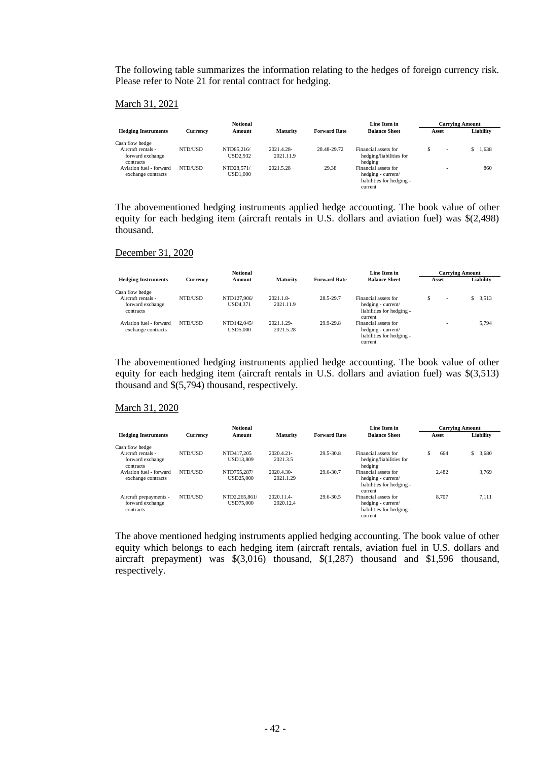The following table summarizes the information relating to the hedges of foreign currency risk. Please refer to Note 21 for rental contract for hedging.

#### March 31, 2021

|                               |          | <b>Notional</b> |                 |                     | Line Item in                       | <b>Carrying Amount</b> |                          |           |
|-------------------------------|----------|-----------------|-----------------|---------------------|------------------------------------|------------------------|--------------------------|-----------|
| <b>Hedging Instruments</b>    | Currency | Amount          | <b>Maturity</b> | <b>Forward Rate</b> | <b>Balance Sheet</b>               | Asset                  |                          | Liability |
| Cash flow hedge               |          |                 |                 |                     |                                    |                        |                          |           |
| Aircraft rentals -            | NTD/USD  | NTD85.216/      | 2021.4.28-      | 28.48-29.72         | Financial assets for               |                        | $\overline{\phantom{a}}$ | 1.638     |
| forward exchange<br>contracts |          | USD2.932        | 2021.11.9       |                     | hedging/liabilities for<br>hedging |                        |                          |           |
| Aviation fuel - forward       | NTD/USD  | NTD28.571/      | 2021.5.28       | 29.38               | Financial assets for               |                        | -                        | 860       |
| exchange contracts            |          | USD1.000        |                 |                     | hedging - current/                 |                        |                          |           |
|                               |          |                 |                 |                     | liabilities for hedging -          |                        |                          |           |
|                               |          |                 |                 |                     | current                            |                        |                          |           |

The abovementioned hedging instruments applied hedge accounting. The book value of other equity for each hedging item (aircraft rentals in U.S. dollars and aviation fuel) was \$(2,498) thousand.

#### December 31, 2020

|                                                     |          | <b>Notional</b>                |                         |                     | Line Item in                                                                       | <b>Carrying Amount</b>        |           |  |
|-----------------------------------------------------|----------|--------------------------------|-------------------------|---------------------|------------------------------------------------------------------------------------|-------------------------------|-----------|--|
| <b>Hedging Instruments</b>                          | Currency | Amount                         | <b>Maturity</b>         | <b>Forward Rate</b> | <b>Balance Sheet</b>                                                               | Asset                         | Liability |  |
| Cash flow hedge                                     |          |                                |                         |                     |                                                                                    |                               |           |  |
| Aircraft rentals -<br>forward exchange<br>contracts | NTD/USD  | NTD127,906/<br>USD4.371        | 2021.1.8-<br>2021.11.9  | 28.5-29.7           | Financial assets for<br>hedging - current/<br>liabilities for hedging -<br>current | S<br>$\overline{\phantom{a}}$ | \$3,513   |  |
| Aviation fuel - forward<br>exchange contracts       | NTD/USD  | NTD142,045/<br><b>USD5.000</b> | 2021.1.29-<br>2021.5.28 | 29.9-29.8           | Financial assets for<br>hedging - current/<br>liabilities for hedging -<br>current |                               | 5.794     |  |

The abovementioned hedging instruments applied hedge accounting. The book value of other equity for each hedging item (aircraft rentals in U.S. dollars and aviation fuel) was \$(3,513) thousand and \$(5,794) thousand, respectively.

#### March 31, 2020

|                            |                 | <b>Notional</b>  |                 |                     | Line Item in              | <b>Carrving Amount</b> |             |  |
|----------------------------|-----------------|------------------|-----------------|---------------------|---------------------------|------------------------|-------------|--|
| <b>Hedging Instruments</b> | <b>Currency</b> | Amount           | <b>Maturity</b> | <b>Forward Rate</b> | <b>Balance Sheet</b>      | Asset                  | Liability   |  |
| Cash flow hedge            |                 |                  |                 |                     |                           |                        |             |  |
| Aircraft rentals -         | NTD/USD         | NTD417.205       | 2020.4.21-      | 29.5-30.8           | Financial assets for      | S<br>664               | \$<br>3,680 |  |
| forward exchange           |                 | <b>USD13.809</b> | 2021.3.5        |                     | hedging/liabilities for   |                        |             |  |
| contracts                  |                 |                  |                 |                     | hedging                   |                        |             |  |
| Aviation fuel - forward    | NTD/USD         | NTD755.287/      | 2020.4.30-      | 29.6-30.7           | Financial assets for      | 2.482                  | 3,769       |  |
| exchange contracts         |                 | USD25,000        | 2021.1.29       |                     | hedging - current/        |                        |             |  |
|                            |                 |                  |                 |                     | liabilities for hedging - |                        |             |  |
|                            |                 |                  |                 |                     | current                   |                        |             |  |
| Aircraft prepayments -     | NTD/USD         | NTD2.265.861/    | 2020.11.4-      | 29.6-30.5           | Financial assets for      | 8.707                  | 7.111       |  |
| forward exchange           |                 | USD75,000        | 2020.12.4       |                     | hedging - current/        |                        |             |  |
| contracts                  |                 |                  |                 |                     | liabilities for hedging - |                        |             |  |
|                            |                 |                  |                 |                     | current                   |                        |             |  |

The above mentioned hedging instruments applied hedging accounting. The book value of other equity which belongs to each hedging item (aircraft rentals, aviation fuel in U.S. dollars and aircraft prepayment) was \$(3,016) thousand, \$(1,287) thousand and \$1,596 thousand, respectively.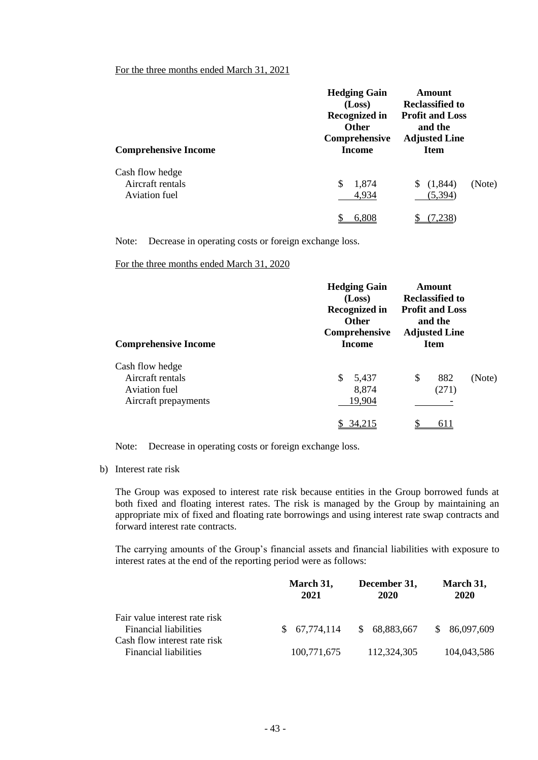## For the three months ended March 31, 2021

| <b>Comprehensive Income</b>                          | <b>Hedging Gain</b><br>(Loss)<br><b>Recognized in</b><br><b>Other</b><br>Comprehensive<br>Income | Amount<br><b>Reclassified to</b><br><b>Profit and Loss</b><br>and the<br><b>Adjusted Line</b><br><b>Item</b> |        |
|------------------------------------------------------|--------------------------------------------------------------------------------------------------|--------------------------------------------------------------------------------------------------------------|--------|
| Cash flow hedge<br>Aircraft rentals<br>Aviation fuel | $\mathbb{S}$<br>1,874<br>4,934                                                                   | (1, 844)<br>S<br>(5,394)                                                                                     | (Note) |
|                                                      | 6,808                                                                                            |                                                                                                              |        |

Note: Decrease in operating costs or foreign exchange loss.

For the three months ended March 31, 2020

| <b>Hedging Gain</b><br>(Loss)<br>Recognized in<br><b>Other</b><br>Comprehensive<br><b>Income</b> |                    |        |
|--------------------------------------------------------------------------------------------------|--------------------|--------|
| \$<br>5,437<br>8,874<br>19,904                                                                   | \$<br>882<br>(271) | (Note) |
|                                                                                                  |                    | 611    |

Note: Decrease in operating costs or foreign exchange loss.

b) Interest rate risk

The Group was exposed to interest rate risk because entities in the Group borrowed funds at both fixed and floating interest rates. The risk is managed by the Group by maintaining an appropriate mix of fixed and floating rate borrowings and using interest rate swap contracts and forward interest rate contracts.

The carrying amounts of the Group's financial assets and financial liabilities with exposure to interest rates at the end of the reporting period were as follows:

|                                                               | March 31,<br>2021 | December 31,<br>2020        | March 31,<br>2020 |
|---------------------------------------------------------------|-------------------|-----------------------------|-------------------|
| Fair value interest rate risk<br><b>Financial liabilities</b> | \$67,774,114      | 68,883,667<br><sup>\$</sup> | \$86,097,609      |
| Cash flow interest rate risk<br><b>Financial liabilities</b>  | 100,771,675       | 112,324,305                 | 104,043,586       |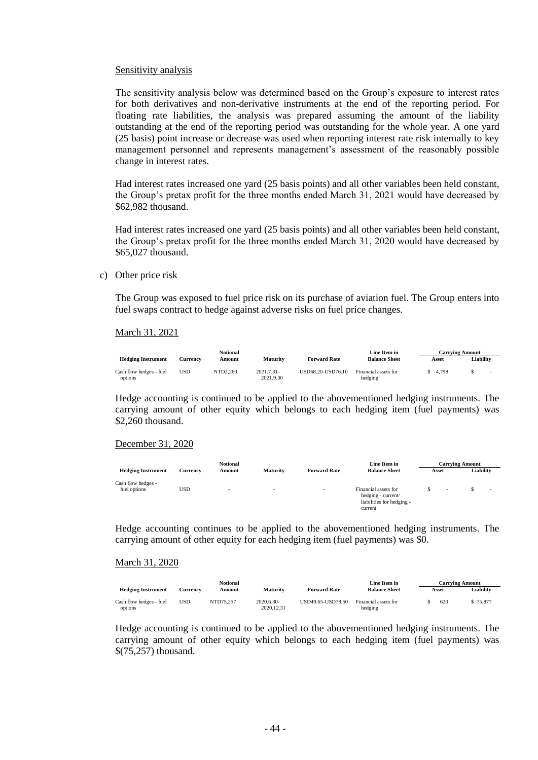#### Sensitivity analysis

The sensitivity analysis below was determined based on the Group's exposure to interest rates for both derivatives and non-derivative instruments at the end of the reporting period. For floating rate liabilities, the analysis was prepared assuming the amount of the liability outstanding at the end of the reporting period was outstanding for the whole year. A one yard (25 basis) point increase or decrease was used when reporting interest rate risk internally to key management personnel and represents management's assessment of the reasonably possible change in interest rates.

Had interest rates increased one yard (25 basis points) and all other variables been held constant, the Group's pretax profit for the three months ended March 31, 2021 would have decreased by \$62,982 thousand.

Had interest rates increased one yard (25 basis points) and all other variables been held constant, the Group's pretax profit for the three months ended March 31, 2020 would have decreased by \$65,027 thousand.

#### c) Other price risk

The Group was exposed to fuel price risk on its purchase of aviation fuel. The Group enters into fuel swaps contract to hedge against adverse risks on fuel price changes.

#### March 31, 2021

|                                    |          | Notional |                         |                     | Line Item in                    |       | Carrving Amount |  |
|------------------------------------|----------|----------|-------------------------|---------------------|---------------------------------|-------|-----------------|--|
| <b>Hedging Instrument</b>          | Currencv | Amount   | <b>Maturity</b>         | <b>Forward Rate</b> | <b>Balance Sheet</b>            | Asset | Liability       |  |
| Cash flow hedges - fuel<br>options | USD      | NTD2.260 | 2021.7.31-<br>2021.9.30 | USD68.20-USD76.10   | Financial assets for<br>hedging | 4.798 |                 |  |

Hedge accounting is continued to be applied to the abovementioned hedging instruments. The carrying amount of other equity which belongs to each hedging item (fuel payments) was \$2,260 thousand.

#### December 31, 2020

|                                    |          | <b>Notional</b> |                          |                          | Line Item in                                                                       | <b>Carrying Amount</b> |                          |  |                          |
|------------------------------------|----------|-----------------|--------------------------|--------------------------|------------------------------------------------------------------------------------|------------------------|--------------------------|--|--------------------------|
| <b>Hedging Instrument</b>          | Currency | Amount          | Maturity                 | <b>Forward Rate</b>      | <b>Balance Sheet</b>                                                               | Asset                  |                          |  | Liability                |
| Cash flow hedges -<br>fuel options | USD      | $\sim$          | $\overline{\phantom{0}}$ | $\overline{\phantom{a}}$ | Financial assets for<br>hedging - current/<br>liabilities for hedging -<br>current |                        | $\overline{\phantom{a}}$ |  | $\overline{\phantom{0}}$ |

Hedge accounting continues to be applied to the abovementioned hedging instruments. The carrying amount of other equity for each hedging item (fuel payments) was \$0.

#### March 31, 2020

|                                    |                 | Notional  |                          |                     | Line Item in                    |       | <b>Carrving Amount</b> |
|------------------------------------|-----------------|-----------|--------------------------|---------------------|---------------------------------|-------|------------------------|
| <b>Hedging Instrument</b>          | <b>Currency</b> | Amount    | <b>Maturity</b>          | <b>Forward Rate</b> | <b>Balance Sheet</b>            | Asset | Liability              |
| Cash flow hedges - fuel<br>options | USD             | NTD75.257 | 2020.6.30-<br>2020.12.31 | USD49.65-USD78.50   | Financial assets for<br>hedging | 620   | \$75,877               |

Hedge accounting is continued to be applied to the abovementioned hedging instruments. The carrying amount of other equity which belongs to each hedging item (fuel payments) was \$(75,257) thousand.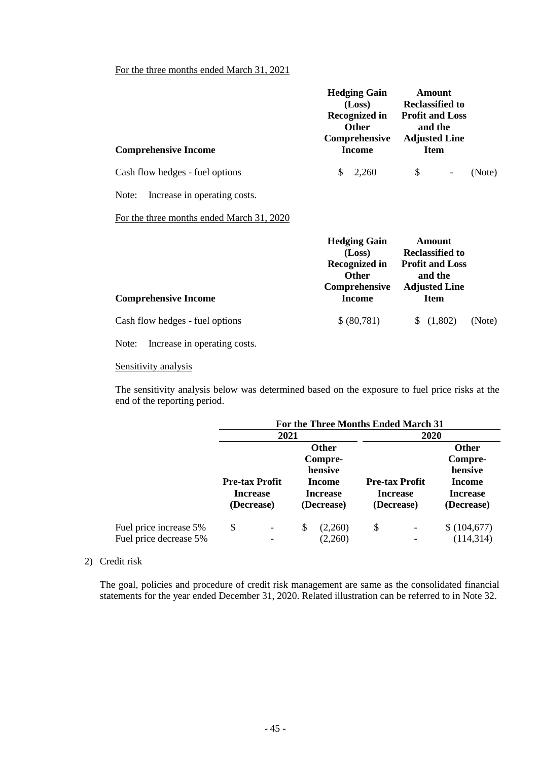## For the three months ended March 31, 2021

| <b>Comprehensive Income</b>               | <b>Hedging Gain</b><br>(Loss)<br>Recognized in<br><b>Other</b><br>Comprehensive<br><b>Income</b> | Amount<br><b>Reclassified to</b><br><b>Profit and Loss</b><br>and the<br><b>Adjusted Line</b><br><b>Item</b> |        |
|-------------------------------------------|--------------------------------------------------------------------------------------------------|--------------------------------------------------------------------------------------------------------------|--------|
| Cash flow hedges - fuel options           | $\mathbb{S}$<br>2,260                                                                            | \$<br>$\overline{\phantom{a}}$                                                                               | (Note) |
| Increase in operating costs.<br>Note:     |                                                                                                  |                                                                                                              |        |
| For the three months ended March 31, 2020 |                                                                                                  |                                                                                                              |        |
|                                           | <b>Hedging Gain</b><br>(Loss)<br><b>Recognized in</b><br><b>Other</b><br>Comprehensive           | Amount<br><b>Reclassified to</b><br><b>Profit and Loss</b><br>and the<br><b>Adjusted Line</b>                |        |
| <b>Comprehensive Income</b>               | <b>Income</b>                                                                                    | <b>Item</b>                                                                                                  |        |
| Cash flow hedges - fuel options           | \$(80,781)                                                                                       | (1,802)                                                                                                      | (Note) |
|                                           |                                                                                                  |                                                                                                              |        |

Note: Increase in operating costs.

## Sensitivity analysis

The sensitivity analysis below was determined based on the exposure to fuel price risks at the end of the reporting period.

|                                                  |                                                        |                                   |                                                                               |                    | For the Three Months Ended March 31 |                                                        |                                                                               |  |
|--------------------------------------------------|--------------------------------------------------------|-----------------------------------|-------------------------------------------------------------------------------|--------------------|-------------------------------------|--------------------------------------------------------|-------------------------------------------------------------------------------|--|
|                                                  |                                                        | 2021                              |                                                                               |                    | 2020                                |                                                        |                                                                               |  |
|                                                  | <b>Pre-tax Profit</b><br><b>Increase</b><br>(Decrease) |                                   | <b>Other</b><br>Compre-<br>hensive<br>Income<br><b>Increase</b><br>(Decrease) |                    |                                     | <b>Pre-tax Profit</b><br><b>Increase</b><br>(Decrease) | <b>Other</b><br>Compre-<br>hensive<br>Income<br><b>Increase</b><br>(Decrease) |  |
| Fuel price increase 5%<br>Fuel price decrease 5% | \$                                                     | $\qquad \qquad \blacksquare$<br>- | S                                                                             | (2,260)<br>(2,260) | \$                                  |                                                        | \$(104,677)<br>(114, 314)                                                     |  |

#### 2) Credit risk

The goal, policies and procedure of credit risk management are same as the consolidated financial statements for the year ended December 31, 2020. Related illustration can be referred to in Note 32.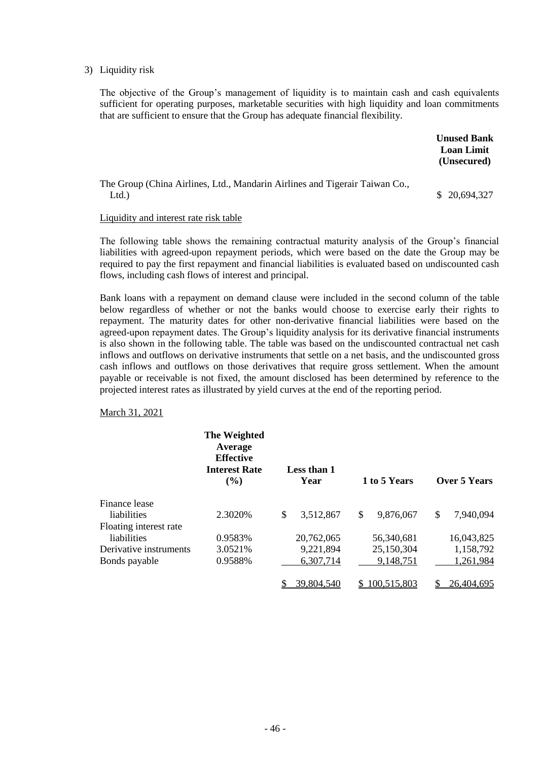#### 3) Liquidity risk

The objective of the Group's management of liquidity is to maintain cash and cash equivalents sufficient for operating purposes, marketable securities with high liquidity and loan commitments that are sufficient to ensure that the Group has adequate financial flexibility.

|                                                                                      | <b>Unused Bank</b><br><b>Loan Limit</b><br>(Unsecured) |
|--------------------------------------------------------------------------------------|--------------------------------------------------------|
| The Group (China Airlines, Ltd., Mandarin Airlines and Tigerair Taiwan Co.,<br>Ltd.) | \$20,694,327                                           |

#### Liquidity and interest rate risk table

The following table shows the remaining contractual maturity analysis of the Group's financial liabilities with agreed-upon repayment periods, which were based on the date the Group may be required to pay the first repayment and financial liabilities is evaluated based on undiscounted cash flows, including cash flows of interest and principal.

Bank loans with a repayment on demand clause were included in the second column of the table below regardless of whether or not the banks would choose to exercise early their rights to repayment. The maturity dates for other non-derivative financial liabilities were based on the agreed-upon repayment dates. The Group's liquidity analysis for its derivative financial instruments is also shown in the following table. The table was based on the undiscounted contractual net cash inflows and outflows on derivative instruments that settle on a net basis, and the undiscounted gross cash inflows and outflows on those derivatives that require gross settlement. When the amount payable or receivable is not fixed, the amount disclosed has been determined by reference to the projected interest rates as illustrated by yield curves at the end of the reporting period.

March 31, 2021

|                        | The Weighted<br>Average<br><b>Effective</b><br><b>Interest Rate</b><br>$($ %) | Less than 1<br>Year |              | 1 to 5 Years | Over 5 Years    |
|------------------------|-------------------------------------------------------------------------------|---------------------|--------------|--------------|-----------------|
| Finance lease          |                                                                               |                     |              |              |                 |
| liabilities            | 2.3020\%                                                                      | \$<br>3,512,867     | $\mathbb{S}$ | 9,876,067    | \$<br>7,940,094 |
| Floating interest rate |                                                                               |                     |              |              |                 |
| liabilities            | 0.9583%                                                                       | 20,762,065          |              | 56.340.681   | 16,043,825      |
| Derivative instruments | 3.0521%                                                                       | 9,221,894           |              | 25,150,304   | 1,158,792       |
| Bonds payable          | 0.9588%                                                                       | 6,307,714           |              | 9,148,751    | 1,261,984       |
|                        |                                                                               | 39,804,540          | S            | 100,515,803  | 26,404,695      |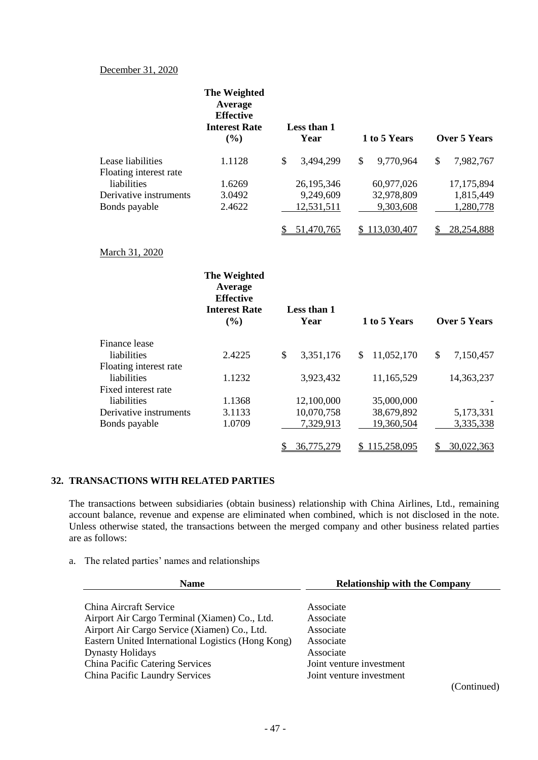## December 31, 2020

|                        | The Weighted<br>Average<br><b>Effective</b><br><b>Interest Rate</b><br>(%) |               | Less than 1<br>Year | 1 to 5 Years     | <b>Over 5 Years</b> |
|------------------------|----------------------------------------------------------------------------|---------------|---------------------|------------------|---------------------|
| Lease liabilities      | 1.1128                                                                     | $\mathbb{S}$  | 3,494,299           | \$<br>9,770,964  | \$<br>7,982,767     |
| Floating interest rate |                                                                            |               |                     |                  |                     |
| liabilities            | 1.6269                                                                     |               | 26,195,346          | 60,977,026       | 17,175,894          |
| Derivative instruments | 3.0492                                                                     |               | 9,249,609           | 32,978,809       | 1,815,449           |
| Bonds payable          | 2.4622                                                                     |               | 12,531,511          | 9,303,608        | 1,280,778           |
|                        |                                                                            |               | 51,470,765          | \$113,030,407    | 28,254,888          |
| March 31, 2020         |                                                                            |               |                     |                  |                     |
|                        | The Weighted<br>Average<br><b>Effective</b><br><b>Interest Rate</b><br>(%) |               | Less than 1<br>Year | 1 to 5 Years     | <b>Over 5 Years</b> |
| Finance lease          |                                                                            |               |                     |                  |                     |
| liabilities            | 2.4225                                                                     | $\mathcal{S}$ | 3,351,176           | \$<br>11,052,170 | \$<br>7,150,457     |
| Floating interest rate |                                                                            |               |                     |                  |                     |
| liabilities            | 1.1232                                                                     |               | 3,923,432           | 11,165,529       | 14,363,237          |
| Fixed interest rate    |                                                                            |               |                     |                  |                     |
| liabilities            | 1.1368                                                                     |               | 12,100,000          | 35,000,000       |                     |
| Derivative instruments | 3.1133                                                                     |               | 10,070,758          | 38,679,892       | 5,173,331           |
| Bonds payable          | 1.0709                                                                     |               | 7,329,913           | 19,360,504       | 3,335,338           |
|                        |                                                                            | \$            | 36,775,279          | \$115,258,095    | \$<br>30,022,363    |

## **32. TRANSACTIONS WITH RELATED PARTIES**

The transactions between subsidiaries (obtain business) relationship with China Airlines, Ltd., remaining account balance, revenue and expense are eliminated when combined, which is not disclosed in the note. Unless otherwise stated, the transactions between the merged company and other business related parties are as follows:

## a. The related parties' names and relationships

| <b>Name</b>                                        | <b>Relationship with the Company</b> |
|----------------------------------------------------|--------------------------------------|
| China Aircraft Service                             | Associate                            |
| Airport Air Cargo Terminal (Xiamen) Co., Ltd.      | Associate                            |
| Airport Air Cargo Service (Xiamen) Co., Ltd.       | Associate                            |
| Eastern United International Logistics (Hong Kong) | Associate                            |
| <b>Dynasty Holidays</b>                            | Associate                            |
| China Pacific Catering Services                    | Joint venture investment             |
| China Pacific Laundry Services                     | Joint venture investment             |
|                                                    | (Continued)                          |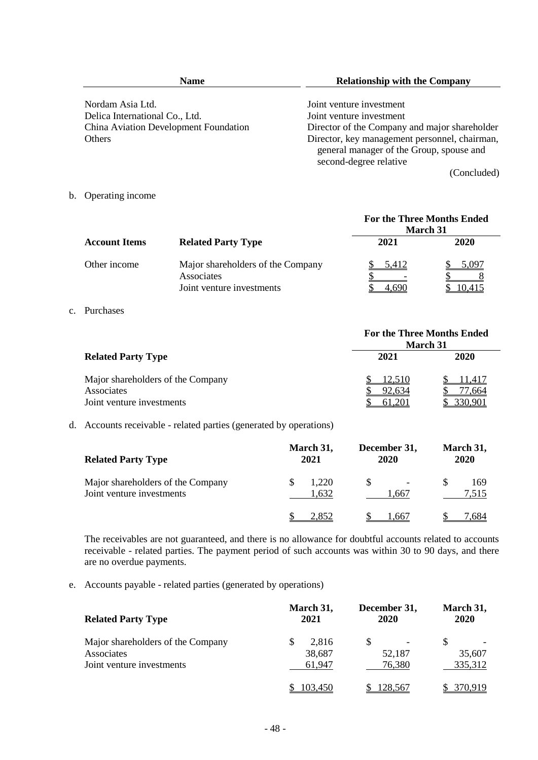| <b>Name</b>                           | <b>Relationship with the Company</b>                                                                                |  |  |
|---------------------------------------|---------------------------------------------------------------------------------------------------------------------|--|--|
| Nordam Asia Ltd.                      | Joint venture investment                                                                                            |  |  |
| Delica International Co., Ltd.        | Joint venture investment                                                                                            |  |  |
| China Aviation Development Foundation | Director of the Company and major shareholder                                                                       |  |  |
| <b>Others</b>                         | Director, key management personnel, chairman,<br>general manager of the Group, spouse and<br>second-degree relative |  |  |
|                                       | (Concluded)                                                                                                         |  |  |

b. Operating income

|                      |                                                                              | <b>For the Three Months Ended</b><br><b>March</b> 31 |                |  |  |
|----------------------|------------------------------------------------------------------------------|------------------------------------------------------|----------------|--|--|
| <b>Account Items</b> | <b>Related Party Type</b>                                                    | 2021                                                 | 2020           |  |  |
| Other income         | Major shareholders of the Company<br>Associates<br>Joint venture investments | 5,412<br>690                                         | 5.097<br>0.415 |  |  |

#### c. Purchases

|                                   | <b>For the Three Months Ended</b><br><b>March 31</b> |         |  |  |  |
|-----------------------------------|------------------------------------------------------|---------|--|--|--|
| <b>Related Party Type</b>         | 2021                                                 | 2020    |  |  |  |
| Major shareholders of the Company | 12,510                                               | 1.417   |  |  |  |
| Associates                        | 92.634                                               | 7.664   |  |  |  |
| Joint venture investments         | 61,201                                               | 330.901 |  |  |  |

## d. Accounts receivable - related parties (generated by operations)

| <b>Related Party Type</b>                                      | March 31,<br>2021 | December 31,<br>2020              | March 31,<br>2020 |
|----------------------------------------------------------------|-------------------|-----------------------------------|-------------------|
| Major shareholders of the Company<br>Joint venture investments | 1,220<br>1,632    | $\overline{\phantom{0}}$<br>1.667 | S<br>169<br>7,515 |
|                                                                | , 852             | .667                              | .684              |

The receivables are not guaranteed, and there is no allowance for doubtful accounts related to accounts receivable - related parties. The payment period of such accounts was within 30 to 90 days, and there are no overdue payments.

e. Accounts payable - related parties (generated by operations)

| <b>Related Party Type</b>                                                    | March 31,<br>2021         | December 31,<br>2020 | March 31,<br>2020 |
|------------------------------------------------------------------------------|---------------------------|----------------------|-------------------|
| Major shareholders of the Company<br>Associates<br>Joint venture investments | 2.816<br>38,687<br>61.947 | 52,187<br>76,380     | 35,607<br>335,312 |
|                                                                              | 103.450                   | 128,567              |                   |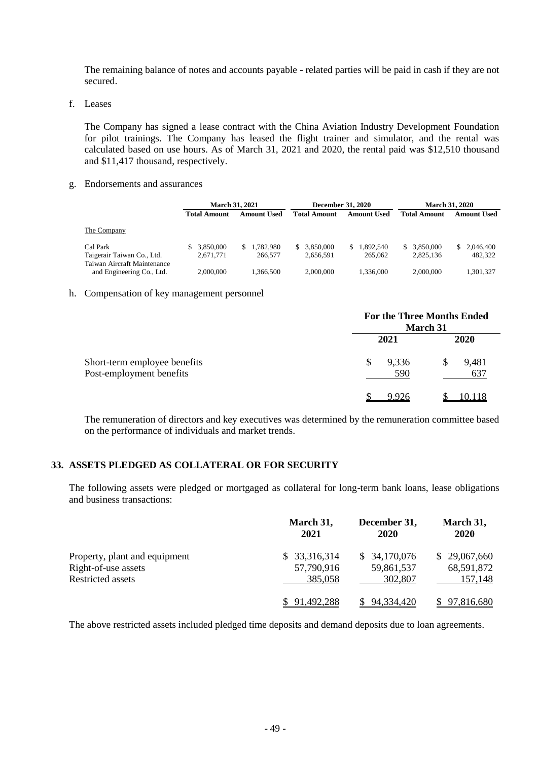The remaining balance of notes and accounts payable - related parties will be paid in cash if they are not secured.

f. Leases

The Company has signed a lease contract with the China Aviation Industry Development Foundation for pilot trainings. The Company has leased the flight trainer and simulator, and the rental was calculated based on use hours. As of March 31, 2021 and 2020, the rental paid was \$12,510 thousand and \$11,417 thousand, respectively.

g. Endorsements and assurances

|                                                          | <b>March 31, 2021</b> |                    |                     | <b>December 31, 2020</b> |                     | <b>March 31, 2020</b> |
|----------------------------------------------------------|-----------------------|--------------------|---------------------|--------------------------|---------------------|-----------------------|
|                                                          | Total Amount          | <b>Amount Used</b> | <b>Total Amount</b> | <b>Amount Used</b>       | <b>Total Amount</b> | <b>Amount Used</b>    |
| The Company                                              |                       |                    |                     |                          |                     |                       |
| Cal Park                                                 | 3.850,000             | \$1.782.980        | 3.850.000<br>S.     | 1.892.540<br>S.          | \$ 3,850,000        | 2.046.400             |
| Taigerair Taiwan Co., Ltd.                               | 2.671.771             | 266,577            | 2.656.591           | 265,062                  | 2.825.136           | 482.322               |
| Taiwan Aircraft Maintenance<br>and Engineering Co., Ltd. | 2,000,000             | 1.366.500          | 2,000,000           | 1.336.000                | 2,000,000           | 1.301.327             |

#### h. Compensation of key management personnel

|                                                          |                    | <b>For the Three Months Ended</b><br><b>March 31</b> |
|----------------------------------------------------------|--------------------|------------------------------------------------------|
|                                                          | 2021               | 2020                                                 |
| Short-term employee benefits<br>Post-employment benefits | \$<br>9,336<br>590 | 9,481<br>S<br>637                                    |
|                                                          |                    |                                                      |

The remuneration of directors and key executives was determined by the remuneration committee based on the performance of individuals and market trends.

## **33. ASSETS PLEDGED AS COLLATERAL OR FOR SECURITY**

The following assets were pledged or mortgaged as collateral for long-term bank loans, lease obligations and business transactions:

|                               | March 31,<br>2021 | December 31,<br>2020 | March 31,<br><b>2020</b> |
|-------------------------------|-------------------|----------------------|--------------------------|
| Property, plant and equipment | \$33,316,314      | \$34,170,076         | \$29,067,660             |
| Right-of-use assets           | 57,790,916        | 59,861,537           | 68,591,872               |
| <b>Restricted assets</b>      | 385,058           | 302,807              | 157,148                  |
|                               | 91,492,288        | 94,334,420           | \$97,816,680             |

The above restricted assets included pledged time deposits and demand deposits due to loan agreements.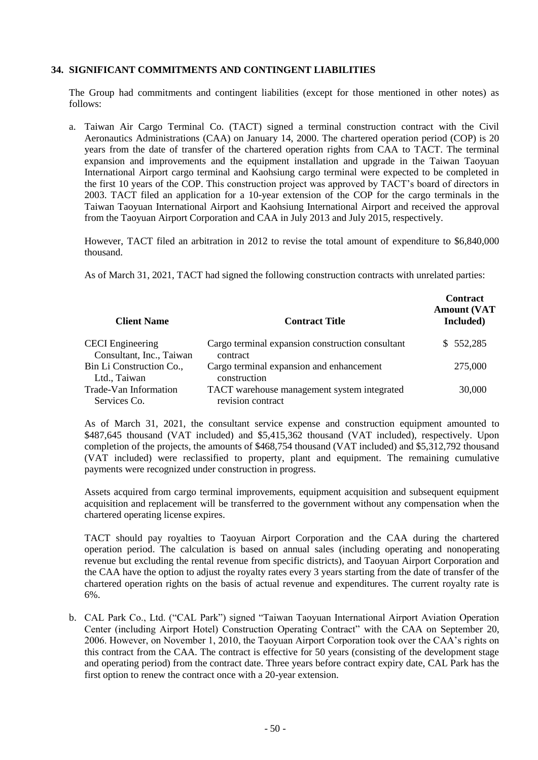### **34. SIGNIFICANT COMMITMENTS AND CONTINGENT LIABILITIES**

The Group had commitments and contingent liabilities (except for those mentioned in other notes) as follows:

a. Taiwan Air Cargo Terminal Co. (TACT) signed a terminal construction contract with the Civil Aeronautics Administrations (CAA) on January 14, 2000. The chartered operation period (COP) is 20 years from the date of transfer of the chartered operation rights from CAA to TACT. The terminal expansion and improvements and the equipment installation and upgrade in the Taiwan Taoyuan International Airport cargo terminal and Kaohsiung cargo terminal were expected to be completed in the first 10 years of the COP. This construction project was approved by TACT's board of directors in 2003. TACT filed an application for a 10-year extension of the COP for the cargo terminals in the Taiwan Taoyuan International Airport and Kaohsiung International Airport and received the approval from the Taoyuan Airport Corporation and CAA in July 2013 and July 2015, respectively.

However, TACT filed an arbitration in 2012 to revise the total amount of expenditure to \$6,840,000 thousand.

As of March 31, 2021, TACT had signed the following construction contracts with unrelated parties:

| <b>Client Name</b>                                  | <b>Contract Title</b>                                            | <b>Contract</b><br><b>Amount (VAT</b><br>Included) |
|-----------------------------------------------------|------------------------------------------------------------------|----------------------------------------------------|
| <b>CECI</b> Engineering<br>Consultant, Inc., Taiwan | Cargo terminal expansion construction consultant<br>contract     | \$552,285                                          |
| Bin Li Construction Co.,<br>Ltd., Taiwan            | Cargo terminal expansion and enhancement<br>construction         | 275,000                                            |
| Trade-Van Information<br>Services Co.               | TACT warehouse management system integrated<br>revision contract | 30,000                                             |

As of March 31, 2021, the consultant service expense and construction equipment amounted to \$487,645 thousand (VAT included) and \$5,415,362 thousand (VAT included), respectively. Upon completion of the projects, the amounts of \$468,754 thousand (VAT included) and \$5,312,792 thousand (VAT included) were reclassified to property, plant and equipment. The remaining cumulative payments were recognized under construction in progress.

Assets acquired from cargo terminal improvements, equipment acquisition and subsequent equipment acquisition and replacement will be transferred to the government without any compensation when the chartered operating license expires.

TACT should pay royalties to Taoyuan Airport Corporation and the CAA during the chartered operation period. The calculation is based on annual sales (including operating and nonoperating revenue but excluding the rental revenue from specific districts), and Taoyuan Airport Corporation and the CAA have the option to adjust the royalty rates every 3 years starting from the date of transfer of the chartered operation rights on the basis of actual revenue and expenditures. The current royalty rate is 6%.

b. CAL Park Co., Ltd. ("CAL Park") signed "Taiwan Taoyuan International Airport Aviation Operation Center (including Airport Hotel) Construction Operating Contract" with the CAA on September 20, 2006. However, on November 1, 2010, the Taoyuan Airport Corporation took over the CAA's rights on this contract from the CAA. The contract is effective for 50 years (consisting of the development stage and operating period) from the contract date. Three years before contract expiry date, CAL Park has the first option to renew the contract once with a 20-year extension.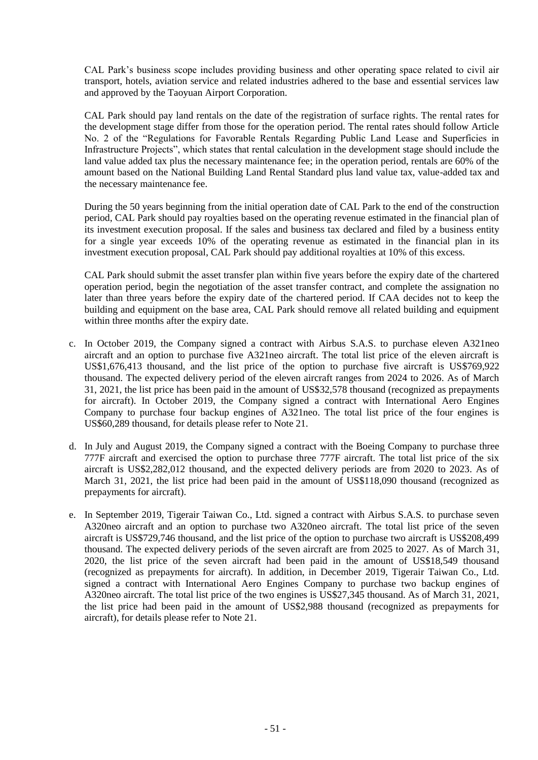CAL Park's business scope includes providing business and other operating space related to civil air transport, hotels, aviation service and related industries adhered to the base and essential services law and approved by the Taoyuan Airport Corporation.

CAL Park should pay land rentals on the date of the registration of surface rights. The rental rates for the development stage differ from those for the operation period. The rental rates should follow Article No. 2 of the "Regulations for Favorable Rentals Regarding Public Land Lease and Superficies in Infrastructure Projects", which states that rental calculation in the development stage should include the land value added tax plus the necessary maintenance fee; in the operation period, rentals are 60% of the amount based on the National Building Land Rental Standard plus land value tax, value-added tax and the necessary maintenance fee.

During the 50 years beginning from the initial operation date of CAL Park to the end of the construction period, CAL Park should pay royalties based on the operating revenue estimated in the financial plan of its investment execution proposal. If the sales and business tax declared and filed by a business entity for a single year exceeds 10% of the operating revenue as estimated in the financial plan in its investment execution proposal, CAL Park should pay additional royalties at 10% of this excess.

CAL Park should submit the asset transfer plan within five years before the expiry date of the chartered operation period, begin the negotiation of the asset transfer contract, and complete the assignation no later than three years before the expiry date of the chartered period. If CAA decides not to keep the building and equipment on the base area, CAL Park should remove all related building and equipment within three months after the expiry date.

- c. In October 2019, the Company signed a contract with Airbus S.A.S. to purchase eleven A321neo aircraft and an option to purchase five A321neo aircraft. The total list price of the eleven aircraft is US\$1,676,413 thousand, and the list price of the option to purchase five aircraft is US\$769,922 thousand. The expected delivery period of the eleven aircraft ranges from 2024 to 2026. As of March 31, 2021, the list price has been paid in the amount of US\$32,578 thousand (recognized as prepayments for aircraft). In October 2019, the Company signed a contract with International Aero Engines Company to purchase four backup engines of A321neo. The total list price of the four engines is US\$60,289 thousand, for details please refer to Note 21.
- d. In July and August 2019, the Company signed a contract with the Boeing Company to purchase three 777F aircraft and exercised the option to purchase three 777F aircraft. The total list price of the six aircraft is US\$2,282,012 thousand, and the expected delivery periods are from 2020 to 2023. As of March 31, 2021, the list price had been paid in the amount of US\$118,090 thousand (recognized as prepayments for aircraft).
- e. In September 2019, Tigerair Taiwan Co., Ltd. signed a contract with Airbus S.A.S. to purchase seven A320neo aircraft and an option to purchase two A320neo aircraft. The total list price of the seven aircraft is US\$729,746 thousand, and the list price of the option to purchase two aircraft is US\$208,499 thousand. The expected delivery periods of the seven aircraft are from 2025 to 2027. As of March 31, 2020, the list price of the seven aircraft had been paid in the amount of US\$18,549 thousand (recognized as prepayments for aircraft). In addition, in December 2019, Tigerair Taiwan Co., Ltd. signed a contract with International Aero Engines Company to purchase two backup engines of A320neo aircraft. The total list price of the two engines is US\$27,345 thousand. As of March 31, 2021, the list price had been paid in the amount of US\$2,988 thousand (recognized as prepayments for aircraft), for details please refer to Note 21.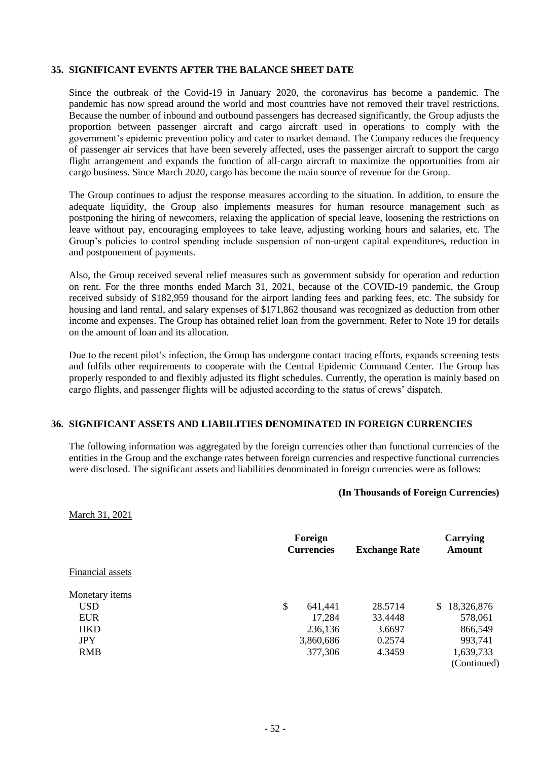#### **35. SIGNIFICANT EVENTS AFTER THE BALANCE SHEET DATE**

Since the outbreak of the Covid-19 in January 2020, the coronavirus has become a pandemic. The pandemic has now spread around the world and most countries have not removed their travel restrictions. Because the number of inbound and outbound passengers has decreased significantly, the Group adjusts the proportion between passenger aircraft and cargo aircraft used in operations to comply with the government's epidemic prevention policy and cater to market demand. The Company reduces the frequency of passenger air services that have been severely affected, uses the passenger aircraft to support the cargo flight arrangement and expands the function of all-cargo aircraft to maximize the opportunities from air cargo business. Since March 2020, cargo has become the main source of revenue for the Group.

The Group continues to adjust the response measures according to the situation. In addition, to ensure the adequate liquidity, the Group also implements measures for human resource management such as postponing the hiring of newcomers, relaxing the application of special leave, loosening the restrictions on leave without pay, encouraging employees to take leave, adjusting working hours and salaries, etc. The Group's policies to control spending include suspension of non-urgent capital expenditures, reduction in and postponement of payments.

Also, the Group received several relief measures such as government subsidy for operation and reduction on rent. For the three months ended March 31, 2021, because of the COVID-19 pandemic, the Group received subsidy of \$182,959 thousand for the airport landing fees and parking fees, etc. The subsidy for housing and land rental, and salary expenses of \$171,862 thousand was recognized as deduction from other income and expenses. The Group has obtained relief loan from the government. Refer to Note 19 for details on the amount of loan and its allocation.

Due to the recent pilot's infection, the Group has undergone contact tracing efforts, expands screening tests and fulfils other requirements to cooperate with the Central Epidemic Command Center. The Group has properly responded to and flexibly adjusted its flight schedules. Currently, the operation is mainly based on cargo flights, and passenger flights will be adjusted according to the status of crews' dispatch.

#### **36. SIGNIFICANT ASSETS AND LIABILITIES DENOMINATED IN FOREIGN CURRENCIES**

The following information was aggregated by the foreign currencies other than functional currencies of the entities in the Group and the exchange rates between foreign currencies and respective functional currencies were disclosed. The significant assets and liabilities denominated in foreign currencies were as follows:

#### **(In Thousands of Foreign Currencies)**

March 31, 2021

|                  | Foreign<br><b>Currencies</b> | <b>Exchange Rate</b> | Carrying<br><b>Amount</b> |  |  |
|------------------|------------------------------|----------------------|---------------------------|--|--|
|                  |                              |                      |                           |  |  |
| Financial assets |                              |                      |                           |  |  |
| Monetary items   |                              |                      |                           |  |  |
| USD.             | \$<br>641,441                | 28.5714              | 18,326,876<br>S.          |  |  |
| <b>EUR</b>       | 17,284                       | 33.4448              | 578,061                   |  |  |
| <b>HKD</b>       | 236,136                      | 3.6697               | 866,549                   |  |  |
| <b>JPY</b>       | 3,860,686                    | 0.2574               | 993,741                   |  |  |
| <b>RMB</b>       | 377,306                      | 4.3459               | 1,639,733                 |  |  |
|                  |                              |                      | (Continued)               |  |  |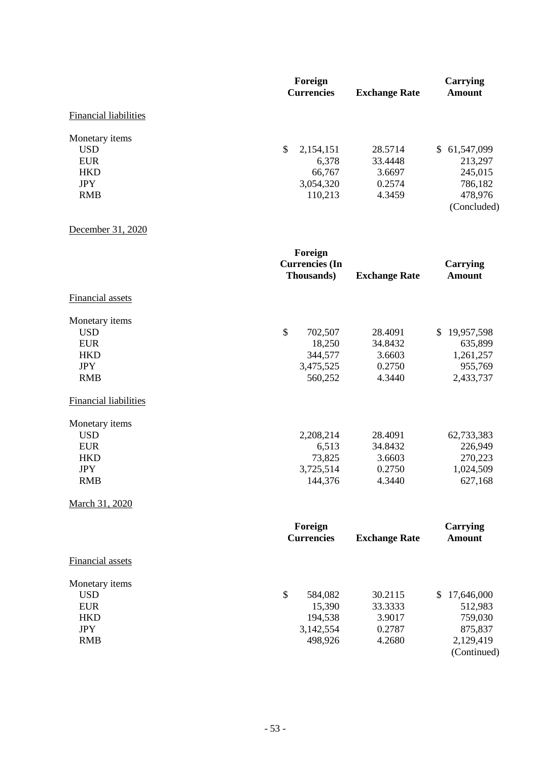|                              | Foreign                   |                      | Carrying         |
|------------------------------|---------------------------|----------------------|------------------|
|                              | <b>Currencies</b>         | <b>Exchange Rate</b> | <b>Amount</b>    |
| <b>Financial liabilities</b> |                           |                      |                  |
| Monetary items               |                           |                      |                  |
| <b>USD</b>                   | $\mathbb{S}$<br>2,154,151 | 28.5714              | 61,547,099<br>S. |
| <b>EUR</b>                   | 6,378                     | 33.4448              | 213,297          |
| <b>HKD</b>                   | 66,767                    | 3.6697               | 245,015          |
| <b>JPY</b>                   | 3,054,320                 | 0.2574               | 786,182          |
| <b>RMB</b>                   | 110,213                   | 4.3459               | 478,976          |
|                              |                           |                      | (Concluded)      |

December 31, 2020

|                              | Foreign<br><b>Currencies</b> (In<br>Thousands) | <b>Exchange Rate</b> | <b>Carrying</b><br><b>Amount</b> |
|------------------------------|------------------------------------------------|----------------------|----------------------------------|
| <b>Financial assets</b>      |                                                |                      |                                  |
| Monetary items               |                                                |                      |                                  |
| <b>USD</b>                   | $\mathcal{S}$<br>702,507                       | 28.4091              | 19,957,598<br>$\mathbb{S}$       |
| <b>EUR</b>                   | 18,250                                         | 34.8432              | 635,899                          |
| <b>HKD</b>                   | 344,577                                        | 3.6603               | 1,261,257                        |
| <b>JPY</b>                   | 3,475,525                                      | 0.2750               | 955,769                          |
| <b>RMB</b>                   | 560,252                                        | 4.3440               | 2,433,737                        |
| <b>Financial liabilities</b> |                                                |                      |                                  |
| Monetary items               |                                                |                      |                                  |
| <b>USD</b>                   | 2,208,214                                      | 28.4091              | 62,733,383                       |
| <b>EUR</b>                   | 6,513                                          | 34.8432              | 226,949                          |
| <b>HKD</b>                   | 73,825                                         | 3.6603               | 270,223                          |
| <b>JPY</b>                   | 3,725,514                                      | 0.2750               | 1,024,509                        |
| <b>RMB</b>                   | 144,376                                        | 4.3440               | 627,168                          |
| March 31, 2020               |                                                |                      |                                  |
|                              | Foreign                                        |                      | <b>Carrying</b>                  |
|                              | <b>Currencies</b>                              | <b>Exchange Rate</b> | <b>Amount</b>                    |
| Financial assets             |                                                |                      |                                  |
| Monetary items               |                                                |                      |                                  |
| <b>USD</b>                   | \$<br>584,082                                  | 30.2115              | \$17,646,000                     |
| <b>EUR</b>                   | 15,390                                         | 33.3333              | 512,983                          |
| <b>HKD</b>                   | 194,538                                        | 3.9017               | 759,030                          |
| <b>JPY</b>                   | 3,142,554                                      | 0.2787               | 875,837                          |
| <b>RMB</b>                   | 498,926                                        | 4.2680               | 2,129,419                        |
|                              |                                                |                      | (Continued)                      |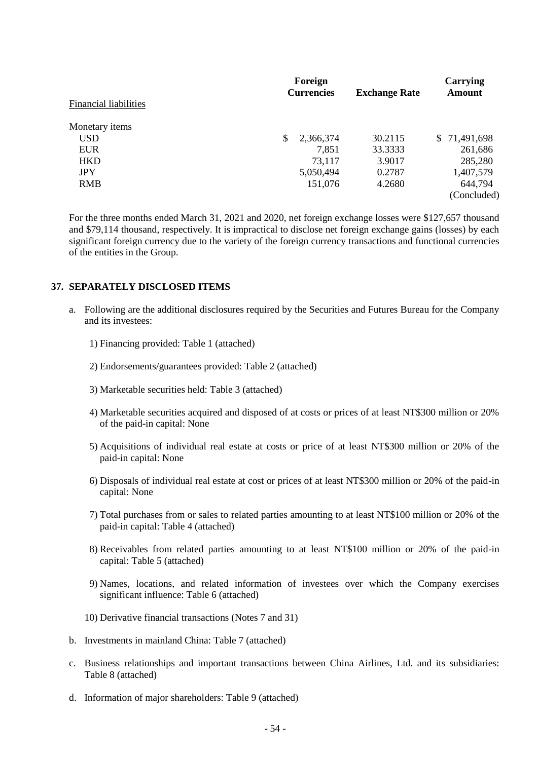|                       | Foreign           |                      | Carrying         |  |  |
|-----------------------|-------------------|----------------------|------------------|--|--|
|                       | <b>Currencies</b> | <b>Exchange Rate</b> | <b>Amount</b>    |  |  |
| Financial liabilities |                   |                      |                  |  |  |
| Monetary <i>items</i> |                   |                      |                  |  |  |
| USD.                  | \$<br>2,366,374   | 30.2115              | 71,491,698<br>S. |  |  |
| <b>EUR</b>            | 7,851             | 33.3333              | 261,686          |  |  |
| <b>HKD</b>            | 73,117            | 3.9017               | 285,280          |  |  |
| <b>JPY</b>            | 5,050,494         | 0.2787               | 1,407,579        |  |  |
| <b>RMB</b>            | 151,076           | 4.2680               | 644,794          |  |  |
|                       |                   |                      | (Concluded)      |  |  |

For the three months ended March 31, 2021 and 2020, net foreign exchange losses were \$127,657 thousand and \$79,114 thousand, respectively. It is impractical to disclose net foreign exchange gains (losses) by each significant foreign currency due to the variety of the foreign currency transactions and functional currencies of the entities in the Group.

### **37. SEPARATELY DISCLOSED ITEMS**

- a. Following are the additional disclosures required by the Securities and Futures Bureau for the Company and its investees:
	- 1) Financing provided: Table 1 (attached)
	- 2) Endorsements/guarantees provided: Table 2 (attached)
	- 3) Marketable securities held: Table 3 (attached)
	- 4) Marketable securities acquired and disposed of at costs or prices of at least NT\$300 million or 20% of the paid-in capital: None
	- 5) Acquisitions of individual real estate at costs or price of at least NT\$300 million or 20% of the paid-in capital: None
	- 6) Disposals of individual real estate at cost or prices of at least NT\$300 million or 20% of the paid-in capital: None
	- 7) Total purchases from or sales to related parties amounting to at least NT\$100 million or 20% of the paid-in capital: Table 4 (attached)
	- 8) Receivables from related parties amounting to at least NT\$100 million or 20% of the paid-in capital: Table 5 (attached)
	- 9) Names, locations, and related information of investees over which the Company exercises significant influence: Table 6 (attached)
	- 10) Derivative financial transactions (Notes 7 and 31)
- b. Investments in mainland China: Table 7 (attached)
- c. Business relationships and important transactions between China Airlines, Ltd. and its subsidiaries: Table 8 (attached)
- d. Information of major shareholders: Table 9 (attached)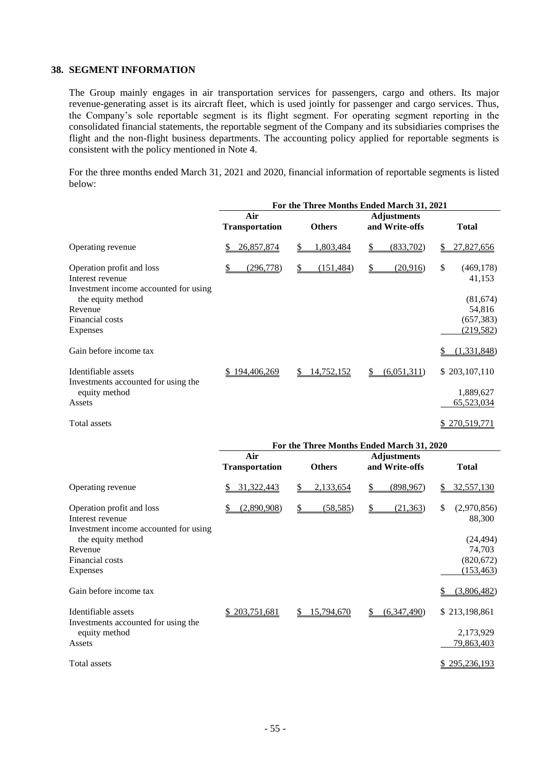## **38. SEGMENT INFORMATION**

The Group mainly engages in air transportation services for passengers, cargo and others. Its major revenue-generating asset is its aircraft fleet, which is used jointly for passenger and cargo services. Thus, the Company's sole reportable segment is its flight segment. For operating segment reporting in the consolidated financial statements, the reportable segment of the Company and its subsidiaries comprises the flight and the non-flight business departments. The accounting policy applied for reportable segments is consistent with the policy mentioned in Note 4.

For the three months ended March 31, 2021 and 2020, financial information of reportable segments is listed below:

|                                                                                                      |                       | For the Three Months Ended March 31, 2021 |                                       |                                                |
|------------------------------------------------------------------------------------------------------|-----------------------|-------------------------------------------|---------------------------------------|------------------------------------------------|
|                                                                                                      | Air                   |                                           | <b>Adjustments</b>                    |                                                |
|                                                                                                      | <b>Transportation</b> | <b>Others</b>                             | and Write-offs                        | <b>Total</b>                                   |
| Operating revenue                                                                                    | 26,857,874<br>\$      | \$<br>1,803,484                           | (833,702)<br>\$                       | 27,827,656<br>\$                               |
| Operation profit and loss<br>Interest revenue                                                        | \$<br>(296,778)       | \$<br>(151, 484)                          | $\mathbf{\underline{\$}}$<br>(20,916) | \$<br>(469, 178)<br>41,153                     |
| Investment income accounted for using<br>the equity method<br>Revenue<br>Financial costs<br>Expenses |                       |                                           |                                       | (81,674)<br>54,816<br>(657, 383)<br>(219, 582) |
| Gain before income tax                                                                               |                       |                                           |                                       | (1,331,848)<br>\$                              |
| Identifiable assets<br>Investments accounted for using the                                           | \$194,406,269         | 14,752,152                                | (6,051,311)<br>S.                     | \$203,107,110                                  |
| equity method<br>Assets                                                                              |                       |                                           |                                       | 1,889,627<br>65,523,034                        |
| Total assets                                                                                         |                       |                                           |                                       | \$270,519,771                                  |
|                                                                                                      |                       | For the Three Months Ended March 31, 2020 |                                       |                                                |
|                                                                                                      | Air                   |                                           | <b>Adjustments</b>                    |                                                |
|                                                                                                      | <b>Transportation</b> | <b>Others</b>                             | and Write-offs                        | <b>Total</b>                                   |
| Operating revenue                                                                                    | 31,322,443            | \$<br>2,133,654                           | \$<br>(898,967)                       | 32,557,130                                     |
| Operation profit and loss<br>Interest revenue<br>Investment income accounted for using               | (2,890,908)           | $\mathbb{S}$<br>(58, 585)                 | $\mathcal{S}$<br>(21, 363)            | \$<br>(2,970,856)<br>88,300                    |
| the equity method<br>Revenue                                                                         |                       |                                           |                                       | (24, 494)<br>74,703                            |
| Financial costs<br>Expenses                                                                          |                       |                                           |                                       | (820, 672)<br>(153, 463)                       |
| Gain before income tax                                                                               |                       |                                           |                                       | (3,806,482)                                    |
| Identifiable assets<br>Investments accounted for using the                                           | \$203,751,681         | \$15,794,670                              | (6,347,490)<br>$S_{-}$                | \$213,198,861                                  |
| equity method<br>Assets                                                                              |                       |                                           |                                       | 2,173,929<br>79,863,403                        |

Total assets \$ 295,236,193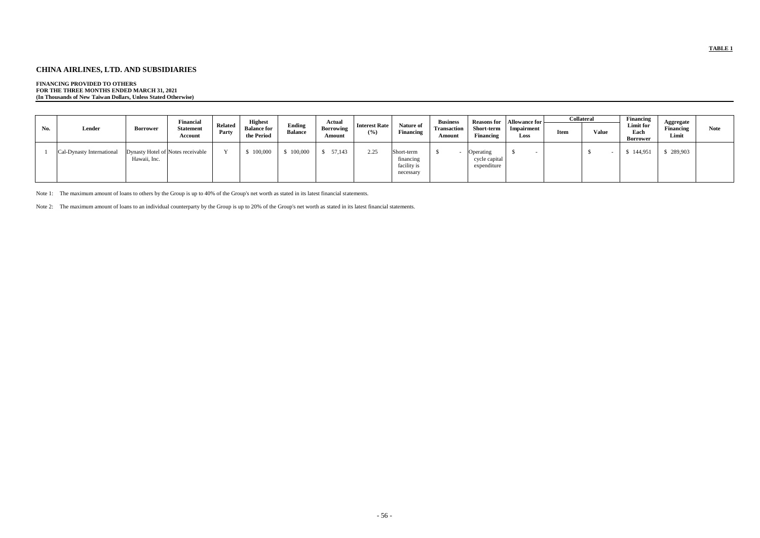## **CHINA AIRLINES, LTD. AND SUBSIDIARIES**

## **FINANCING PROVIDED TO OTHERS**

**FOR THE THREE MONTHS ENDED MARCH 31, 2021 (In Thousands of New Taiwan Dollars, Unless Stated Otherwise)**

| No. | Lender                    | <b>Borrower</b> | <b>Financial</b><br><b>Statement</b><br>Account | Related<br>Party | <b>Highest</b><br><b>Balance for</b><br>the Period | <b>Ending</b><br><b>Balance</b> | Actual<br><b>Borrowing</b><br>Amount | <b>Interest Rate</b><br>$(\%)$ | <b>Nature of</b><br><b>Financing</b>                | <b>Business</b><br><b>Transaction</b><br>Amount | <b>Reasons for</b><br>Short-term<br><b>Financing</b> | <b>Allowance for</b><br>Impairment<br><b>Loss</b> |
|-----|---------------------------|-----------------|-------------------------------------------------|------------------|----------------------------------------------------|---------------------------------|--------------------------------------|--------------------------------|-----------------------------------------------------|-------------------------------------------------|------------------------------------------------------|---------------------------------------------------|
|     | Cal-Dynasty International | Hawaii, Inc.    | Dynasty Hotel of Notes receivable               | $\mathbf v$      | 100,000                                            | \$100,000                       | 57,143                               | 2.25                           | Short-term<br>financing<br>facility is<br>necessary |                                                 | Operating<br>cycle capital<br>expenditure            | S                                                 |

| llowance for      |             | <b>Collateral</b><br><b>Financing</b> | Aggregate                            |                           |             |
|-------------------|-------------|---------------------------------------|--------------------------------------|---------------------------|-------------|
| mpairment<br>Loss | <b>Item</b> | <b>Value</b>                          | Limit for<br>Each<br><b>Borrower</b> | <b>Financing</b><br>Limit | <b>Note</b> |
| \$                |             | \$<br>$\overline{\phantom{a}}$        | 144,951<br>S                         | \$289,903                 |             |
|                   |             |                                       |                                      |                           |             |

Note 1: The maximum amount of loans to others by the Group is up to 40% of the Group's net worth as stated in its latest financial statements.

Note 2: The maximum amount of loans to an individual counterparty by the Group is up to 20% of the Group's net worth as stated in its latest financial statements.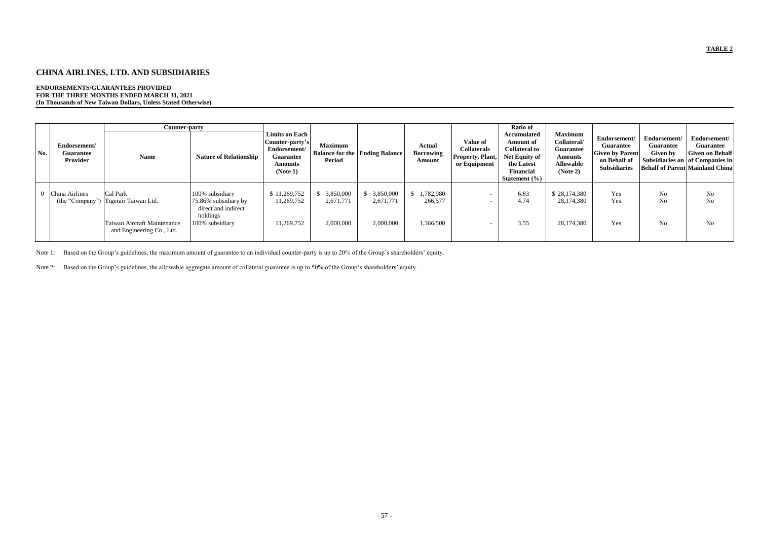## **CHINA AIRLINES, LTD. AND SUBSIDIARIES**

#### **ENDORSEMENTS/GUARANTEES PROVIDED FOR THE THREE MONTHS ENDED MARCH 31, 2021 (In Thousands of New Taiwan Dollars, Unless Stated Otherwise)**

|     |                                              | <b>Counter-party</b>                                                                                         |                                                                                               | <b>Limits on Each</b>                                                             |                                     |                                       |                                             |                                                                           | Ratio of<br><b>Accumulated</b>                                                                                                 | <b>Maximum</b>                                                                    |                                                                                                   |                                              |                                                                                                                                         |
|-----|----------------------------------------------|--------------------------------------------------------------------------------------------------------------|-----------------------------------------------------------------------------------------------|-----------------------------------------------------------------------------------|-------------------------------------|---------------------------------------|---------------------------------------------|---------------------------------------------------------------------------|--------------------------------------------------------------------------------------------------------------------------------|-----------------------------------------------------------------------------------|---------------------------------------------------------------------------------------------------|----------------------------------------------|-----------------------------------------------------------------------------------------------------------------------------------------|
| No. | Endorsement/<br><b>Guarantee</b><br>Provider | <b>Name</b>                                                                                                  | <b>Nature of Relationship</b>                                                                 | Counter-party's<br>Endorsement/<br><b>Guarantee</b><br><b>Amounts</b><br>(Note 1) | <b>Maximum</b><br>Period            | <b>Balance for the Ending Balance</b> | <b>Actual</b><br><b>Borrowing</b><br>Amount | <b>Value of</b><br><b>Collaterals</b><br>Property, Plant,<br>or Equipment | <b>Amount of</b><br><b>Collateral to</b><br><b>Net Equity of</b><br>the Latest<br><b>Financial</b><br><b>Statement</b> $(\% )$ | Collateral/<br><b>Guarantee</b><br><b>Amounts</b><br><b>Allowable</b><br>(Note 2) | Endorsement/<br><b>Guarantee</b><br><b>Given by Parent</b><br>on Behalf of<br><b>Subsidiaries</b> | Endorsement/<br><b>Guarantee</b><br>Given by | Endorsement/<br><b>Guarantee</b><br><b>Given on Behalf</b><br>Subsidiaries on of Companies in<br><b>Behalf of Parent Mainland China</b> |
|     | China Airlines                               | Cal Park<br>(the "Company") Tigerair Taiwan Ltd.<br>Taiwan Aircraft Maintenance<br>and Engineering Co., Ltd. | 100% subsidiary<br>75.86% subsidiary by<br>direct and indirect<br>holdings<br>100% subsidiary | \$11,269,752<br>11,269,752<br>11,269,752                                          | 3,850,000<br>2,671,771<br>2,000,000 | 3,850,000<br>2,671,771<br>2,000,000   | \$1,782,980<br>266,577<br>1,366,500         | $\sim$                                                                    | 6.83<br>4.74<br>3.55                                                                                                           | \$28,174,380<br>28,174,380<br>28,174,380                                          | Yes<br>Yes<br>Yes                                                                                 | No<br>No<br>No                               | No<br>No<br>No                                                                                                                          |

Note 1: Based on the Group's guidelines, the maximum amount of guarantee to an individual counter-party is up to 20% of the Group's shareholders' equity.

Note 2: Based on the Group's guidelines, the allowable aggregate amount of collateral guarantee is up to 50% of the Group's shareholders' equity.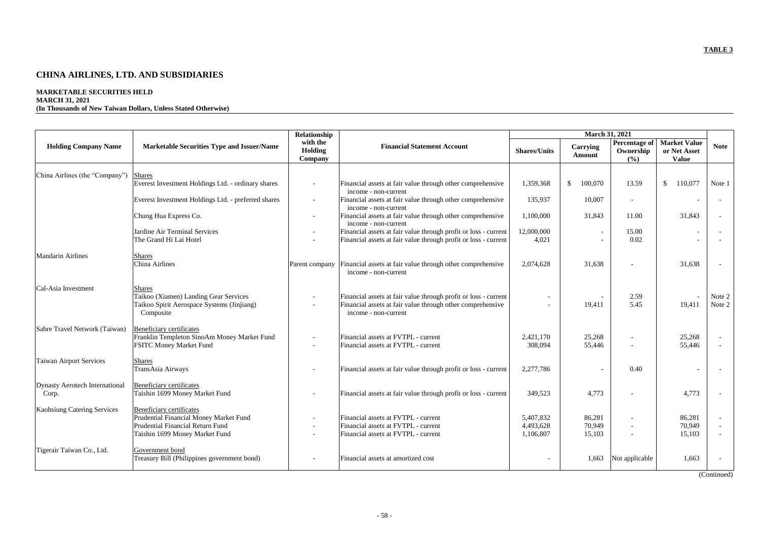# **CHINA AIRLINES, LTD. AND SUBSIDIARIES**

# **MARKETABLE SECURITIES HELD**

## **MARCH 31, 2021**

**(In Thousands of New Taiwan Dollars, Unless Stated Otherwise)**

|                                       |                                                                     | Relationship                   |                                                                                    |                     | <b>March 31, 2021</b>     |                                     |                                                     |              |
|---------------------------------------|---------------------------------------------------------------------|--------------------------------|------------------------------------------------------------------------------------|---------------------|---------------------------|-------------------------------------|-----------------------------------------------------|--------------|
| <b>Holding Company Name</b>           | <b>Marketable Securities Type and Issuer/Name</b>                   | with the<br>Holding<br>Company | <b>Financial Statement Account</b>                                                 | <b>Shares/Units</b> | Carrying<br><b>Amount</b> | Percentage of<br>Ownership<br>(9/0) | <b>Market Value</b><br>or Net Asset<br><b>Value</b> | <b>Note</b>  |
|                                       |                                                                     |                                |                                                                                    |                     |                           |                                     |                                                     |              |
| China Airlines (the "Company")        | <b>Shares</b><br>Everest Investment Holdings Ltd. - ordinary shares |                                | Financial assets at fair value through other comprehensive<br>income - non-current | 1,359,368           | $\mathcal{S}$<br>100,070  | 13.59                               | $\frac{1}{2}$<br>110,077                            | Note 1       |
|                                       | Everest Investment Holdings Ltd. - preferred shares                 | $\overline{\phantom{a}}$       | Financial assets at fair value through other comprehensive<br>income - non-current | 135,937             | 10,007                    |                                     |                                                     | $\sim$       |
|                                       | Chung Hua Express Co.                                               |                                | Financial assets at fair value through other comprehensive<br>income - non-current | 1,100,000           | 31,843                    | 11.00                               | 31,843                                              | $\sim$       |
|                                       | Jardine Air Terminal Services                                       |                                | Financial assets at fair value through profit or loss - current                    | 12,000,000          |                           | 15.00                               |                                                     |              |
|                                       | The Grand Hi Lai Hotel                                              |                                | Financial assets at fair value through profit or loss - current                    | 4,021               |                           | 0.02                                |                                                     |              |
| <b>Mandarin Airlines</b>              |                                                                     |                                |                                                                                    |                     |                           |                                     |                                                     |              |
|                                       | <b>Shares</b><br>China Airlines                                     | Parent company                 | Financial assets at fair value through other comprehensive<br>income - non-current | 2,074,628           | 31,638                    |                                     | 31,638                                              |              |
| Cal-Asia Investment                   | <b>Shares</b>                                                       |                                |                                                                                    |                     |                           |                                     |                                                     |              |
|                                       | Taikoo (Xiamen) Landing Gear Services                               |                                | Financial assets at fair value through profit or loss - current                    |                     |                           | 2.59                                |                                                     | Note 2       |
|                                       | Taikoo Spirit Aerospace Systems (Jinjiang)<br>Composite             |                                | Financial assets at fair value through other comprehensive<br>income - non-current |                     | 19,411                    | 5.45                                | 19,411                                              | Note 2       |
| Sabre Travel Network (Taiwan)         | Beneficiary certificates                                            |                                |                                                                                    |                     |                           |                                     |                                                     |              |
|                                       | Franklin Templeton SinoAm Money Market Fund                         |                                | Financial assets at FVTPL - current                                                | 2,421,170           | 25,268                    |                                     | 25,268                                              | $\sim$       |
|                                       | <b>FSITC Money Market Fund</b>                                      |                                | Financial assets at FVTPL - current                                                | 308,094             | 55,446                    |                                     | 55,446                                              |              |
| Taiwan Airport Services               | Shares                                                              |                                |                                                                                    |                     |                           |                                     |                                                     |              |
|                                       | TransAsia Airways                                                   |                                | Financial assets at fair value through profit or loss - current                    | 2,277,786           |                           | 0.40                                |                                                     |              |
|                                       |                                                                     |                                |                                                                                    |                     |                           |                                     |                                                     |              |
| <b>Dynasty Aerotech International</b> | <b>Beneficiary certificates</b>                                     |                                |                                                                                    |                     |                           |                                     |                                                     |              |
| Corp.                                 | Taishin 1699 Money Market Fund                                      |                                | Financial assets at fair value through profit or loss - current                    | 349,523             | 4,773                     |                                     | 4,773                                               |              |
| <b>Kaohsiung Catering Services</b>    | <b>Beneficiary certificates</b>                                     |                                |                                                                                    |                     |                           |                                     |                                                     |              |
|                                       | Prudential Financial Money Market Fund                              |                                | Financial assets at FVTPL - current                                                | 5,407,832           | 86,281                    |                                     | 86,281                                              |              |
|                                       | Prudential Financial Return Fund                                    |                                | Financial assets at FVTPL - current                                                | 4,493,628           | 70,949                    |                                     | 70,949                                              |              |
|                                       | Taishin 1699 Money Market Fund                                      |                                | Financial assets at FVTPL - current                                                | 1,106,807           | 15,103                    |                                     | 15,103                                              |              |
| Tigerair Taiwan Co., Ltd.             | Government bond                                                     |                                |                                                                                    |                     |                           |                                     |                                                     |              |
|                                       | Treasury Bill (Philippines government bond)                         |                                | Financial assets at amortized cost                                                 |                     | 1,663                     | Not applicable                      | 1,663                                               |              |
|                                       |                                                                     |                                |                                                                                    |                     |                           |                                     |                                                     | (0, 0, 0, 0) |

(Continued)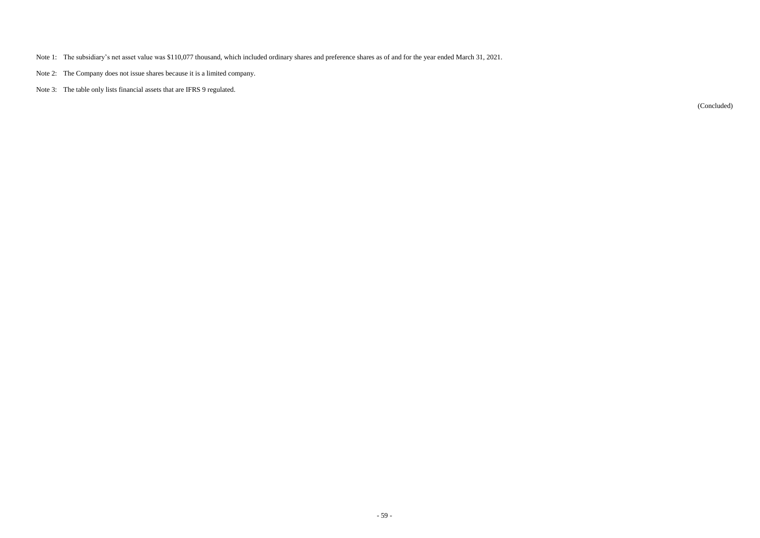- Note 1: The subsidiary's net asset value was \$110,077 thousand, which included ordinary shares and preference shares as of and for the year ended March 31, 2021.
- Note 2: The Company does not issue shares because it is a limited company.
- Note 3: The table only lists financial assets that are IFRS 9 regulated.

(Concluded)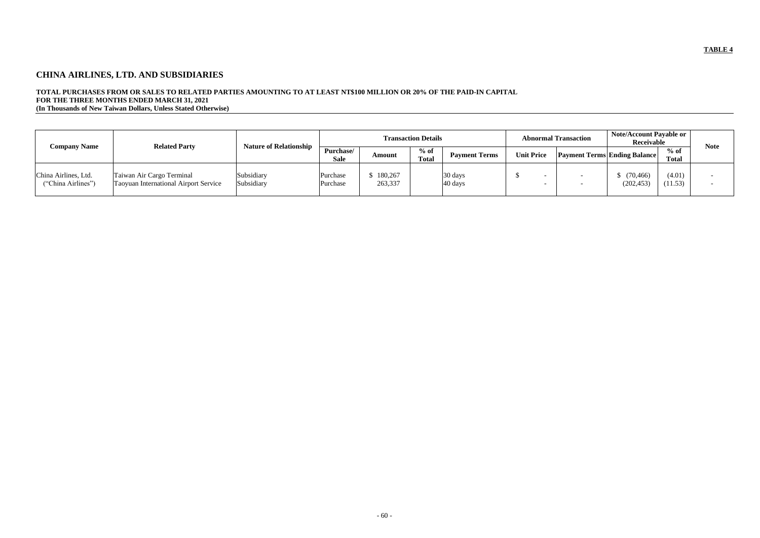# **CHINA AIRLINES, LTD. AND SUBSIDIARIES**

## **TOTAL PURCHASES FROM OR SALES TO RELATED PARTIES AMOUNTING TO AT LEAST NT\$100 MILLION OR 20% OF THE PAID-IN CAPITAL FOR THE THREE MONTHS ENDED MARCH 31, 2021 (In Thousands of New Taiwan Dollars, Unless Stated Otherwise)**

|                                            | <b>Related Party</b>                                                      | <b>Nature of Relationship</b> |                          |                    | <b>Transaction Details</b>                                                                                 |                    |  | <b>Abnormal Transaction</b> | Note/Account Payable or<br>Receivable |                        | <b>Note</b> |
|--------------------------------------------|---------------------------------------------------------------------------|-------------------------------|--------------------------|--------------------|------------------------------------------------------------------------------------------------------------|--------------------|--|-----------------------------|---------------------------------------|------------------------|-------------|
| <b>Company Name</b>                        |                                                                           |                               | Purchase/<br><b>Sale</b> | Amount             | $%$ of<br><b>Unit Price</b><br><b>Payment Terms Ending Balance</b><br><b>Payment Terms</b><br><b>Total</b> |                    |  |                             |                                       | $%$ of<br><b>Total</b> |             |
| China Airlines, Ltd.<br>("China Airlines") | Taiwan Air Cargo Terminal<br><b>Taoyuan International Airport Service</b> | Subsidiary<br>Subsidiary      | Purchase<br>Purchase     | 180,267<br>263,337 |                                                                                                            | 30 days<br>40 days |  |                             | (70, 466)<br>(202, 453)               | (4.01)<br>(11.53)      |             |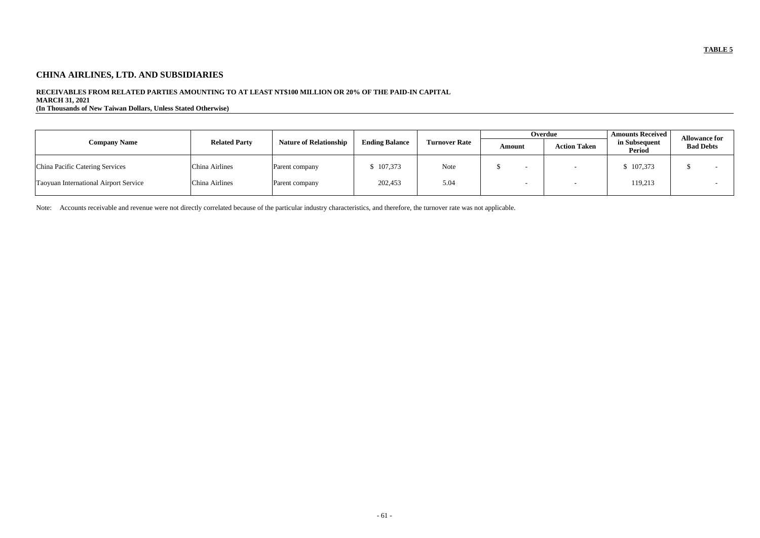# **CHINA AIRLINES, LTD. AND SUBSIDIARIES**

## **RECEIVABLES FROM RELATED PARTIES AMOUNTING TO AT LEAST NT\$100 MILLION OR 20% OF THE PAID-IN CAPITAL**

**MARCH 31, 2021**

**(In Thousands of New Taiwan Dollars, Unless Stated Otherwise)**

|                                       |                      |                               |                       |                      |                                                                 | Overdue | <b>Amounts Received</b> | <b>Allowance for</b> |  |
|---------------------------------------|----------------------|-------------------------------|-----------------------|----------------------|-----------------------------------------------------------------|---------|-------------------------|----------------------|--|
| <b>Company Name</b>                   | <b>Related Party</b> | <b>Nature of Relationship</b> | <b>Ending Balance</b> | <b>Turnover Rate</b> | in Subsequent<br><b>Action Taken</b><br>Amount<br><b>Period</b> |         | <b>Bad Debts</b>        |                      |  |
| China Pacific Catering Services       | China Airlines       | Parent company                | 107,373               | Note                 |                                                                 |         | \$107,373               |                      |  |
| Taoyuan International Airport Service | China Airlines       | Parent company                | 202,453               | 5.04                 |                                                                 |         | 119,213                 |                      |  |

Note: Accounts receivable and revenue were not directly correlated because of the particular industry characteristics, and therefore, the turnover rate was not applicable.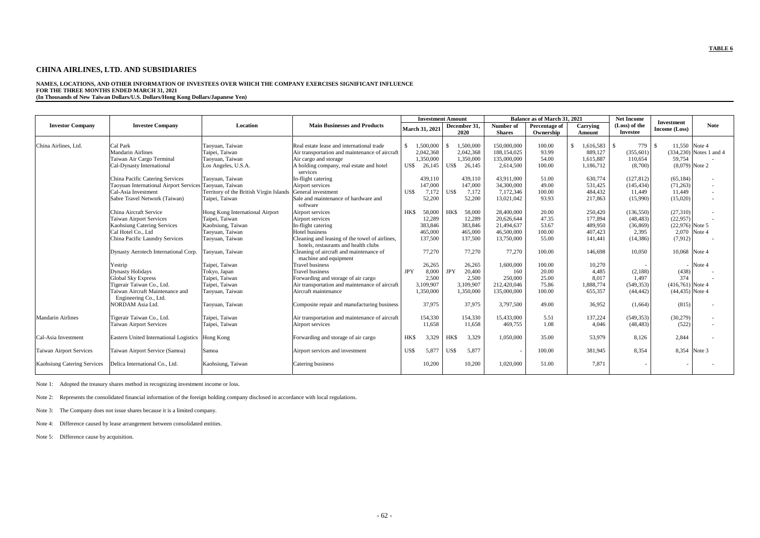## **CHINA AIRLINES, LTD. AND SUBSIDIARIES**

**NAMES, LOCATIONS, AND OTHER INFORMATION OF INVESTEES OVER WHICH THE COMPANY EXERCISES SIGNIFICANT INFLUENCE FOR THE THREE MONTHS ENDED MARCH 31, 2021 (In Thousands of New Taiwan Dollars/U.S. Dollars/Hong Kong Dollars/Japanese Yen)**

|                                    |                                                        |                                         |                                                      |               | <b>Investment Amount</b> |            |                      |                            | Balance as of March 31, 2021 |                    | <b>Net Income</b>                | <b>Investment</b>  |                           |
|------------------------------------|--------------------------------------------------------|-----------------------------------------|------------------------------------------------------|---------------|--------------------------|------------|----------------------|----------------------------|------------------------------|--------------------|----------------------------------|--------------------|---------------------------|
| <b>Investor Company</b>            | <b>Investee Company</b>                                | Location                                | <b>Main Businesses and Products</b>                  |               | <b>March 31, 2021</b>    |            | December 31,<br>2020 | Number of<br><b>Shares</b> | Percentage of<br>Ownership   | Carrying<br>Amount | (Loss) of the<br><b>Investee</b> | Income (Loss)      | <b>Note</b>               |
|                                    |                                                        |                                         |                                                      |               |                          |            |                      |                            |                              |                    |                                  |                    |                           |
| China Airlines, Ltd.               | Cal Park                                               | Taoyuan, Taiwan                         | Real estate lease and international trade            | $\mathcal{S}$ | 1,500,000                |            | 1,500,000            | 150,000,000                | 100.00                       | 1,616,583          | 779<br>$\mathcal{S}$             | 11,550 Note 4      |                           |
|                                    | <b>Mandarin Airlines</b>                               | Taipei, Taiwan                          | Air transportation and maintenance of aircraft       |               | 2,042,368                |            | 2,042,368            | 188, 154, 025              | 93.99                        | 889,127            | (355, 601)                       |                    | $(334,230)$ Notes 1 and 4 |
|                                    | Taiwan Air Cargo Terminal                              | Taoyuan, Taiwan                         | Air cargo and storage                                |               | 1,350,000                |            | 1,350,000            | 135,000,000                | 54.00                        | 1,615,887          | 110,654                          | 59,754             |                           |
|                                    | Cal-Dynasty International                              | Los Angeles, U.S.A.                     | A holding company, real estate and hotel<br>services | US\$          | 26,145                   | US\$       | 26,145               | 2,614,500                  | 100.00                       | 1,186,712          | (8,700)                          | $(8,079)$ Note 2   |                           |
|                                    | China Pacific Catering Services                        | Taoyuan, Taiwan                         | In-flight catering                                   |               | 439,110                  |            | 439,110              | 43.911.000                 | 51.00                        | 630,774            | (127, 812)                       | (65, 184)          | $\overline{\phantom{a}}$  |
|                                    | Taoyuan International Airport Services Taoyuan, Taiwan |                                         | Airport services                                     |               | 147,000                  |            | 147,000              | 34,300,000                 | 49.00                        | 531,425            | (145, 434)                       | (71,263)           | $\overline{\phantom{a}}$  |
|                                    | Cal-Asia Investment                                    | Territory of the British Virgin Islands | General investment                                   | US\$          | 7,172                    | US\$       | 7,172                | 7,172,346                  | 100.00                       | 484,432            | 11,449                           | 11,449             | $\sim$                    |
|                                    | Sabre Travel Network (Taiwan)                          | Taipei, Taiwan                          | Sale and maintenance of hardware and                 |               | 52,200                   |            | 52,200               | 13,021,042                 | 93.93                        | 217,863            | (15,990)                         | (15,020)           | $\sim$                    |
|                                    |                                                        |                                         | software                                             |               |                          |            |                      |                            |                              |                    |                                  |                    |                           |
|                                    | China Aircraft Service                                 | Hong Kong International Airport         | Airport services                                     | <b>HKS</b>    | 58,000                   | HK\$       | 58,000               | 28,400,000                 | 20.00                        | 250,420            | (136, 550)                       | (27,310)           |                           |
|                                    | <b>Taiwan Airport Services</b>                         | Taipei, Taiwan                          | Airport services                                     |               | 12,289                   |            | 12,289               | 20,626,644                 | 47.35                        | 177,894            | (48, 483)                        | (22,957)           |                           |
|                                    | <b>Kaohsiung Catering Services</b>                     | Kaohsiung, Taiwan                       | In-flight catering                                   |               | 383,846                  |            | 383,846              | 21,494,637                 | 53.67                        | 489,950            | (36, 869)                        | $(22,976)$ Note 5  |                           |
|                                    | Cal Hotel Co., Ltd                                     | Taoyuan, Taiwan                         | Hotel business                                       |               | 465,000                  |            | 465,000              | 46,500,000                 | 100.00                       | 407,423            | 2,395                            | 2,070 Note 4       |                           |
|                                    | China Pacific Laundry Services                         | Taoyuan, Taiwan                         | Cleaning and leasing of the towel of airlines,       |               | 137,500                  |            | 137,500              | 13,750,000                 | 55.00                        | 141,441            | (14, 386)                        | (7, 912)           |                           |
|                                    |                                                        |                                         | hotels, restaurants and health clubs                 |               |                          |            |                      |                            |                              |                    |                                  |                    |                           |
|                                    | Dynasty Aerotech International Corp.                   | Taoyuan, Taiwan                         | Cleaning of aircraft and maintenance of              |               | 77,270                   |            | 77,270               | 77,270                     | 100.00                       | 146,698            | 10,050                           | 10,068 Note 4      |                           |
|                                    |                                                        |                                         | machine and equipment                                |               |                          |            |                      |                            |                              |                    |                                  |                    |                           |
|                                    | Yestrip                                                | Taipei, Taiwan                          | <b>Travel business</b>                               |               | 26,265                   |            | 26,265               | 1,600,000                  | 100.00                       | 10,270             |                                  |                    | Note 4                    |
|                                    | <b>Dynasty Holidays</b>                                | Tokyo, Japan                            | <b>Travel business</b>                               | <b>JPY</b>    | 8,000                    | <b>JPY</b> | 20,400               | 160                        | 20.00                        | 4,485              | (2,188)                          | (438)              |                           |
|                                    | <b>Global Sky Express</b>                              | Taipei, Taiwan                          | Forwarding and storage of air cargo                  |               | 2,500                    |            | 2,500                | 250,000                    | 25.00                        | 8,017              | 1,497                            | 374                |                           |
|                                    | Tigerair Taiwan Co., Ltd.                              | Taipei, Taiwan                          | Air transportation and maintenance of aircraft       |               | 3,109,907                |            | 3,109,907            | 212,420,046                | 75.86                        | 1,888,774          | (549, 353)                       | $(416,761)$ Note 4 |                           |
|                                    | Taiwan Aircraft Maintenance and                        | Taoyuan, Taiwan                         | Aircraft maintenance                                 |               | 1,350,000                |            | 1,350,000            | 135,000,000                | 100.00                       | 655,357            | (44, 442)                        | $(44, 435)$ Note 4 |                           |
|                                    | Engineering Co., Ltd.                                  |                                         |                                                      |               |                          |            |                      |                            |                              |                    |                                  |                    |                           |
|                                    | NORDAM Asia Ltd.                                       | Taoyuan, Taiwan                         | Composite repair and manufacturing business          |               | 37,975                   |            | 37,975               | 3,797,500                  | 49.00                        | 36,952             | (1,664)                          | (815)              | $\overline{\phantom{a}}$  |
| <b>Mandarin Airlines</b>           | Tigerair Taiwan Co., Ltd.                              | Taipei, Taiwan                          | Air transportation and maintenance of aircraft       |               | 154,330                  |            | 154,330              | 15,433,000                 | 5.51                         | 137,224            | (549, 353)                       | (30,279)           | $\sim$                    |
|                                    | <b>Taiwan Airport Services</b>                         | Taipei, Taiwan                          | Airport services                                     |               | 11,658                   |            | 11,658               | 469,755                    | 1.08                         | 4,046              | (48, 483)                        | (522)              | $\overline{\phantom{a}}$  |
|                                    |                                                        |                                         |                                                      |               |                          |            |                      |                            |                              |                    |                                  |                    |                           |
| Cal-Asia Investment                | Eastern United International Logistics  Hong Kong      |                                         | Forwarding and storage of air cargo                  | HK\$          | 3,329                    | HK\$       | 3,329                | 1,050,000                  | 35.00                        | 53,979             | 8,126                            | 2,844              |                           |
| <b>Taiwan Airport Services</b>     | Taiwan Airport Service (Samoa)                         | Samoa                                   | Airport services and investment                      | US\$          | 5,877                    | US\$       | 5,877                |                            | 100.00                       | 381,945            | 8,354                            | 8,354 Note 3       |                           |
| <b>Kaohsiung Catering Services</b> | Delica International Co., Ltd.                         | Kaohsiung, Taiwan                       | Catering business                                    |               | 10,200                   |            | 10,200               | 1,020,000                  | 51.00                        | 7,871              |                                  |                    |                           |

Note 1: Adopted the treasury shares method in recognizing investment income or loss.

Note 2: Represents the consolidated financial information of the foreign holding company disclosed in accordance with local regulations.

Note 3: The Company does not issue shares because it is a limited company.

Note 4: Difference caused by lease arrangement between consolidated entities.

Note 5: Difference cause by acquisition.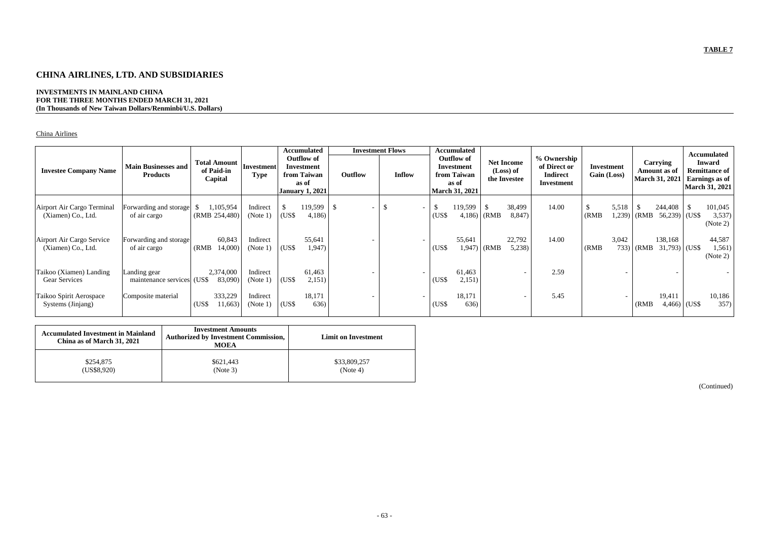# **CHINA AIRLINES, LTD. AND SUBSIDIARIES**

## **INVESTMENTS IN MAINLAND CHINA FOR THE THREE MONTHS ENDED MARCH 31, 2021 (In Thousands of New Taiwan Dollars/Renminbi/U.S. Dollars)**

## China Airlines

| <b>Investee Company Name</b>                     | <b>Main Businesses and</b><br><b>Products</b> | <b>Total Amount</b><br>of Paid-in<br>Capital | Investment <br><b>Type</b> |       | <b>Accumulated</b><br><b>Outflow of</b><br><b>Investment</b><br>from Taiwan<br>as of<br><b>January 1, 2021</b> | Outflow       | <b>Investment Flows</b><br><b>Inflow</b> |                                         | <b>Accumulated</b><br><b>Outflow of</b><br><b>Net Income</b><br>Investment<br>(Loss) of<br>from Taiwan<br>the Investee<br>as of<br>March 31, 2021 |       |                          |       | % Ownership<br>of Direct or<br><b>Indirect</b><br><b>Investment</b> |                 | Investment<br>Gain (Loss) |                            | <b>Carrying</b><br>Amount as of<br><b>March 31, 2021</b> |                               | <b>Accumulated</b><br><b>Inward</b><br><b>Remittance of</b><br><b>Earnings as of</b><br><b>March 31, 2021</b> |  |
|--------------------------------------------------|-----------------------------------------------|----------------------------------------------|----------------------------|-------|----------------------------------------------------------------------------------------------------------------|---------------|------------------------------------------|-----------------------------------------|---------------------------------------------------------------------------------------------------------------------------------------------------|-------|--------------------------|-------|---------------------------------------------------------------------|-----------------|---------------------------|----------------------------|----------------------------------------------------------|-------------------------------|---------------------------------------------------------------------------------------------------------------|--|
| Airport Air Cargo Terminal<br>(Xiamen) Co., Ltd. | Forwarding and storage<br>of air cargo        | 1,105,954<br>(RMB 254,480)                   | Indirect<br>(Note 1)       | (US\$ | 119,599<br>4,186                                                                                               | <sup>\$</sup> |                                          | -S<br>$\overline{\phantom{0}}$<br>(US\$ | 119,599<br>4,186                                                                                                                                  | (RMB) | 38,499<br>8,847)         | 14.00 | (RMB)                                                               | 5,518<br>1,239) | (RMB)                     | 244,408<br>$56,239$ (US\$) | <sup>\$</sup>                                            | 101,045<br>3,537)<br>(Note 2) |                                                                                                               |  |
| Airport Air Cargo Service<br>(Xiamen) Co., Ltd.  | Forwarding and storage<br>of air cargo        | 60,843<br>14,000)<br>(RMB)                   | Indirect<br>(Note 1)       | (US\$ | 55,641<br>1,947                                                                                                |               |                                          | (US <sub>3</sub> )                      | 55,641<br>1,947)                                                                                                                                  | (RMB) | 22,792<br>5,238          | 14.00 | (RMB)                                                               | 3,042<br>733)   | (RMB)                     | 138,168<br>$31,793$ (US\$) |                                                          | 44,587<br>1,561)<br>(Note 2)  |                                                                                                               |  |
| Taikoo (Xiamen) Landing<br>Gear Services         | Landing gear<br>maintenance services (US\$    | 2,374,000<br>83,090)                         | Indirect<br>(Note 1)       | (US\$ | 61,463<br>2,151)                                                                                               |               |                                          | (US\$                                   | 61,463<br>2,151)                                                                                                                                  |       | $\overline{\phantom{0}}$ | 2.59  |                                                                     |                 |                           |                            |                                                          |                               |                                                                                                               |  |
| Taikoo Spirit Aerospace<br>Systems (Jinjang)     | Composite material                            | 333,229<br>(US\$<br>11,663)                  | Indirect<br>(Note 1)       | (US\$ | 18,171<br>636)                                                                                                 |               |                                          | (US\$                                   | 18,171<br>636)                                                                                                                                    |       | $\overline{\phantom{a}}$ | 5.45  |                                                                     |                 | (RMB)                     | 19,411<br>$4,466$ (US\$)   |                                                          | 10,186<br>357)                |                                                                                                               |  |

| <b>Accumulated Investment in Mainland</b><br>China as of March 31, 2021 | <b>Investment Amounts</b><br><b>Authorized by Investment Commission,</b><br><b>MOEA</b> | Limit on Investment |
|-------------------------------------------------------------------------|-----------------------------------------------------------------------------------------|---------------------|
| \$254,875                                                               | \$621,443                                                                               | \$33,809,257        |
| (US\$8,920)                                                             | (Note 3)                                                                                | (Note 4)            |

(Continued)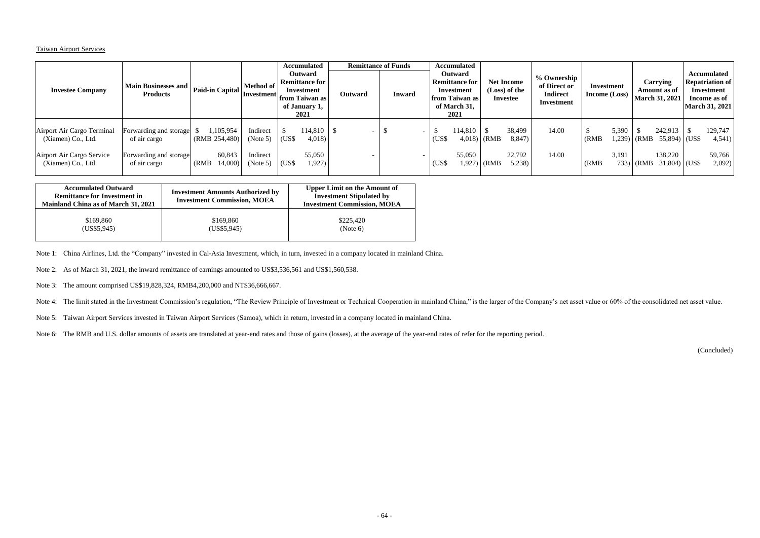## Taiwan Airport Services

| <b>Investee Company</b>                                                                             | Main Businesses and   Paid-in Capital   ''"<br><b>Products</b>                   |                                                         | <b>Method of</b><br> Investment <br> from Taiwan as |                                                    | <b>Accumulated</b><br><b>Outward</b><br><b>Remittance for</b><br>Investment<br>of January 1,<br>2021 | <b>Outward</b> | <b>Remittance of Funds</b><br><b>Inward</b> | <b>Accumulated</b><br>Outward<br><b>Remittance for</b><br><b>Net Income</b><br>(Loss) of the<br>Investment<br>from Taiwan as<br><b>Investee</b><br>of March 31,<br>2021 |                                   |              |                                     | % Ownership<br>of Direct or<br><b>Indirect</b><br>Investment |                | Investment<br><b>Income (Loss)</b> | Carrying<br>Amount as of<br><b>March 31, 2021</b>                      |  | Accumulated<br><b>Repatriation of</b><br>Investment<br>Income as of<br><b>March 31, 2021</b> |  |
|-----------------------------------------------------------------------------------------------------|----------------------------------------------------------------------------------|---------------------------------------------------------|-----------------------------------------------------|----------------------------------------------------|------------------------------------------------------------------------------------------------------|----------------|---------------------------------------------|-------------------------------------------------------------------------------------------------------------------------------------------------------------------------|-----------------------------------|--------------|-------------------------------------|--------------------------------------------------------------|----------------|------------------------------------|------------------------------------------------------------------------|--|----------------------------------------------------------------------------------------------|--|
| Airport Air Cargo Terminal<br>(Xiamen) Co., Ltd.<br>Airport Air Cargo Service<br>(Xiamen) Co., Ltd. | Forwarding and storage<br>of air cargo<br>Forwarding and storage<br>of air cargo | 1,105,954<br>(RMB 254,480)<br>60,843<br>14,000<br>(RMB) | Indirect<br>(Note 5)<br>Indirect<br>(Note 5)        | $\overline{\text{USS}}$<br>$\overline{\text{USS}}$ | 114,810<br>4,018)<br>55,050<br>1,927)                                                                |                |                                             | (US\$<br>(US\$                                                                                                                                                          | 114,810<br>$4,018$ (RMB<br>55,050 | $1,927$ (RMB | 38,499<br>8,847)<br>22,792<br>5,238 | 14.00<br>14.00                                               | (RMB)<br>(RMB) | 5,390<br>1,239<br>3,191<br>$733$ ) | 242,913<br>$(RMB 55,894)$ (US\$)<br>138,220<br>$(RMB \t31,804)$ (US\$) |  | 129,747<br>4,541)<br>59,766<br>2,092)                                                        |  |

| <b>Accumulated Outward</b><br><b>Remittance for Investment in</b><br>Mainland China as of March 31, 2021 | <b>Investment Amounts Authorized by</b><br><b>Investment Commission, MOEA</b> | <b>Upper Limit on the Amount of</b><br><b>Investment Stipulated by</b><br><b>Investment Commission, MOEA</b> |
|----------------------------------------------------------------------------------------------------------|-------------------------------------------------------------------------------|--------------------------------------------------------------------------------------------------------------|
| \$169,860                                                                                                | \$169,860                                                                     | \$225,420                                                                                                    |
| (US\$5,945)                                                                                              | (US\$5,945)                                                                   | (Note 6)                                                                                                     |

Note 1: China Airlines, Ltd. the "Company" invested in Cal-Asia Investment, which, in turn, invested in a company located in mainland China.

Note 2: As of March 31, 2021, the inward remittance of earnings amounted to US\$3,536,561 and US\$1,560,538.

Note 3: The amount comprised US\$19,828,324, RMB4,200,000 and NT\$36,666,667.

Note 4: The limit stated in the Investment Commission's regulation, "The Review Principle of Investment or Technical Cooperation in mainland China," is the larger of the Company's net asset value or 60% of the consolidated

Note 5: Taiwan Airport Services invested in Taiwan Airport Services (Samoa), which in return, invested in a company located in mainland China.

Note 6: The RMB and U.S. dollar amounts of assets are translated at year-end rates and those of gains (losses), at the average of the year-end rates of refer for the reporting period.

(Concluded)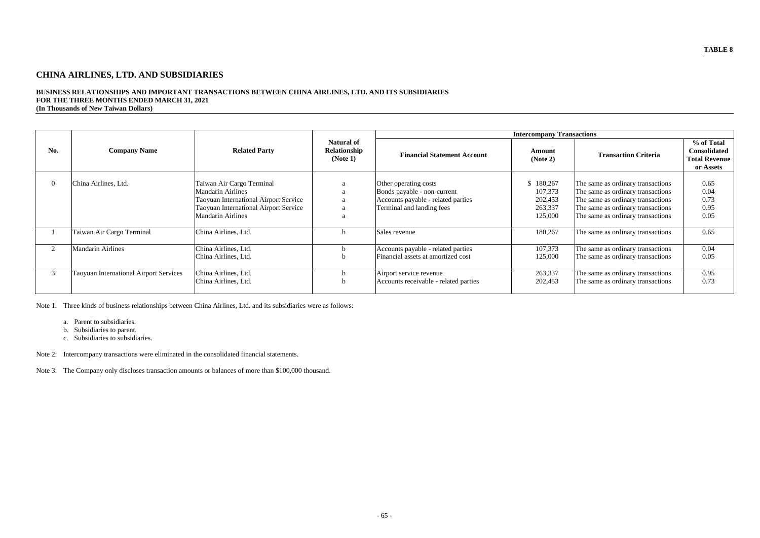# **CHINA AIRLINES, LTD. AND SUBSIDIARIES**

#### **BUSINESS RELATIONSHIPS AND IMPORTANT TRANSACTIONS BETWEEN CHINA AIRLINES, LTD. AND ITS SUBSIDIARIES FOR THE THREE MONTHS ENDED MARCH 31, 2021 (In Thousands of New Taiwan Dollars)**

|     |                                        |                                                                                                                                                                     |                                    |                                                                                                                         | <b>Intercompany Transactions</b>                      |                                                                                                                                                                                       |                                      |
|-----|----------------------------------------|---------------------------------------------------------------------------------------------------------------------------------------------------------------------|------------------------------------|-------------------------------------------------------------------------------------------------------------------------|-------------------------------------------------------|---------------------------------------------------------------------------------------------------------------------------------------------------------------------------------------|--------------------------------------|
| No. | <b>Company Name</b>                    | <b>Related Party</b>                                                                                                                                                | <b>Financial Statement Account</b> | Amount<br>(Note 2)                                                                                                      | <b>Transaction Criteria</b>                           | % of Total<br><b>Consolidated</b><br><b>Total Revenue</b><br>or Assets                                                                                                                |                                      |
|     | China Airlines, Ltd.                   | Taiwan Air Cargo Terminal<br><b>Mandarin Airlines</b><br>Taoyuan International Airport Service<br>Taoyuan International Airport Service<br><b>Mandarin Airlines</b> |                                    | Other operating costs<br>Bonds payable - non-current<br>Accounts payable - related parties<br>Terminal and landing fees | \$180,267<br>107,373<br>202,453<br>263,337<br>125,000 | The same as ordinary transactions<br>The same as ordinary transactions<br>The same as ordinary transactions<br>The same as ordinary transactions<br>The same as ordinary transactions | 0.65<br>0.04<br>0.73<br>0.95<br>0.05 |
|     | Taiwan Air Cargo Terminal              | China Airlines, Ltd.                                                                                                                                                |                                    | Sales revenue                                                                                                           | 180,267                                               | The same as ordinary transactions                                                                                                                                                     | 0.65                                 |
|     | <b>Mandarin Airlines</b>               | China Airlines, Ltd.<br>China Airlines, Ltd.                                                                                                                        |                                    | Accounts payable - related parties<br>Financial assets at amortized cost                                                | 107,373<br>125,000                                    | The same as ordinary transactions<br>The same as ordinary transactions                                                                                                                | 0.04<br>0.05                         |
|     | Taoyuan International Airport Services | China Airlines, Ltd.<br>China Airlines, Ltd.                                                                                                                        |                                    | Airport service revenue<br>Accounts receivable - related parties                                                        | 263,337<br>202,453                                    | The same as ordinary transactions<br>The same as ordinary transactions                                                                                                                | 0.95<br>0.73                         |

Note 1: Three kinds of business relationships between China Airlines, Ltd. and its subsidiaries were as follows:

- a. Parent to subsidiaries.
- b. Subsidiaries to parent.
- c. Subsidiaries to subsidiaries.

Note 2: Intercompany transactions were eliminated in the consolidated financial statements.

Note 3: The Company only discloses transaction amounts or balances of more than \$100,000 thousand.